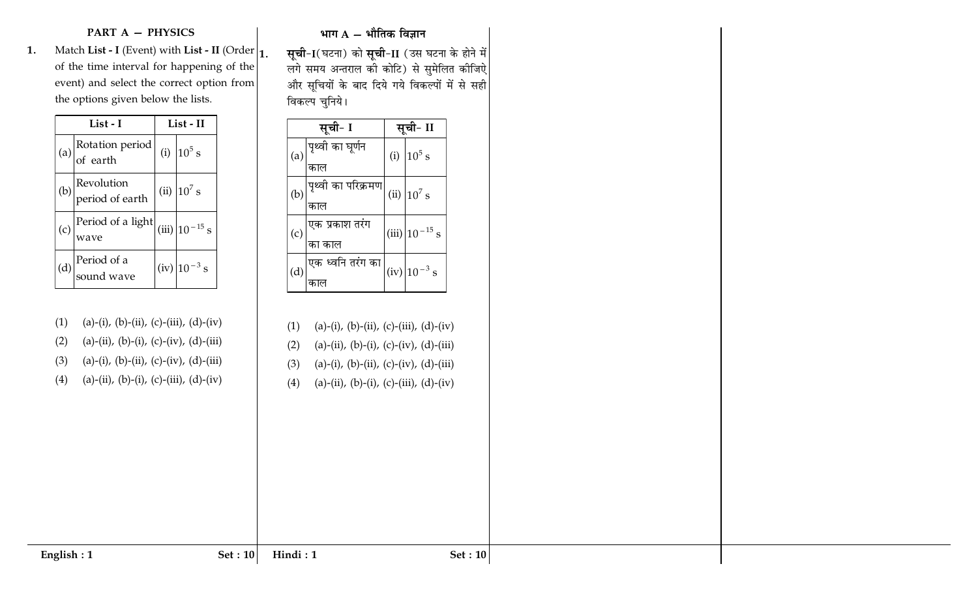## **PART A - PHYSICS**

 **.** Match **List - I** (Event) with **List - II** (Order | 1 of the time interval for happening of the event) and select the correct option from the options given below the lists.

|                   | List - I                                                                      | List - II                 |
|-------------------|-------------------------------------------------------------------------------|---------------------------|
|                   | (a) $\begin{bmatrix} \text{Rotation period} \\ \text{of earth} \end{bmatrix}$ | (i) $10^5$ s              |
| (b)               | Revolution<br>period of earth                                                 | (ii) $10^7\,\mathrm{s}$   |
| $\left( c\right)$ | $\sqrt{\frac{\text{Period of a light}}{\text{wave}}}$                         | (iii) $10^{-15}$ s        |
| (d)               | $\sqrt{\frac{\text{Period of a}}{\text{sound wave}}}$                         | $(iv)$ 10 <sup>-3</sup> s |

 $(1)$ (a)-(i), (b)-(ii), (c)-(iii), (d)-(iv)  $(2)$ (a)-(ii), (b)-(i), (c)-(iv), (d)-(iii)  $(3)$ (a)-(i), (b)-(ii), (c)-(iv), (d)-(iii)  $(4)$ (a)-(ii), (b)-(i), (c)-(iii), (d)-(iv)

## भाग A – भौतिक विज्ञान

. **सूची-I**(घटना) को **सूची-II** (उस घटना के होने में लगे समय अन्तराल की कोटि) से सुमेलित कीजिऐ और सूचियों के बाद दिये गये विकल्पों में से सही विकल्प चुनिये।

|                    | सूची- I                   |     | सूचा- II                                        |
|--------------------|---------------------------|-----|-------------------------------------------------|
| (a)                | पृथ्वी का घूर्णन<br>काल   | (i) | $10^5$ s                                        |
| (b)                | पृथ्वी का परिक्रमण<br>काल |     | (ii) $10^7$ s                                   |
| $\left( 0 \right)$ | एक प्रकाश तरंग<br>का काल  |     | $(iii)$   $10^{-15}$<br>$\overline{\mathbf{s}}$ |
| (d)                | एक ध्वनि तरंग का          |     | $(iv)$ 10 <sup>-3</sup> s                       |

- (1) (a)-(i), (b)-(ii), (c)-(iii), (d)-(iv)  $(2)$ (a)-(ii), (b)-(i), (c)-(iv), (d)-(iii)
- $(3)$ (a)-(i), (b)-(ii), (c)-(iv), (d)-(iii)
- $(4)$ (a)-(ii), (b)-(i), (c)-(iii), (d)-(iv)
- 

**English : 1**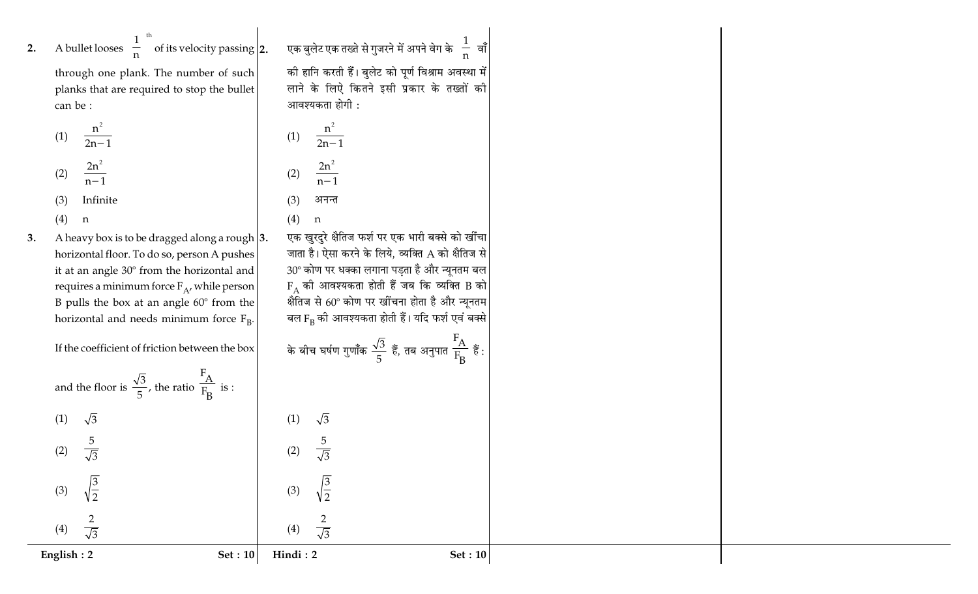2. A bullet looses 
$$
\left(\frac{1}{n}\right)^{th}
$$
 of its velocity passi

through one plank. The number of such planks that are required to stop the bullet can be:

(1) 
$$
\frac{n^2}{2n-1}
$$
  
\n(2)  $\frac{2n^2}{n-1}$   
\n(3) Infinite

 $(4)$  $\mathbf n$ 

 $\sqrt{3}$ 

 $rac{5}{\sqrt{3}}$ 

 $\sqrt{\frac{3}{2}}$ 

 $\overline{2}$  $\frac{1}{\sqrt{3}}$ 

 $(1)$ 

 $(2)$ 

 $(3)$ 

 $(4)$ 

English:  $2$ 

A heavy box is to be dragged along a rough  $|3.$ 3. horizontal floor. To do so, person A pushes it at an angle 30° from the horizontal and requires a minimum force  $F_A$ , while person B pulls the box at an angle  $60^{\circ}$  from the horizontal and needs minimum force  $F_R$ .

If the coefficient of friction betw

and the floor is  $\frac{\sqrt{3}}{5}$ , the ratio  $\frac{F_A}{F_B}$  is :

 $\left. \text{diag} \right|$ 2. एक बुलेट एक तख्ते से गुजरने में अपने वेग के $\left(\frac{1}{\mathsf{n}}\right)$ वाँ  $\left(\frac{1}{\mathsf{n}}\right)$ की हानि करती हैं। बुलेट को पूर्ण विश्राम अवस्था में लाने के लिऐ कितने इसी प्रकार के तख्तों की आवश्यकता होगी :

$$
(1) \quad \frac{n^2}{2n-1}
$$

$$
(2) \quad \frac{2n^2}{n-1}
$$

 $(3)$ अनन्त  $(4)$  $\mathbf n$ 

एक खुरदुरे क्षैतिज फर्श पर एक भारी बक्से को खींचा जाता है। ऐसा करने के लिये, व्यक्ति A को क्षैतिज से  $30^{\circ}$  कोण पर धक्का लगाना पड़ता है और न्यूनतम बल  $F_A$  की आवश्यकता होती हैं जब कि व्यक्ति B को क्षेतिज से 60° कोण पर खींचना होता है और न्यूनतम बल F<sub>B</sub> की आवश्यकता होती हैं। यदि फर्श एवं बक्से गत $\frac{F_A}{F_B}$  हैं :

के बीच घर्षण गुणाँक 
$$
\frac{\sqrt{3}}{5}
$$
 हैं, तब अनुप  
|

$$
\times
$$
 के बीच घर्षण गुणाँक  $\frac{\sqrt{3}}{5}$  हैं, तब

$$
(\mathcal{M}_\mathcal{A},\mathcal{M}_\mathcal{A},\mathcal{M}_\mathcal{A},\mathcal{M}_\mathcal{A},\mathcal{M}_\mathcal{A},\mathcal{M}_\mathcal{A},\mathcal{M}_\mathcal{A},\mathcal{M}_\mathcal{A},\mathcal{M}_\mathcal{A},\mathcal{M}_\mathcal{A},\mathcal{M}_\mathcal{A},\mathcal{M}_\mathcal{A},\mathcal{M}_\mathcal{A},\mathcal{M}_\mathcal{A},\mathcal{M}_\mathcal{A},\mathcal{M}_\mathcal{A},\mathcal{M}_\mathcal{A},\mathcal{M}_\mathcal{A},\mathcal{M}_\mathcal{A},\mathcal{M}_\mathcal{A},\mathcal{M}_\mathcal{A},\mathcal{M}_\mathcal{A},\mathcal{M}_\mathcal{A},\mathcal{M}_\mathcal{A},\mathcal{M}_\mathcal{A},\mathcal{M}_\mathcal{A},\mathcal{M}_\mathcal{A},\mathcal{M}_\mathcal{A},\mathcal{M}_\mathcal{A},\mathcal{M}_\mathcal{A},\mathcal{M}_\mathcal{A},\mathcal{M}_\mathcal{A},\mathcal{M}_\mathcal{A},\mathcal{M}_\mathcal{A},\mathcal{M}_\mathcal{A},\mathcal{M}_\mathcal{A},\mathcal{M}_\mathcal{A},\mathcal{M}_\mathcal{A},\mathcal{M}_\mathcal{A},\mathcal{M}_\mathcal{A},\mathcal{M}_\mathcal{A},\mathcal{M}_\mathcal{A},\mathcal{M}_\mathcal{A},\mathcal{M}_\mathcal{A},\mathcal{M}_\mathcal{A},\mathcal{M}_\mathcal{A},\mathcal{M}_\mathcal{A},\mathcal{M}_\mathcal{A},\mathcal{M}_\mathcal{A},\mathcal{M}_\mathcal{A},\mathcal{M}_\mathcal{A},\mathcal{M}_\mathcal{A},\mathcal{M}_\mathcal{A},\mathcal{M}_\mathcal{A},\mathcal{M}_\mathcal{A},\mathcal{M}_\mathcal{A},\mathcal{M}_\mathcal{A},\mathcal{M}_\mathcal{A},\mathcal{M}_\mathcal{A},\mathcal{M}_\mathcal{A},\mathcal{M}_\mathcal{A},\mathcal{M}_\mathcal{A},\mathcal{M}_\mathcal{A},\mathcal
$$

$$
f_{\rm{max}}
$$

$$
(1) \quad \sqrt{3}
$$

$$
\begin{array}{ccccc}\n & & & & \\
 & & & & & \\
\end{array}
$$

$$
x\in\mathbb{R}^n
$$

$$
f_{\rm{max}}(x)
$$

$$
f_{\rm{max}}(x)
$$

Set: 10

$$
f_{\rm{max}}
$$

$$
x_1, x_2, \ldots, x_n
$$

 $\frac{5}{\sqrt{3}}$ 

 $\frac{2}{\sqrt{3}}$ 

 $(2)$ 

 $(3)$ 

 $(4)$ 

Hindi: 2

**Set: 10** 

$$
\left.\rule{0cm}{0.4cm}\right.^{\text{veen the box}}\qquad \qquad \text{à afa aafu iyo}
$$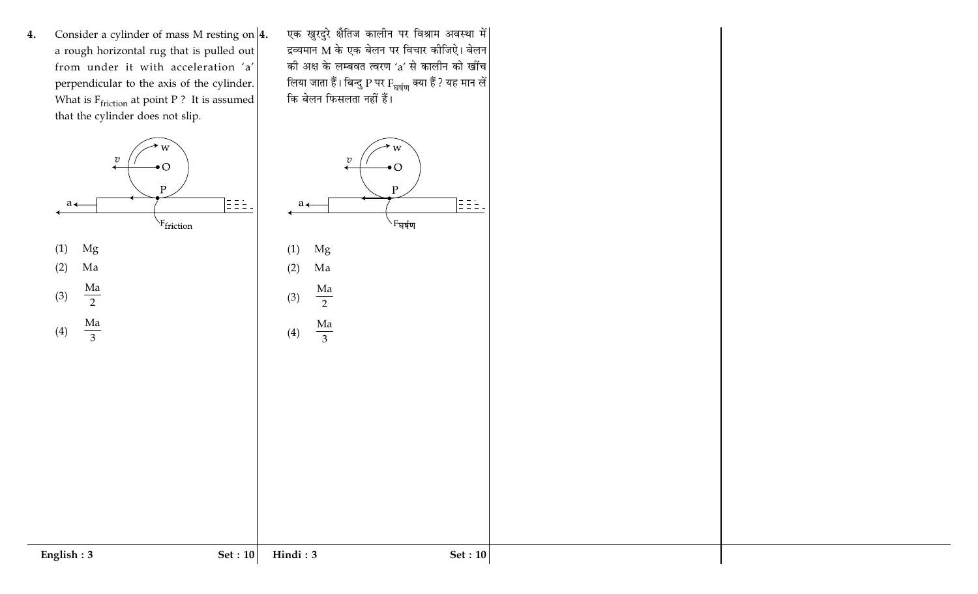Consider a cylinder of mass M resting on  $|4$ . 4. a rough horizontal rug that is pulled out from under it with acceleration 'a' perpendicular to the axis of the cylinder. What is  $F_{friction}$  at point P? It is assumed that the cylinder does not slip.

 $\bullet$  O

 $\mathbf{P}$ 

<sup>\F</sup>friction

 $\overline{v}$ 

 $\leftarrow$ 

 $a_{\leftarrow}$ 

Mg

Ma

 $\rm{Ma}$ 

 $\overline{2}$ 

 $\frac{Ma}{3}$ 

 $(1)$ 

 $(2)$ 

 $(3)$ 

 $(4)$ 

एक खुरदुरे क्षैतिज कालीन पर विश्राम अवस्था में| द्रव्यमान M के एक बेलन पर विचार कीजिऐ। बेलन की अक्ष के लम्बवत त्वरण 'a' से कालीन को खींच लिया जाता हैं। बिन्दु P पर F<sub>घर्षण</sub> क्या हैं ? यह मान लें |<br>कि बेलन फिसलता नहीं हैं।

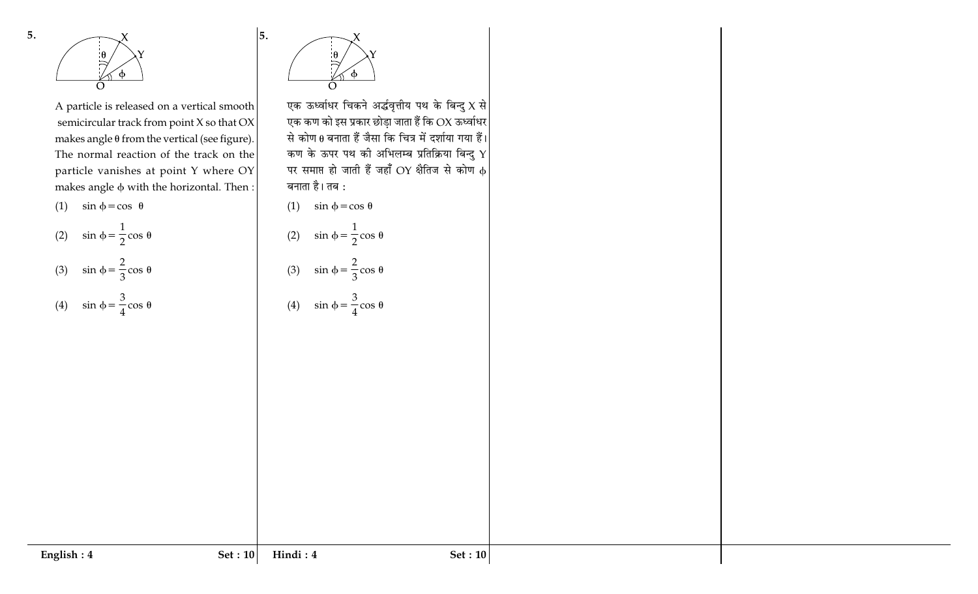



A particle is released on a vertical smooth semicircular track from point X so that OX makes angle  $\theta$  from the vertical (see figure). The normal reaction of the track on the particle vanishes at point Y where OY makes angle  $\phi$  with the horizontal. Then:



 $\overline{1}$ 

(2) 
$$
\sin \phi = \frac{1}{2} \cos \theta
$$

(3) 
$$
\sin \phi = \frac{2}{3} \cos \theta
$$

(4) 
$$
\sin \phi = \frac{3}{4} \cos \theta
$$



5.

एक ऊर्ध्वाधर चिकने अर्द्धवृत्तीय पथ के बिन्दु $\boldsymbol{X}$  से एक कण को इस प्रकार छोड़ा जाता हैं कि OX ऊर्ध्वाधर से कोण  $\theta$  बनाता हैं जैसा कि चित्र में दर्शाया गया हैं। कण के ऊपर पथ की अभिलम्ब प्रतिक्रिया बिन्दु  $\bm{\Upsilon}$ पर समाप्त हो जाती हैं जहाँ OY क्षैतिज से कोण  $\phi$ बनाता है। तब :



(2) 
$$
\sin \phi = \frac{1}{2} \cos \theta
$$
  
(3)  $\sin \phi = \frac{2}{3} \cos \theta$ 

(4) 
$$
\sin \phi = \frac{3}{4} \cos \theta
$$

$$
{\bf English:4}
$$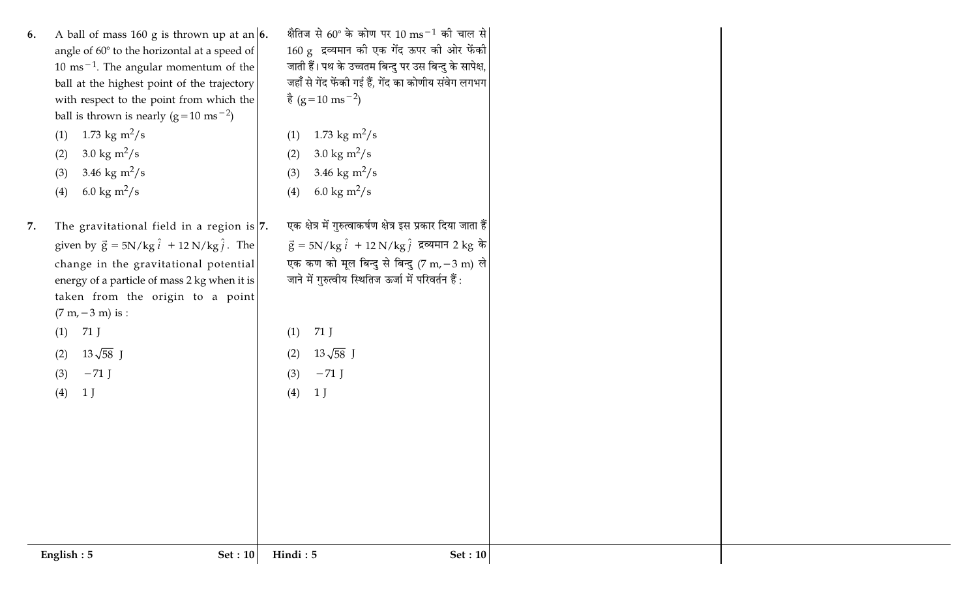A ball of mass 160 g is thrown up at an  $\vert 6$ . 6. angle of 60° to the horizontal at a speed of  $10 \text{ ms}^{-1}$ . The angular momentum of the ball at the highest point of the trajectory with respect to the point from which the ball is thrown is nearly  $(g=10 \text{ ms}^{-2})$ 

(1) 1.73 kg m<sup>2</sup>/s

3.0 kg  $m^2/s$  $(2)$ 

- 3.46 kg  $m^2/s$  $(3)$
- 6.0 kg m<sup>2</sup>/s  $(4)$

7. The gravitational field in a region is  $|7$ . given by  $\vec{g} = 5N/kg \hat{i} + 12 N/kg \hat{j}$ . The change in the gravitational potential energy of a particle of mass 2 kg when it is taken from the origin to a point  $(7 m, -3 m)$  is :  $(1)$  71 J

> $13\sqrt{58}$  J  $(2)$

 $-71$  J  $(3)$ 

 $(4)$  $1J$ 

क्षैतिज से 60° के कोण पर 10 ms<sup>-1</sup> की चाल से 160 g द्रव्यमान की एक गेंद ऊपर की ओर फेंकी जाती हैं। पथ के उच्चतम बिन्दु पर उस बिन्दु के सापेक्ष, जहाँ से गेंद फेंकी गई हैं. गेंद का कोणीय संवेग लगभग  $\frac{3}{6}$  (g = 10 ms<sup>-2</sup>)

- (1) 1.73 kg m<sup>2</sup>/s
- 3.0 kg  $m^2/s$  $(2)$
- 3.46 kg  $m^2/s$  $(3)$

6.0 kg m<sup>2</sup>/s  $(4)$ 

एक क्षेत्र में गुरुत्वाकर्षण क्षेत्र इस प्रकार दिया जाता हैं  $\vec{g} = 5N/kg \hat{i} + 12 N/kg \hat{j}$  द्रव्यमान 2 kg के एक कण को मूल बिन्दु से बिन्दु (7 m, – 3 m) ले जाने में गुरुत्वीय स्थितिज ऊर्जा में परिवर्तन हैं:

 $71$  J  $(1)$ 

 $13\sqrt{58}$  J  $(2)$ 

- $-71$  J  $(3)$
- $(4)$  $1<sub>J</sub>$

English:  $5$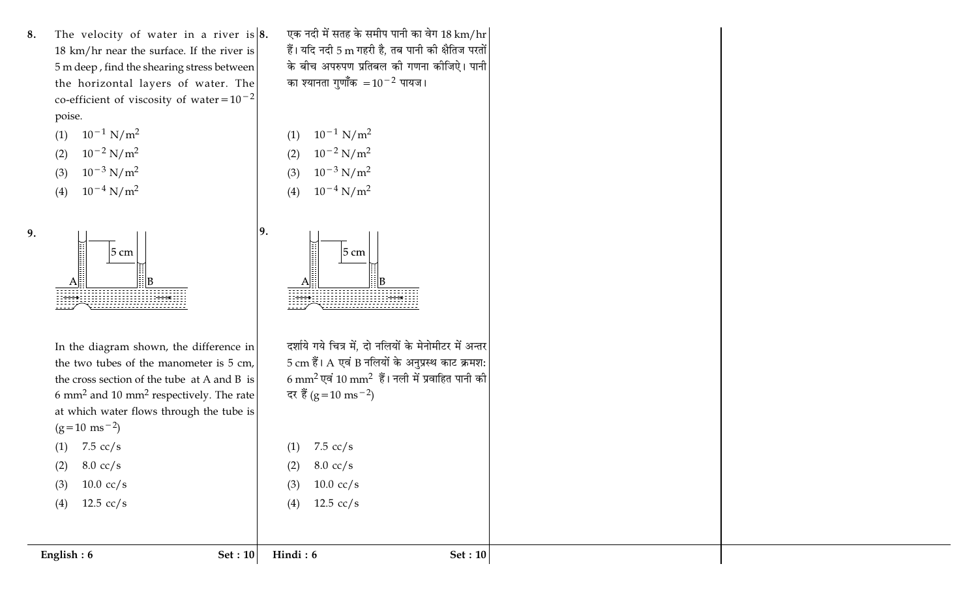The velocity of water in a river is  $|8$ . 8. 18 km/hr near the surface. If the river is 5 m deep, find the shearing stress between the horizontal layers of water. The co-efficient of viscosity of water= $10^{-2}$ poise.

(1) 
$$
10^{-1} N/m^2
$$
  
\n(2)  $10^{-2} N/m^2$   
\n(3)  $10^{-3} N/m^2$ 

 $10^{-4}$  N/m<sup>2</sup>  $(4)$ 

9.



In the diagram shown, the difference in the two tubes of the manometer is 5 cm, the cross section of the tube at A and B is 6 mm<sup>2</sup> and 10 mm<sup>2</sup> respectively. The rate at which water flows through the tube is  $(g=10 \text{ ms}^{-2})$ 

एक नदी में सतह के समीप पानी का वेग 18 km/hr हैं। यदि नदी 5 m गहरी है, तब पानी की क्षैतिज परतों के बीच अपरुपण प्रतिबल की गणना कीजिऐ। पानी का श्यानता गुणॉॅंक  $=10^{-2}$  पायज।

(1) 
$$
10^{-1} N/m^2
$$
  
\n(2)  $10^{-2} N/m^2$   
\n(3)  $10^{-3} N/m^2$ 

 $(4)$ 

19.

 $5 \text{ cm}$ 

7.5  $cc/s$ 

 $8.0 \text{ cc/s}$ 

 $10.0 \text{ cc/s}$ 

12.5  $cc/s$ 

 $(1)$ 

 $(2)$ 

 $(3)$ 

 $(4)$ 

 $10^{-4}$  N/m<sup>2</sup>

दर्शाये गये चित्र में, दो नलियों के मेनोमीटर में अन्तर 5 cm हैं। A एवं B नलियों के अनुप्रस्थ काट क्रमश:  $6 \text{ mm}^2$  एवं 10 mm $^2$  हैं। नली में प्रवाहित पानी की दर हैं (g = 10 ms<sup>-2</sup>)

 $(1)$  7.5 cc/s  $8.0 \text{ cc/s}$ 

 $10.0 \text{ cc/s}$  $(3)$ 

 $(2)$ 

English:  $6$ 

 $12.5 \text{ cc/s}$  $(4)$ 

> Set :  $10$ Hindi: 6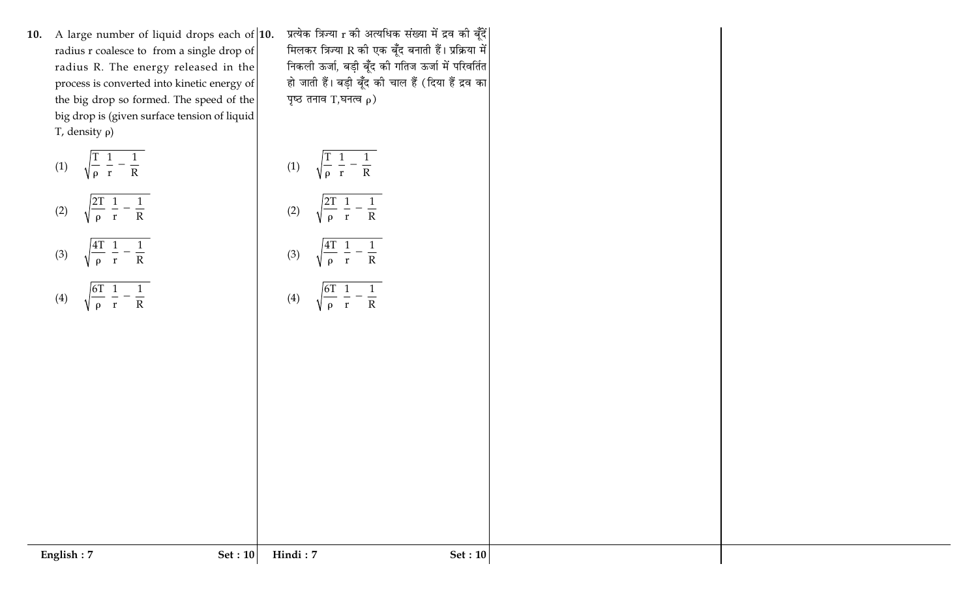10. A large number of liquid drops each of  $|10$ . radius r coalesce to from a single drop of radius R. The energy released in the process is converted into kinetic energy of the big drop so formed. The speed of the big drop is (given surface tension of liquid T, density  $\rho$ )

(1)  $\sqrt{\frac{T(1 - 1)}{\rho (r + R)}}$ 

$$
(2) \qquad \sqrt{\frac{2T}{\rho} \left( \frac{1}{r} - \frac{1}{R} \right)}
$$

(3) 
$$
\sqrt{\frac{4T}{\rho}} \left( \frac{1}{r} - \frac{1}{R} \right)
$$
  
(4)  $\sqrt{\frac{6T}{\rho} \left( \frac{1}{r} - \frac{1}{R} \right)}$ 

प्रत्येक त्रिज्या r की अत्यधिक संख्या में द्रव की बूँदें| मिलकर त्रिज्या R की एक बूँद बनाती हैं। प्रक्रिया में निकली ऊर्जा, बड़ी बूँद की गतिज ऊर्जा में परिवर्तित हो जाती हैं। बड़ी बूँद की चाल हैं (दिया हैं द्रव का पृष्ठ तनाव T,घनत्व  $\rho$ )

$$
(1) \qquad \sqrt{\frac{T}{\rho} \left( \frac{1}{r} - \frac{1}{R} \right)}
$$

$$
(2) \quad \sqrt{\frac{2T}{\rho} \left(\frac{1}{r} - \frac{1}{R}\right)}
$$

$$
(3) \quad \sqrt{\frac{4T}{\rho}} \left( \frac{1}{r} - \frac{1}{R} \right)
$$

$$
(4) \qquad \sqrt{\frac{6T}{\rho} \left(\frac{1}{r} - \frac{1}{R}\right)}
$$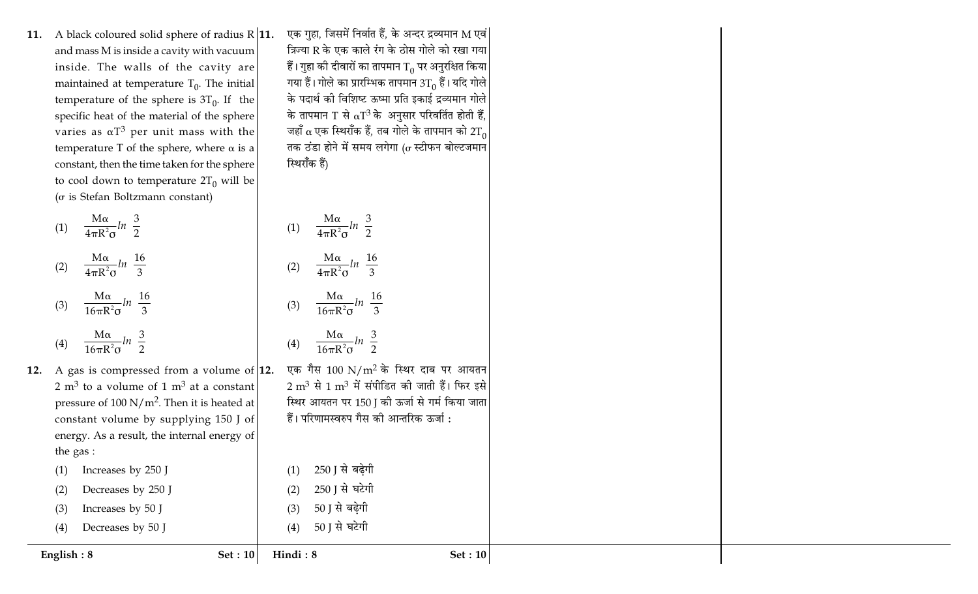11. A black coloured solid sphere of radius  $R$  11. and mass M is inside a cavity with vacuum inside. The walls of the cavity are maintained at temperature  $T_0$ . The initial temperature of the sphere is  $3T_0$ . If the specific heat of the material of the sphere varies as  $\alpha T^3$  per unit mass with the temperature T of the sphere, where  $\alpha$  is a constant, then the time taken for the sphere to cool down to temperature  $2T_0$  will be ( $\sigma$  is Stefan Boltzmann constant)

(1) 
$$
\frac{M\alpha}{4\pi R^2 \sigma} ln\left(\frac{3}{2}\right)
$$
  
\n(2) 
$$
\frac{M\alpha}{4\pi R^2 \sigma} ln\left(\frac{16}{3}\right)
$$
  
\n(3) 
$$
\frac{M\alpha}{16\pi R^2 \sigma} ln\left(\frac{16}{3}\right)
$$
  
\n(4) 
$$
\frac{M\alpha}{16\pi R^2 \sigma} ln\left(\frac{3}{2}\right)
$$
  
\nA gas is compressed from a volume of 2 m<sup>3</sup> to a volume of 1 m<sup>3</sup> at a constant pressure of 100 N/m<sup>2</sup>. Then it is heated a constant volume by supplying 150 J o. energy. As a result, the internal energy o. the gas :  
\n(1) Increasing by 250 J  
\n(2) Decreases by 250 J  
\n(3) Increasing by 50 J  
\n(4) Decreases by 50 J

एक गुहा, जिसमें निर्वात हैं, के अन्दर द्रव्यमान M एवं| त्रिज्या R के एक काले रंग के ठोस गोले को रखा गया हैं। गुहा की दीवारों का तापमान  $\mathrm{T}_0$  पर अनुरक्षित किया $|$ गया हैं। गोले का प्रारम्भिक तापमान  $3T_0$  हैं। यदि गोले के पदार्थ की विशिष्ट ऊष्मा प्रति इकाई द्रव्यमान गोले के तापमान T से  $\alpha$ T<sup>3</sup> के अनुसार परिवर्तित होती हैं, जहाँ α एक स्थिराँक हैं, तब गोले के तापमान को 2 $\rm T_{0}$ तक ठंडा होने में समय लगेगा ( $\sigma$  स्टीफन बोल्टजमान स्थिराँक हैं)

(1)  $\frac{M\alpha}{4\pi R^2\sigma}ln\left(\frac{3}{2}\right)$ (2)  $\frac{M\alpha}{4\pi R^2\sigma}ln\left(\frac{16}{3}\right)$  $(16)$ 

$$
(3) \quad \frac{M\alpha}{16\pi R^2 \sigma} ln\left(\frac{16}{3}\right)
$$

$$
M\alpha \quad (3)
$$

$$
(4) \qquad \frac{\text{M}\alpha}{16\pi R^2\sigma}ln\left(\frac{3}{2}\right)
$$

250 । से बढेगी

250 J से घटेगी

50 ] से बढ़ेगी

 $_{\rm eff}$ [12. एक गैस 100 N/m $^2$  के स्थिर दाब पर आयतन $^2$  $2 \text{ m}^3$  से  $1 \text{ m}^3$  में संपीडित की जाती हैं। फिर इसे स्थिर आयतन पर 150 J की ऊर्जा से गर्म किया जाता हैं। परिणामस्वरुप गैस की आन्तरिक ऊर्जा :

12.

English: 8

50 J से घटेगी  $(4)$ Hindi: 8

Set :  $10$ 

 $(1)$ 

 $(2)$ 

 $(3)$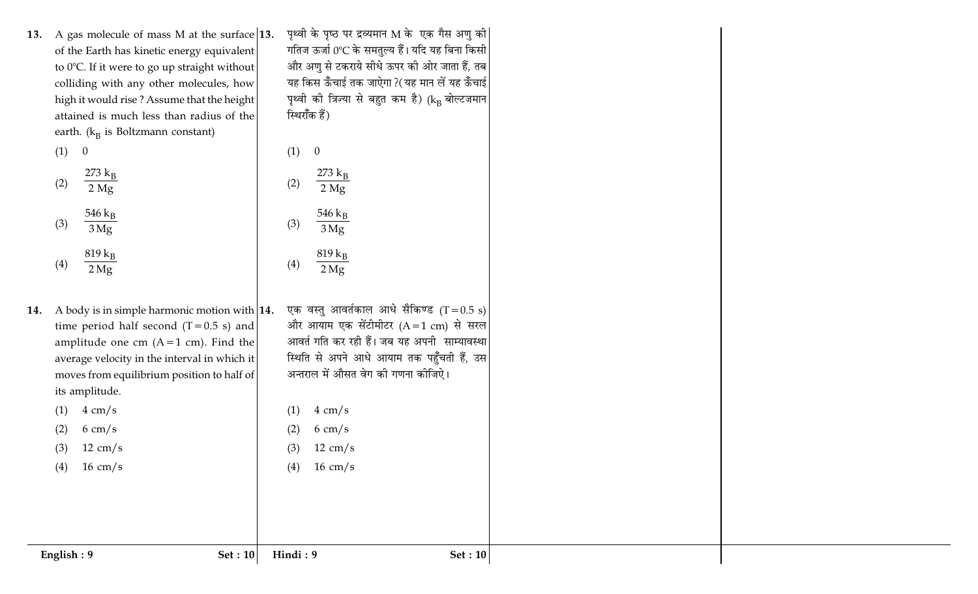13. A gas molecule of mass M at the surface 13. of the Earth has kinetic energy equivalent to 0°C. If it were to go up straight without colliding with any other molecules, how high it would rise? Assume that the height attained is much less than radius of the earth.  $(k_B$  is Boltzmann constant)

> $(1) 0$  $273 \text{ k}_B$  $(2)$  $2 Mg$ 546  $k_B$  $(3)$  $3Mg$  $819 k_B$  $(4)$  $2\,\mathrm{Mg}$

14. A body is in simple harmonic motion with  $|14$ . time period half second  $(T=0.5 s)$  and amplitude one cm  $(A=1$  cm). Find the average velocity in the interval in which it moves from equilibrium position to half of its amplitude.

गतिज ऊर्जा 0℃ के समतुल्य हैं। यदि यह बिना किसी और अणु से टकराये सीधे ऊपर की ओर जाता हैं, तब यह किस ऊँचाई तक जाऐगा ?(यह मान लें यह ऊँचाई पृथ्वी की त्रिज्या से बहुत कम है) (kB बोल्टजमान स्थिराँक हैं)

पृथ्वी के पृष्ठ पर द्रव्यमान M के एक गैस अणु की|

 $(1)$  $\overline{0}$  $273~{\rm k_B}$  $(2)$  $2 Mg$ 546 $k_B$  $(3)$  $3Mg$  $819 k_B$  $(4)$  $2 Mg$ 

- एक वस्तु आवर्तकाल आधे सैकिण्ड (T = 0.5 s) और आयाम एक सेंटीमीटर  $(A=1 \text{ cm})$  से सरल आवर्त गति कर रही हैं। जब यह अपनी साम्यावस्था स्थिति से अपने आधे आयाम तक पहुँचती हैं, उस अन्तराल में औसत वेग की गणना कीजिऐ।
- $4 \text{ cm/s}$  $(1)$

 $16 \text{ cm/s}$ 

 $(2)$  $6 \text{ cm/s}$  $12 \text{ cm/s}$  $(3)$ 

 $(4)$ 

 $12 \text{ cm/s}$  $16 \text{ cm/s}$ 

 $4 \text{ cm/s}$ 

 $6 \text{ cm/s}$ 

 $(1)$ 

 $(2)$ 

 $(3)$ 

 $(4)$ 

English:  $9$ 

Set :  $10$ 

Hindi: 9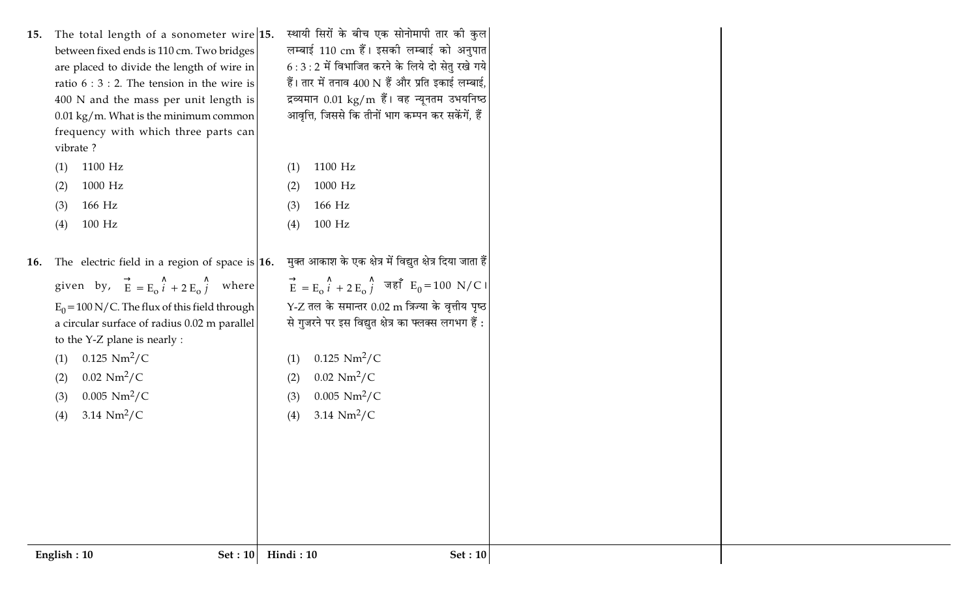| The total length of a sonometer wire $15$ .<br>15.<br>between fixed ends is 110 cm. Two bridges<br>are placed to divide the length of wire in<br>ratio $6:3:2$ . The tension in the wire is<br>400 N and the mass per unit length is<br>$0.01 \text{ kg/m}$ . What is the minimum common<br>frequency with which three parts can<br>vibrate ?<br>1100 Hz<br>(1)<br>1000 Hz<br>(2)<br>166 Hz<br>(3)<br>$100$ Hz<br>(4) | स्थायी सिरों के बीच एक सोनोमापी तार की कुल<br>लम्बाई 110 cm हैं। इसकी लम्बाई को अनुपात<br>$6:3:2$ में विभाजित करने के लिये दो सेतु रखे गये<br>हैं। तार में तनाव 400 N हैं और प्रति इकाई लम्बाई,<br>द्रव्यमान 0.01 kg/m हैं। वह न्यूनतम उभयनिष्ठ<br>आवृत्ति, जिससे कि तीनों भाग कम्पन कर सकेंगें, हैं<br>1100 Hz<br>(1)<br>1000 Hz<br>(2)<br>166 Hz<br>(3)<br>$100$ Hz<br>(4)                                   |  |
|-----------------------------------------------------------------------------------------------------------------------------------------------------------------------------------------------------------------------------------------------------------------------------------------------------------------------------------------------------------------------------------------------------------------------|----------------------------------------------------------------------------------------------------------------------------------------------------------------------------------------------------------------------------------------------------------------------------------------------------------------------------------------------------------------------------------------------------------------|--|
| The electric field in a region of space is $ 16$ .<br>16.<br>given by, $\vec{E} = E_0 \hat{i} + 2 E_0 \hat{j}$ where<br>$E_0$ = 100 N/C. The flux of this field through<br>a circular surface of radius 0.02 m parallel<br>to the Y-Z plane is nearly :<br>$0.125 \text{ Nm}^2/\text{C}$<br>(1)<br>$0.02 \text{ Nm}^2/\text{C}$<br>(2)<br>$0.005 \text{ Nm}^2/\text{C}$<br>(3)<br>3.14 $Nm^2/C$<br>(4)                | मुक्त आकाश के एक क्षेत्र में विद्युत क्षेत्र दिया जाता हैं।<br>$\vec{E} = E_0 \hat{i} + 2 E_0 \hat{j}$ जहाँ $E_0 = 100 \text{ N/C1}$<br>$Y$ -Z तल के समान्तर $0.02 \text{ m}$ त्रिज्या के वृत्तीय पृष्ठ<br>से गुजरने पर इस विद्युत क्षेत्र का फ्लक्स लगभग हैं :<br>$0.125 \text{ Nm}^2/\text{C}$<br>(1)<br>$0.02 \text{ Nm}^2/\text{C}$<br>(2)<br>$0.005 \text{ Nm}^2/\text{C}$<br>(3)<br>3.14 $Nm^2/C$<br>(4) |  |
| English: 10<br>Set: 10                                                                                                                                                                                                                                                                                                                                                                                                | Hindi: 10<br>Set: 10                                                                                                                                                                                                                                                                                                                                                                                           |  |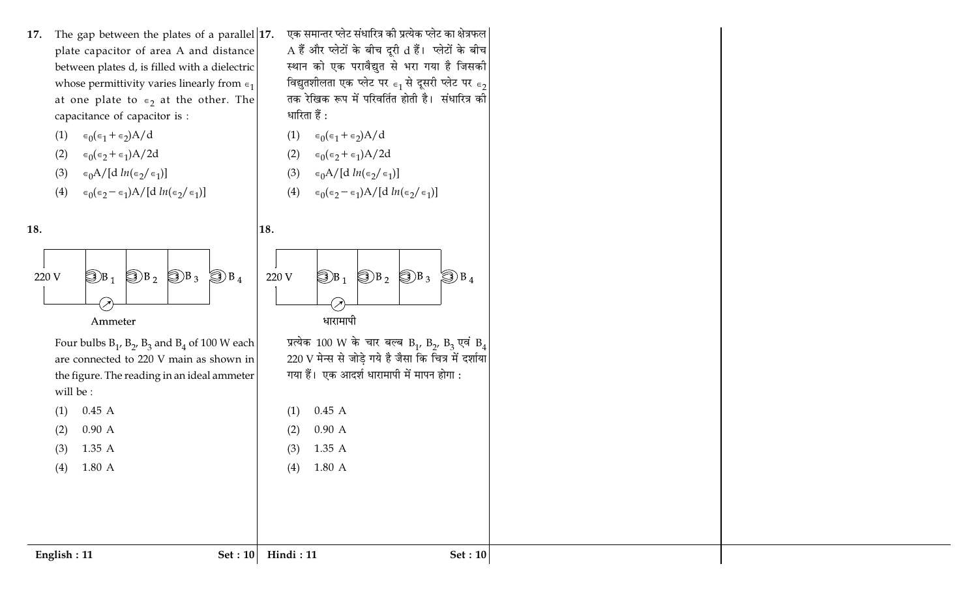17. The gap between the plates of a parallel  $|17$ . plate capacitor of area A and distance between plates d, is filled with a dielectric whose permittivity varies linearly from  $\epsilon_1$ at one plate to  $\epsilon_2$  at the other. The capacitance of capacitor is :

$$
(1) \quad \epsilon_0(\epsilon_1 + \epsilon_2) A / c
$$

$$
(2) \quad \epsilon_0(\epsilon_2 + \epsilon_1)A/2d
$$

$$
(3) \quad \epsilon_0 A / [d \ln(\epsilon_2/\epsilon_1)]
$$

$$
(4) \quad \epsilon_0(\epsilon_2 - \epsilon_1) A / [d \ln(\epsilon_2/\epsilon_1)]
$$



Four bulbs  $B_1$ ,  $B_2$ ,  $B_3$  and  $B_4$  of 100 W each are connected to 220 V main as shown in the figure. The reading in an ideal ammeter will be:

 $(1)$  $0.45A$  $0.90 A$  $(2)$ 1.35 A

 $(3)$ 1.80 A  $(4)$ 

एक समान्तर प्लेट संधारित्र की प्रत्येक प्लेट का क्षेत्रफल A हैं और प्लेटों के बीच दूरी d हैं। प्लेटों के बीच स्थान को एक परावैद्युत से भरा गया है जिसकी विद्युतशीलता एक प्लेट पर  $\epsilon_1$  से दूसरी प्लेट पर  $\epsilon_2$ तक रेखिक रूप में परिवर्तित होती है। संधारित्र की धारिता हैं :

- (1)  $\epsilon_0(\epsilon_1 + \epsilon_2)A/d$
- $\epsilon_0(\epsilon_2 + \epsilon_1)A/2d$  $(2)$
- $\epsilon_0 A / [d \ln (\epsilon_2/\epsilon_1)]$  $(3)$
- $\epsilon_0(\epsilon_2 \epsilon_1)$ A/[d  $ln(\epsilon_2/\epsilon_1)$ ]  $(4)$



प्रत्येक 100 W के चार बल्ब B<sub>1</sub>, B<sub>2</sub>, B<sub>3</sub> एवं B<sub>4</sub> 220 V मेन्स से जोडे गये है जैसा कि चित्र में दर्शाया गया हैं। एक आदर्श धारामापी में मापन होगा :

 $0.45A$  $(1)$  $0.90 A$  $(2)$ 1.35 A  $(3)$ 1.80 A

 $(4)$ 

धारामापी

English: 11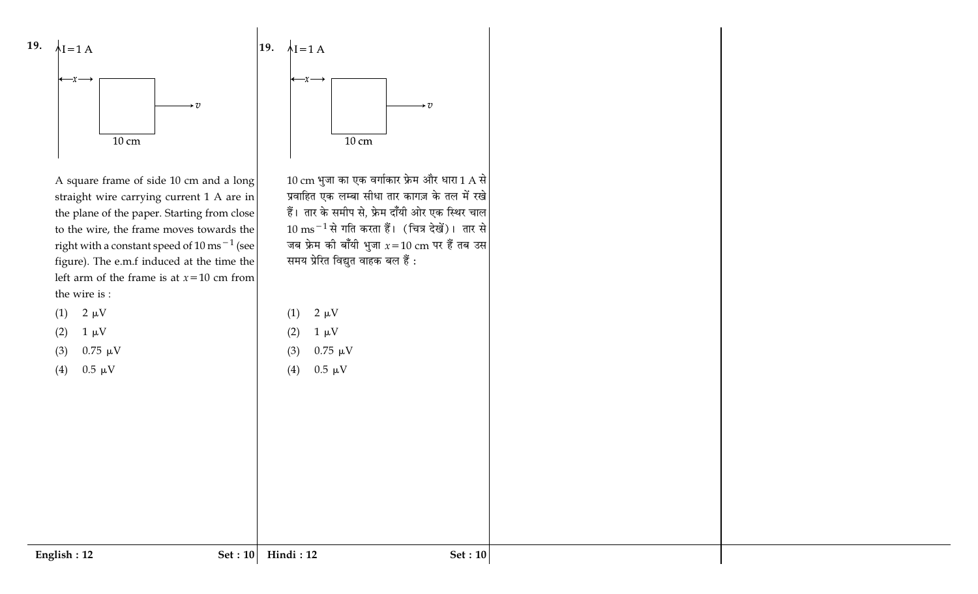

A square frame of side 10 cm and a long straight wire carrying current 1 A are in the plane of the paper. Starting from close to the wire, the frame moves towards the right with a constant speed of  $10 \text{ ms}^{-1}$  (see figure). The e.m.f induced at the time the left arm of the frame is at  $x=10$  cm from the wire is :

| (1) | $2 \mu V$ |
|-----|-----------|
|-----|-----------|

| (2) | $1 \mu V$ |
|-----|-----------|
|     |           |

 $0.75 \mu V$  $(3)$ 

 $0.5 \mu V$  $(4)$ 



 $10\,\mathrm{cm}$  भुजा का एक वर्गाकार फ्रेम और धारा 1 A से प्रवाहित एक लम्बा सीधा तार कागज़ के तल में रखे हैं। तार के समीप से, फ्रेम दाँयी ओर एक स्थिर चाल  $10 \text{ ms}^{-1}$ से गति करता हैं। (चित्र देखें)। तार से जब फ्रेम की बाँयी भुजा  $x$  = 10 cm पर हैं तब उस समय प्रेरित विद्युत वाहक बल हैं :

 $2 \mu V$  $(1)$ 

- $1 \mu V$  $(2)$
- $0.75 \mu V$  $(3)$
- $0.5 \mu V$  $(4)$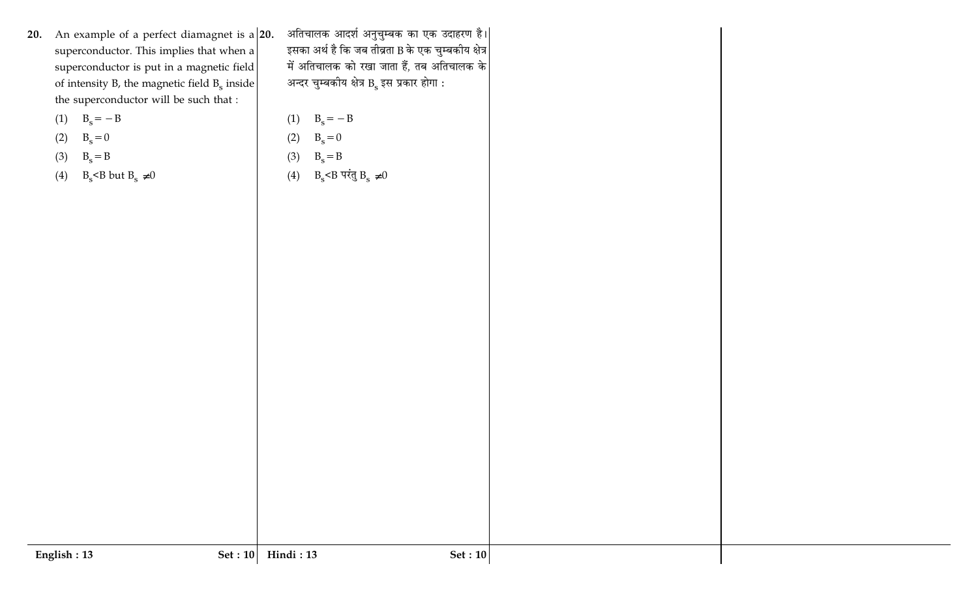- 20. An example of a perfect diamagnet is  $a|20$ . superconductor. This implies that when a superconductor is put in a magnetic field of intensity B, the magnetic field  $B_s$  inside the superconductor will be such that :
	- (1)  $B_s = -B$
	- $B_s = 0$  $(2)$
	- $B_s = B$  $(3)$
	- B<sub>s</sub> <B but B<sub>s</sub>  $\neq$  0  $(4)$

अतिचालक आदर्श अनुचुम्बक का एक उदाहरण है।| इसका अर्थ है कि जब तीव्रता B के एक चुम्बकीय क्षेत्र $\big|$ में अतिचालक को रखा जाता हैं, तब अतिचालक के अन्दर चुम्बकीय क्षेत्र  $\overline{B}_{\rm s}$  इस प्रकार होगा :

- $B_s = -B$  $(1)$  $B_s = 0$  $(2)$
- $B_s = B$  $(3)$
- $B_s$ <B परंतु  $B_s \neq 0$  $(4)$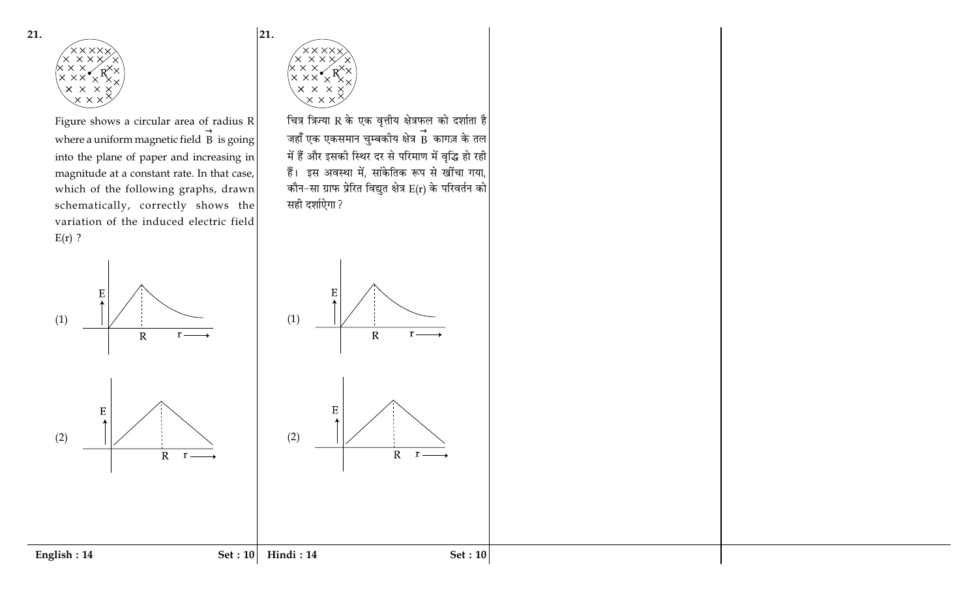

Figure shows a circular area of radius R where a uniform magnetic field  $\overrightarrow{B}$  is going into the plane of paper and increasing in magnitude at a constant rate. In that case, which of the following graphs, drawn schematically, correctly shows the variation of the induced electric field  $E(r)$ ?



English: 14



E

 ${\bf E}$ 

 $\rm R$ 

 $R$   $r$   $-$ 

 $(1)$ 

 $(2)$ 

21.

चित्र त्रिज्या R के एक वृत्तीय क्षेत्रफल को दर्शाता है जहाँ एक एकसमान चुम्बकीय क्षेत्र  $\stackrel{\rightarrow}{B}$  कागज़ के तल में हैं और इसकी स्थिर दर से परिमाण में वृद्धि हो रही हैं। इस अवस्था में, सांकेतिक रूप से खींचा गया, कौन-सा ग्राफ प्रेरित विद्युत क्षेत्र  $E(r)$  के परिवर्तन को सही दर्शाऐगा ?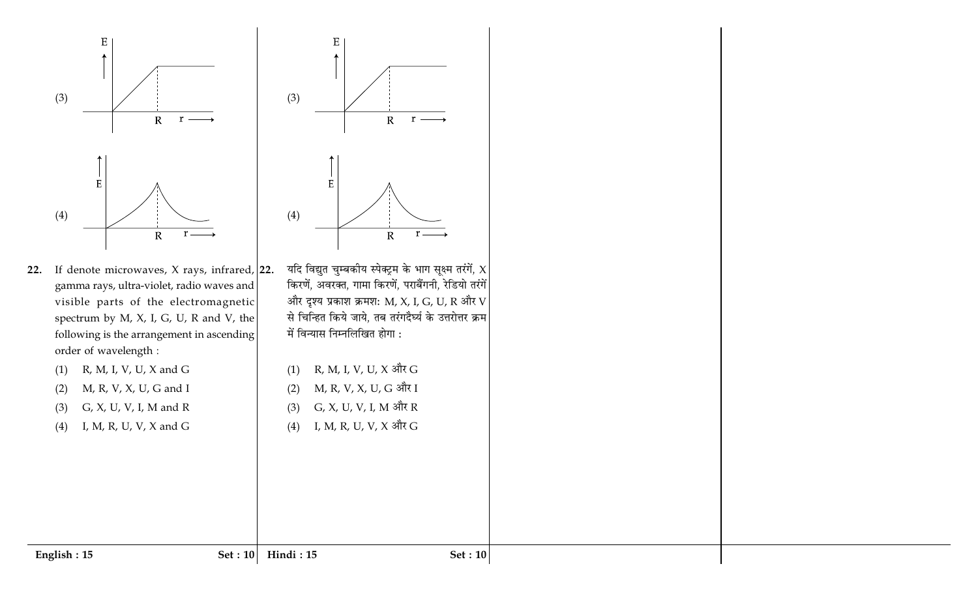

- 22. If denote microwaves,  $X$  rays, infrared, 22. gamma rays, ultra-violet, radio waves and visible parts of the electromagnetic spectrum by M, X, I, G, U, R and V, the following is the arrangement in ascending order of wavelength :
	- R, M, I, V, U, X and G  $(1)$
	- M, R, V, X, U, G and I  $(2)$
	- G, X, U, V, I, M and R  $(3)$
	- $(4)$ I, M, R, U, V, X and G



- यदि विद्युत चुम्बकीय स्पेक्ट्रम के भाग सूक्ष्म तरंगें,  $\chi$ किरणें, अवरक्त, गामा किरणें, पराबैंगनी, रेडियो तरंगें और दृश्य प्रकाश क्रमश: M, X, I, G, U, R और V से चिन्हित किये जाये, तब तरंगदैर्घ्य के उत्तरोत्तर क्रम में विन्यास निम्नलिखित होगा :
- R, M, I, V, U, X और G  $(1)$
- M, R, V, X, U, G और I  $(2)$
- G, X, U, V, I, M और R  $(3)$
- I, M, R, U, V, X और G  $(4)$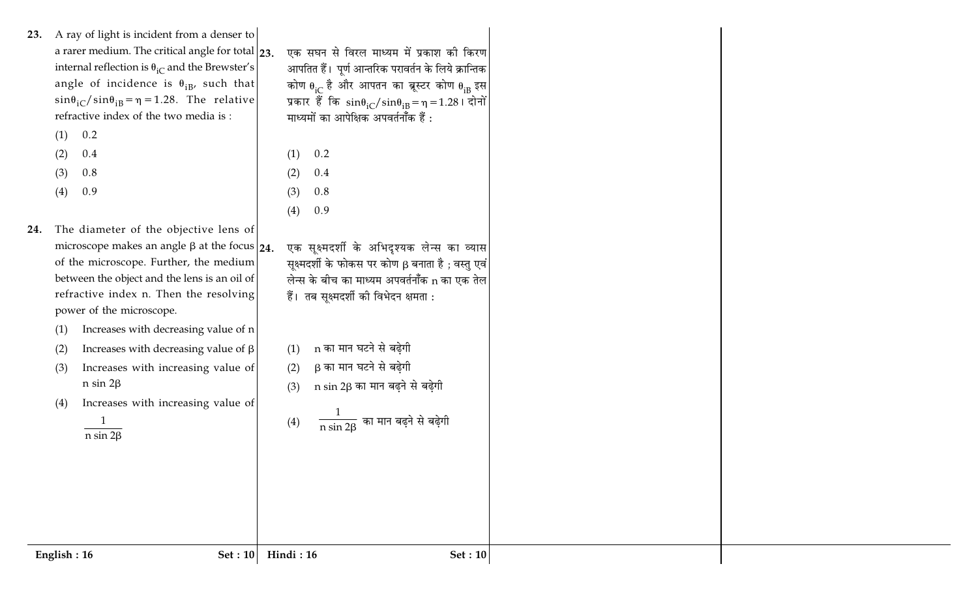- 23. A ray of light is incident from a denser to a rarer medium. The critical angle for total  $|23$ . internal reflection is  $\theta_{iC}$  and the Brewster's angle of incidence is  $\theta_{iB}$ , such that  $\sin\theta_{\text{iC}}/\sin\theta_{\text{iB}} = \eta = 1.28$ . The relative refractive index of the two media is:
	- $(1)$  0.2
	- $(2)$ 0.4
	- 0.8  $(3)$
	- 0.9  $(4)$
- 24. The diameter of the objective lens of microscope makes an angle  $\beta$  at the focus  $\vert_{24}$ . of the microscope. Further, the medium between the object and the lens is an oil of refractive index n. Then the resolving power of the microscope.
	- Increases with decreasing value of n  $(1)$
	- Increases with decreasing value of  $\beta$  $(2)$
	- $(3)$ Increases with increasing value of  $n \sin 2\beta$
	- Increases with increasing value of  $(4)$

 $\frac{1}{\ln \sin 2\beta}$ 

एक सघन से विरल माध्यम में प्रकाश की किरण आपतित हैं। पूर्ण आन्तरिक परावर्तन के लिये क्रान्तिक कोण  $\theta_{iC}$  है और आपतन का ब्रूस्टर कोण  $\theta_{iB}$  इस प्रकार हैं कि  $sin\theta_{iC}/sin\theta_{iB} = \eta = 1.28$ । दोनों माध्यमों का आपेक्षिक अपवर्तनॉॅंक हैं :

- $0.2$  $(1)$  $0.4$  $(2)$
- 0.8  $(3)$
- $(4)$ 0.9
- एक सूक्ष्मदर्शी के अभिदृश्यक लेन्स का व्यास सूक्ष्मदर्शी के फोकस पर कोण β बनाता है; वस्तु एवं लेन्स के बीच का माध्यम अपवर्तनॉंक n का एक तेल हैं। तब सुक्ष्मदर्शी की विभेदन क्षमता :
- $(1)$  n का मान घटने से बढेगी
- β का मान घटने से बढेगी  $(2)$
- (3)  $\overline{n}$  sin 2 $\beta$  का मान बढ़ने से बढ़ेगी
- $\frac{1}{\rm n \sin 2B}$  का मान बढ़ने से बढ़ेगी  $(4)$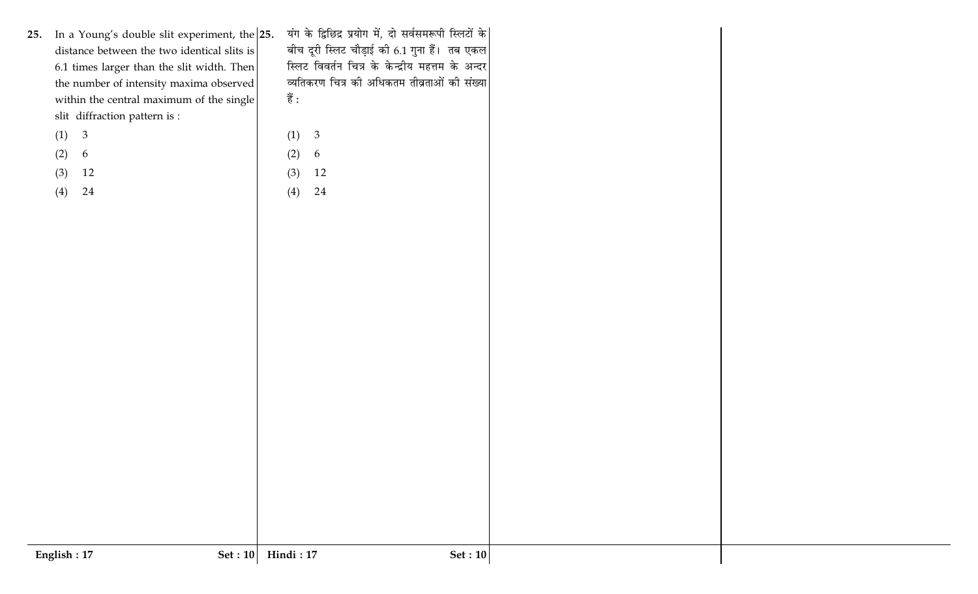यंग के द्विछिद्र प्रयोग में, दो सर्वसमरूपी स्लिटों के| 25. In a Young's double slit experiment, the  $|25$ . बीच दूरी स्लिट चौड़ाई की 6.1 गुना हैं। तब एकल distance between the two identical slits is स्लिट विवर्तन चित्र के केन्द्रीय महत्तम के अन्दर 6.1 times larger than the slit width. Then व्यतिकरण चित्र की अधिकतम तीव्रताओं की संख्या the number of intensity maxima observed  $\ddot{ }$ within the central maximum of the slit diffraction pattern is :  $(1) 3$  $(2)$ 6  $(3)$  12  $(4)$  24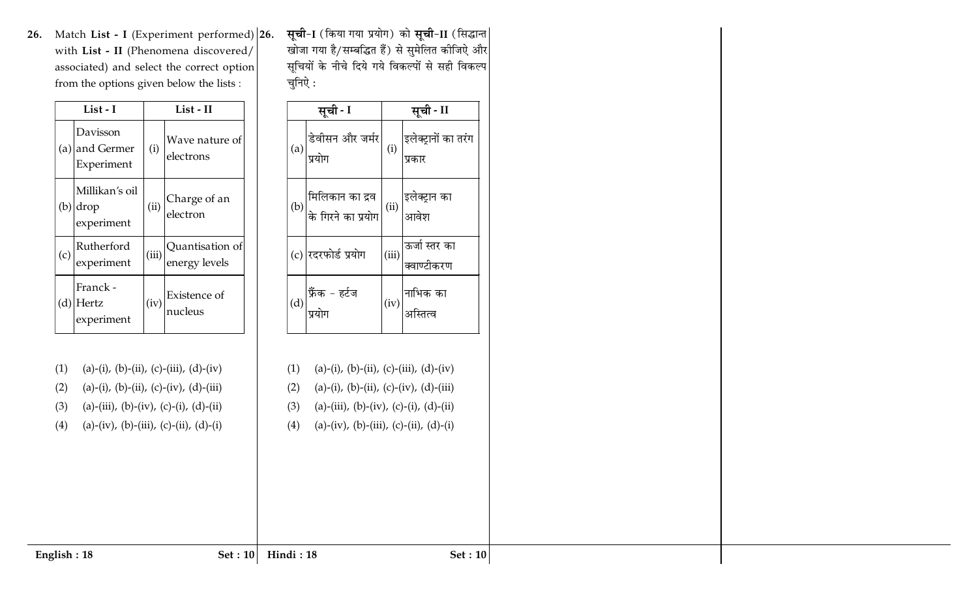$\bf 26.$  Match  $\bf List$  -  $\bf I$  (Experiment performed) with **List - II** (Phenomena discovered/ associated) and select the correct option from the options given below the lists :

|     | List - I                                 |       | List - II                        |  |  |
|-----|------------------------------------------|-------|----------------------------------|--|--|
|     | Davisson<br>(a) and Germer<br>Experiment | (i)   | Wave nature of<br>electrons      |  |  |
| (b) | Millikan's oil<br>drop<br>experiment     | (ii)  | Charge of an<br>electron         |  |  |
| (c) | Rutherford<br>experiment                 | (iii) | Quantisation of<br>energy levels |  |  |
| (d) | Franck-<br>Hertz<br>experiment           | (iv)  | Existence of<br>nucleus          |  |  |

**26. सूची-I** (किया गया प्रयोग) को **सूची-II** (सिद्धान्त खोजा गया है/सम्बद्धित हैं) से सुमेलित कीजिऐ और सूचियों के नीचे दिये गये विकल्पों से सही विकल्प चुनिऐ:

| सूची - I                                                                                                        | सूची - II                                             |
|-----------------------------------------------------------------------------------------------------------------|-------------------------------------------------------|
| (a) डेवीसन और जर्मर $\begin{pmatrix} 0 \end{pmatrix}$ इलेक्ट्रानों का तरंग                                      |                                                       |
| (b) मिलिकान का द्रव $\begin{pmatrix} 0 \end{pmatrix}$ के गिरने का प्रयोग $\begin{pmatrix} 0 \end{pmatrix}$ आवेश |                                                       |
| (c) रदरफोर्ड प्रयोग                                                                                             | (iii) <mark>ऊर्जा स्तर का</mark><br> <br> क्वाण्टीकरण |
| (d) <mark>फ्रैंक - हर्टज</mark><br>प्रयोग                                                                       | $\left(\mathrm{iv}\right)\Bigg _3$ अस्तित्व           |

(1) (a)-(i), (b)-(ii), (c)-(iii), (d)-(iv)

(4) (a)-(iv), (b)-(iii), (c)-(ii), (d)-(i)

(a)-(i), (b)-(ii), (c)-(iv), (d)-(iii)

(a)-(iii), (b)-(iv), (c)-(i), (d)-(ii)

- (1) (a)-(i), (b)-(ii), (c)-(iii), (d)-(iv)  $(2)$ (a)-(i), (b)-(ii), (c)-(iv), (d)-(iii)  $(3)$ (a)-(iii), (b)-(iv), (c)-(i), (d)-(ii)
- $(4)$ (a)-(iv), (b)-(iii), (c)-(ii), (d)-(i)

 $(2)$ 

 $(3)$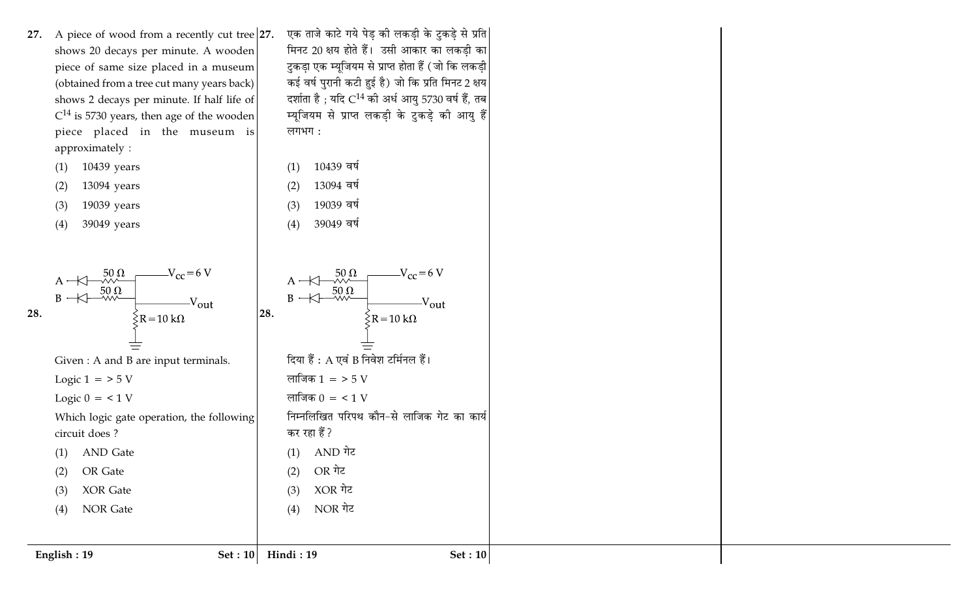- 27. A piece of wood from a recently cut tree  $|27$ . shows 20 decays per minute. A wooden piece of same size placed in a museum (obtained from a tree cut many years back) shows 2 decays per minute. If half life of  $C^{14}$  is 5730 years, then age of the wooden piece placed in the museum is approximately:
	- 10439 years  $(1)$
	- 13094 years  $(2)$
	- 19039 years  $(3)$
	- 39049 years  $(4)$

English: 19



एक ताजे काटे गये पेड़ की लकड़ी के टुकड़े से प्रति| मिनट 20 क्षय होते हैं। उसी आकार का लकडी का टुकड़ा एक म्यूजियम से प्राप्त होता हैं (जो कि लकड़ी कई वर्ष पुरानी कटी हुई है) जो कि प्रति मिनट 2 क्षय दर्शाता है ; यदि  $C^{14}$  की अर्ध आयु 5730 वर्ष हैं, तब म्यूजियम से प्राप्त लकडी के टुकडे की आयु हैं लगभग:

 $-V_{\rm CC} = 6 \text{ V}$ 

 $\zeta R = 10 k\Omega$ 

- 10439 वर्ष  $(1)$
- 13094 वर्ष  $(2)$
- 19039 वर्ष  $(3)$
- 39049 वर्ष  $(4)$

 $\frac{50}{50}$ <br> $\frac{2}{50}$ 

OR गेट

XOR गेट

NOR गेट

Set:  $10$  Hindi: 19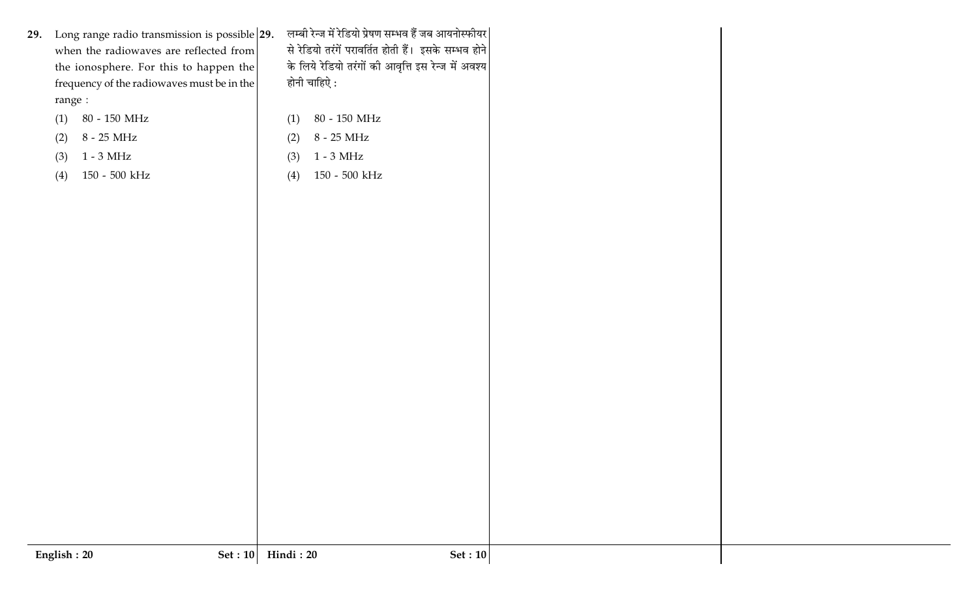|         | 29. Long range radio transmission is possible $29$ .<br>when the radiowaves are reflected from<br>the ionosphere. For this to happen the<br>frequency of the radiowaves must be in the |     | लम्बी रेन्ज में रेडियो प्रेषण सम्भव हैं जब आयनोस्फीयर<br>से रेडियो तरंगें परावर्तित होती हैं। इसके सम्भव होने<br>के लिये रेडियो तरंगों की आवृत्ति इस रेन्ज में अवश्य<br>होनी चाहिऐ : |
|---------|----------------------------------------------------------------------------------------------------------------------------------------------------------------------------------------|-----|--------------------------------------------------------------------------------------------------------------------------------------------------------------------------------------|
| range : |                                                                                                                                                                                        |     |                                                                                                                                                                                      |
| (1)     | $80$ - $150\ \mathrm{MHz}$                                                                                                                                                             | (1) | 80 - 150 MHz                                                                                                                                                                         |
| (2)     | $8$ - $25~\mathrm{MHz}$                                                                                                                                                                | (2) | $8$ - $25~\mathrm{MHz}$                                                                                                                                                              |
| (3)     | $1 - 3 MHz$                                                                                                                                                                            | (3) | $1 - 3$ MHz                                                                                                                                                                          |
| (4)     | $150$ - $500~\mathrm{kHz}$                                                                                                                                                             | (4) | $150$ - $500~\mathrm{kHz}$                                                                                                                                                           |
|         |                                                                                                                                                                                        |     |                                                                                                                                                                                      |
|         |                                                                                                                                                                                        |     |                                                                                                                                                                                      |
|         |                                                                                                                                                                                        |     |                                                                                                                                                                                      |
|         |                                                                                                                                                                                        |     |                                                                                                                                                                                      |
|         |                                                                                                                                                                                        |     |                                                                                                                                                                                      |
|         |                                                                                                                                                                                        |     |                                                                                                                                                                                      |
|         |                                                                                                                                                                                        |     |                                                                                                                                                                                      |
|         |                                                                                                                                                                                        |     |                                                                                                                                                                                      |
|         |                                                                                                                                                                                        |     |                                                                                                                                                                                      |
|         |                                                                                                                                                                                        |     |                                                                                                                                                                                      |
|         |                                                                                                                                                                                        |     |                                                                                                                                                                                      |
|         |                                                                                                                                                                                        |     |                                                                                                                                                                                      |
|         |                                                                                                                                                                                        |     |                                                                                                                                                                                      |
|         |                                                                                                                                                                                        |     |                                                                                                                                                                                      |
|         |                                                                                                                                                                                        |     |                                                                                                                                                                                      |
|         |                                                                                                                                                                                        |     |                                                                                                                                                                                      |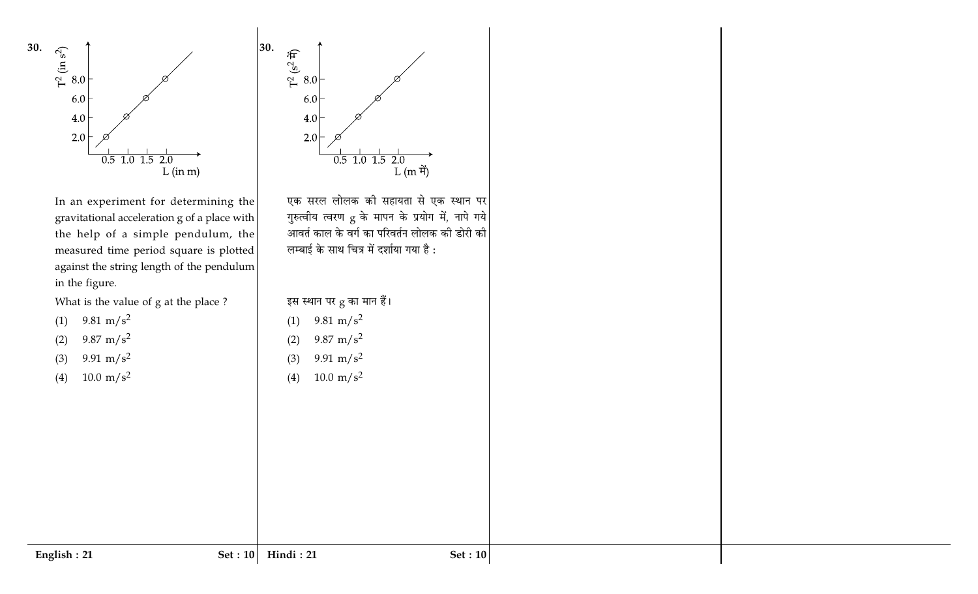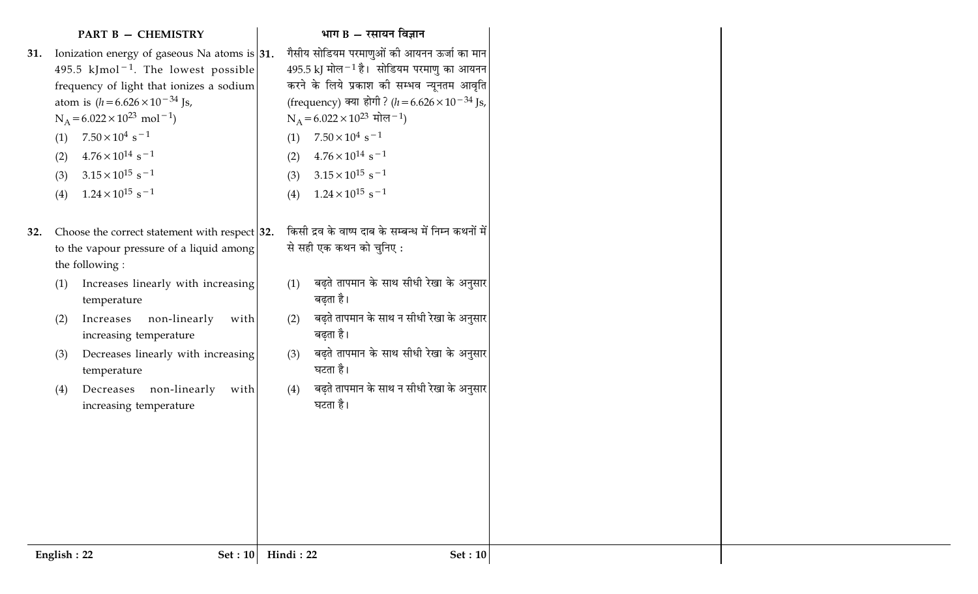|     |             | <b>PART B - CHEMISTRY</b>                         |           | भाग $B - \tau$ सायन विज्ञान                              |
|-----|-------------|---------------------------------------------------|-----------|----------------------------------------------------------|
| 31. |             | Ionization energy of gaseous Na atoms is $ 31$ .  |           | गैसीय सोडियम परमाणुओं की आयनन ऊर्जा का मान               |
|     |             | 495.5 kJmol <sup>-1</sup> . The lowest possible   |           | 495.5 kJ मोल $^{-1}$ है। सोडियम परमाणु का आयनन           |
|     |             | frequency of light that ionizes a sodium          |           | करने के लिये प्रकाश की सम्भव न्यूनतम आवृति               |
|     |             | atom is $(h = 6.626 \times 10^{-34} \text{Js}$ ,  |           | (frequency) क्या होगी? ( $h = 6.626 \times 10^{-34}$ Js, |
|     |             | $N_A = 6.022 \times 10^{23}$ mol <sup>-1</sup> )  |           | $N_A = 6.022 \times 10^{23}$ मोल <sup>-1</sup> )         |
|     | (1)         | $7.50 \times 10^4$ s <sup>-1</sup>                | (1)       | $7.50 \times 10^4$ s <sup>-1</sup>                       |
|     | (2)         | $4.76 \times 10^{14}$ s <sup>-1</sup>             | (2)       | $4.76 \times 10^{14}$ s <sup>-1</sup>                    |
|     | (3)         | $3.15 \times 10^{15}$ s <sup>-1</sup>             | (3)       | $3.15 \times 10^{15}$ s <sup>-1</sup>                    |
|     | (4)         | $1.24 \times 10^{15}$ s <sup>-1</sup>             | (4)       | $1.24 \times 10^{15}$ s <sup>-1</sup>                    |
|     |             |                                                   |           |                                                          |
| 32. |             | Choose the correct statement with respect $ 32$ . |           | किसी द्रव के वाष्प दाब के सम्बन्ध में निम्न कथनों में    |
|     |             | to the vapour pressure of a liquid among          |           | से सही एक कथन को चुनिए :                                 |
|     |             | the following :                                   |           |                                                          |
|     | (1)         | Increases linearly with increasing                | (1)       | बढ़ते तापमान के साथ सीधी रेखा के अनुसार                  |
|     |             | temperature                                       |           | बढ़ता है।                                                |
|     | (2)         | Increases non-linearly<br>with                    | (2)       | बढ़ते तापमान के साथ न सीधी रेखा के अनुसार                |
|     |             | increasing temperature                            |           | बढ़ता है।                                                |
|     | (3)         | Decreases linearly with increasing                | (3)       | बढ़ते तापमान के साथ सीधी रेखा के अनुसार                  |
|     |             | temperature                                       |           | घटता है।                                                 |
|     | (4)         | Decreases non-linearly<br>with                    | (4)       | बढ़ते तापमान के साथ न सीधी रेखा के अनुसार                |
|     |             | increasing temperature                            |           | घटता है।                                                 |
|     |             |                                                   |           |                                                          |
|     |             |                                                   |           |                                                          |
|     |             |                                                   |           |                                                          |
|     |             |                                                   |           |                                                          |
|     |             |                                                   |           |                                                          |
|     |             |                                                   |           |                                                          |
|     |             |                                                   |           |                                                          |
|     | English: 22 | Set: 10                                           | Hindi: 22 | Set: $10$                                                |
|     |             |                                                   |           |                                                          |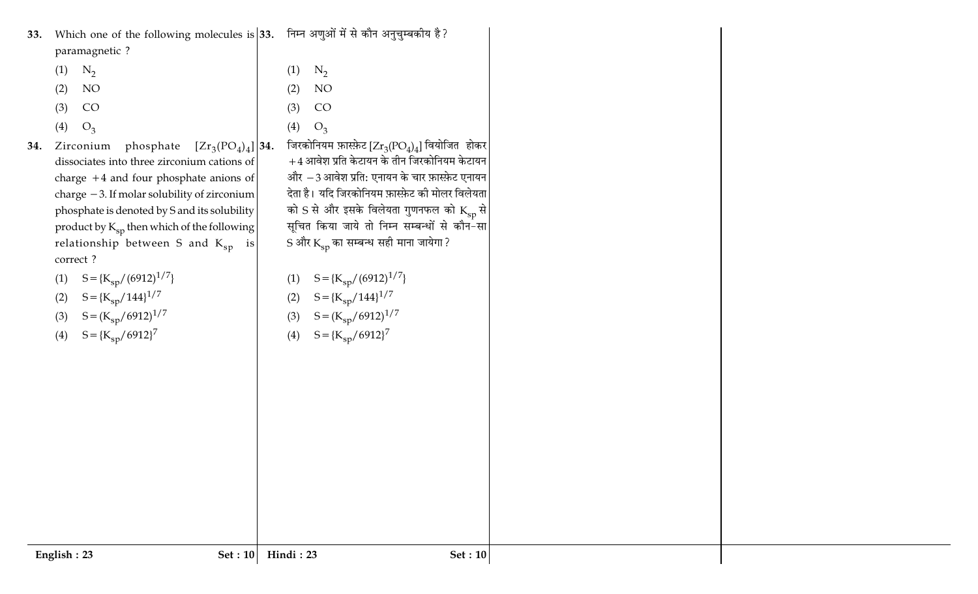| 33.<br>paramagnetic ?                                                                                                                                                                                                                                                                                                                                                                                                                                                                                                           | Which one of the following molecules is 33. निम्न अणुओं में से कौन अनुचुम्बकीय है?                                                                                                                                                                                                                                                                                                                                                                                                                      |  |
|---------------------------------------------------------------------------------------------------------------------------------------------------------------------------------------------------------------------------------------------------------------------------------------------------------------------------------------------------------------------------------------------------------------------------------------------------------------------------------------------------------------------------------|---------------------------------------------------------------------------------------------------------------------------------------------------------------------------------------------------------------------------------------------------------------------------------------------------------------------------------------------------------------------------------------------------------------------------------------------------------------------------------------------------------|--|
| $N_2$<br>(1)                                                                                                                                                                                                                                                                                                                                                                                                                                                                                                                    | $N_2$<br>(1)                                                                                                                                                                                                                                                                                                                                                                                                                                                                                            |  |
| NO<br>(2)                                                                                                                                                                                                                                                                                                                                                                                                                                                                                                                       | (2)<br>NO                                                                                                                                                                                                                                                                                                                                                                                                                                                                                               |  |
| CO<br>(3)                                                                                                                                                                                                                                                                                                                                                                                                                                                                                                                       | CO<br>(3)                                                                                                                                                                                                                                                                                                                                                                                                                                                                                               |  |
| $O_3$<br>(4)                                                                                                                                                                                                                                                                                                                                                                                                                                                                                                                    | (4)<br>$O_3$                                                                                                                                                                                                                                                                                                                                                                                                                                                                                            |  |
| phosphate<br>$\left[{\rm Zr}_3({\rm PO}_4)_4\right]$ 34.<br>Zirconium<br>34.<br>dissociates into three zirconium cations of<br>charge $+4$ and four phosphate anions of<br>charge $-3$ . If molar solubility of zirconium<br>phosphate is denoted by S and its solubility<br>product by $K_{sp}$ then which of the following<br>relationship between S and $K_{sp}$ is<br>correct?<br>$S = {K_{sp}/(6912)^{1/7}}$<br>(1)<br>$S = {K_{sp}/144}^{1/7}$<br>(2)<br>$S = (K_{sp}/6912)^{1/7}$<br>(3)<br>$S = {K_{sp}/6912}^7$<br>(4) | जिरकोनियम फ़ास्फ़ेट [ $Zr_3(PO_4)_4$ ] वियोजित होकर<br>$+4$ आवेश प्रति केटायन के तीन जिरकोनियम केटायन<br>और -3 आवेश प्रति: एनायन के चार फ़ास्फ़ेट एनायन<br>देता है। यदि जिरकोनियम फ़ास्फ़ेट की मोलर विलेयता<br>को S से और इसके विलेयता गुणनफल को $\rm{K}_{sp}$ से<br>सूचित किया जाये तो निम्न सम्बन्धों से कौन-सा<br>S और Ksp का सम्बन्ध सही माना जायेगा ?<br>$S = {K_{sp}/(6912)^{1/7}}$<br>(1)<br>$S = {K_{sp}/144}^{1/7}$<br>(2)<br>$S = (K_{sp}/6912)^{1/7}$<br>(3)<br>$S = {K_{sp}/6912}^7$<br>(4) |  |
|                                                                                                                                                                                                                                                                                                                                                                                                                                                                                                                                 |                                                                                                                                                                                                                                                                                                                                                                                                                                                                                                         |  |
| English: 23<br><b>Set: 10</b>                                                                                                                                                                                                                                                                                                                                                                                                                                                                                                   | Hindi: 23<br><b>Set: 10</b>                                                                                                                                                                                                                                                                                                                                                                                                                                                                             |  |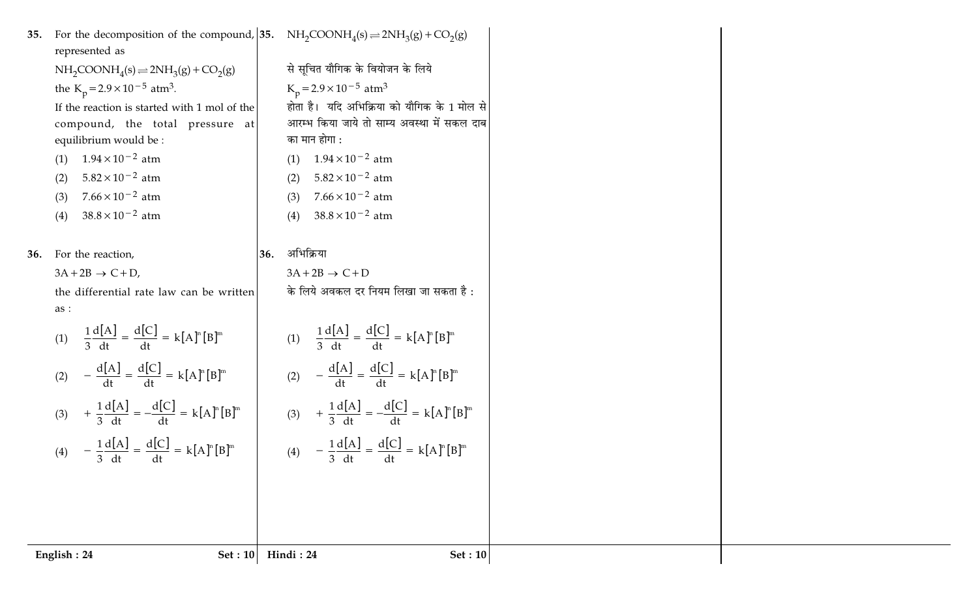| 35. | For the decomposition of the compound, 35. NH <sub>2</sub> COONH <sub>4</sub> (s) $\rightleftharpoons$ 2NH <sub>3</sub> (g) + CO <sub>2</sub> (g)<br>represented as |                                                                        |
|-----|---------------------------------------------------------------------------------------------------------------------------------------------------------------------|------------------------------------------------------------------------|
|     | $NH2COONH4(s) \Rightarrow 2NH3(g) + CO2(g)$                                                                                                                         | से सूचित यौगिक के वियोजन के लिये                                       |
|     | the K <sub>p</sub> =2.9×10 <sup>-5</sup> atm <sup>3</sup> .                                                                                                         | $K_p = 2.9 \times 10^{-5}$ atm <sup>3</sup>                            |
|     | If the reaction is started with 1 mol of the                                                                                                                        | होता है।  यदि अभिक्रिया को यौगिक के 1 मोल से                           |
|     | compound, the total pressure at                                                                                                                                     | आरम्भ किया जाये तो साम्य अवस्था में सकल दाब                            |
|     | equilibrium would be :                                                                                                                                              | का मान होगा :                                                          |
|     | $1.94 \times 10^{-2}$ atm<br>(1)                                                                                                                                    | $1.94 \times 10^{-2}$ atm<br>(1)                                       |
|     | $5.82 \times 10^{-2}$ atm<br>(2)                                                                                                                                    | $5.82 \times 10^{-2}$ atm<br>(2)                                       |
|     | $7.66 \times 10^{-2}$ atm<br>(3)                                                                                                                                    | $7.66 \times 10^{-2}$ atm<br>(3)                                       |
|     | $38.8 \times 10^{-2}$ atm<br>(4)                                                                                                                                    | $38.8 \times 10^{-2}$ atm<br>(4)                                       |
|     |                                                                                                                                                                     |                                                                        |
| 36. | For the reaction,<br>36.                                                                                                                                            | अभिक्रिया                                                              |
|     | $3A+2B \rightarrow C+D$ ,                                                                                                                                           | $3A+2B \rightarrow C+D$                                                |
|     | the differential rate law can be written                                                                                                                            | के लिये अवकल दर नियम लिखा जा सकता है:                                  |
|     | as:                                                                                                                                                                 |                                                                        |
|     | (1) $\frac{1}{3} \frac{d[A]}{dt} = \frac{d[C]}{dt} = k[A]^n [B]^m$                                                                                                  | (1) $\frac{1}{3} \frac{d[A]}{dt} = \frac{d[C]}{dt} = k[A]^n [B]^m$     |
|     | (2) $-\frac{d[A]}{dt} = \frac{d[C]}{dt} = k[A]^n [B]^m$                                                                                                             | (2) $-\frac{d[A]}{dt} = \frac{d[C]}{dt} = k[A]^{n}[B]^{m}$             |
|     | (3) $+ \frac{1}{3} \frac{d[A]}{dt} = -\frac{d[C]}{dt} = k[A]^n [B]^m$                                                                                               | (3) $+ \frac{1}{3} \frac{d[A]}{dt} = - \frac{d[C]}{dt} = k[A]^n [B]^m$ |
|     | (4) $-\frac{1}{3}\frac{d[A]}{dt} = \frac{d[C]}{dt} = k[A]^n[B]^m$                                                                                                   | (4) $-\frac{1}{3}\frac{d[A]}{dt} = \frac{d[C]}{dt} = k[A]^n[B]^m$      |
|     |                                                                                                                                                                     |                                                                        |
|     |                                                                                                                                                                     |                                                                        |
|     |                                                                                                                                                                     |                                                                        |
|     |                                                                                                                                                                     |                                                                        |
|     | English: 24<br><b>Set: 10</b>                                                                                                                                       | Hindi: 24<br>Set: 10                                                   |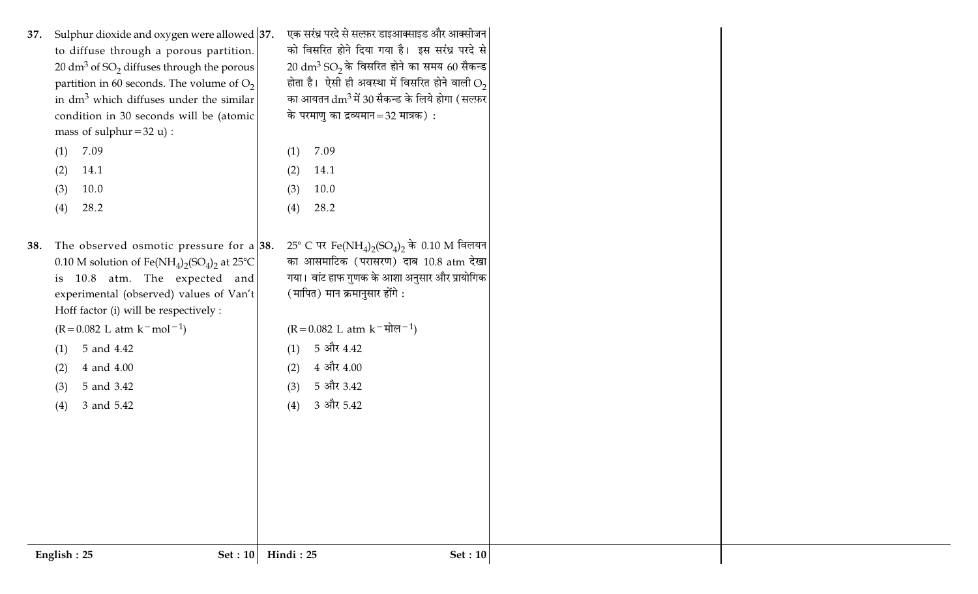| Sulphur dioxide and oxygen were allowed 37.<br>37.<br>to diffuse through a porous partition.<br>20 dm <sup>3</sup> of SO <sub>2</sub> diffuses through the porous<br>partition in 60 seconds. The volume of $O_2$<br>in $dm3$ which diffuses under the similar<br>condition in 30 seconds will be (atomic<br>mass of sulphur = $32 u$ :<br>7.09<br>(1)<br>14.1<br>(2)<br>10.0<br>(3)<br>28.2<br>(4)                                  | (1)<br>(2)<br>(3)<br>(4) | एक सरंध्र परदे से सल्फ़र डाइआक्साइड और आक्सीजन<br>को विसरित होने दिया गया है। इस सरंध्र परदे से<br>$20 \text{ dm}^3$ SO <sub>2</sub> के विसरित होने का समय 60 सैकन्ड<br>होता है। ऐसी ही अवस्था में विसरित होने वाली $O_2$<br>का आयतन $\rm{dm^3}$ में 30 सैकन्ड के लिये होगा (सल्फ़र $ $<br>के परमाणु का द्रव्यमान=32 मात्रक) :<br>7.09<br>14.1<br>10.0<br>28.2 |
|--------------------------------------------------------------------------------------------------------------------------------------------------------------------------------------------------------------------------------------------------------------------------------------------------------------------------------------------------------------------------------------------------------------------------------------|--------------------------|----------------------------------------------------------------------------------------------------------------------------------------------------------------------------------------------------------------------------------------------------------------------------------------------------------------------------------------------------------------|
| The observed osmotic pressure for a $ 38$ .<br>38.<br>0.10 M solution of Fe(NH <sub>4</sub> ) <sub>2</sub> (SO <sub>4</sub> ) <sub>2</sub> at 25 <sup>o</sup> C<br>is 10.8 atm. The expected and<br>experimental (observed) values of Van't<br>Hoff factor (i) will be respectively :<br>$(R = 0.082$ L atm $k$ <sup>-</sup> mol <sup>-1</sup> )<br>5 and 4.42<br>(1)<br>4 and 4.00<br>(2)<br>5 and 3.42<br>(3)<br>3 and 5.42<br>(4) | (1)<br>(2)<br>(3)<br>(4) | 25° C पर Fe(NH <sub>4</sub> ) <sub>2</sub> (SO <sub>4</sub> ) <sub>2</sub> के 0.10 M विलयन<br>का आसमाटिक (परासरण) दाब 10.8 atm देखा<br>गया। वांट हाफ गुणक के आशा अनुसार और प्रायोगिक<br>(मापित) मान क्रमानुसार होंगे :<br>$(R = 0.082$ L atm $k^{-\frac{1}{2}}$<br>5 और 4.42<br>$4\,$ और $4.00\,$<br>5 और 3.42<br>3 और 5.42                                    |
| English: 25                                                                                                                                                                                                                                                                                                                                                                                                                          | Hindi: 25<br>Set : $10$  | <b>Set</b> : 10                                                                                                                                                                                                                                                                                                                                                |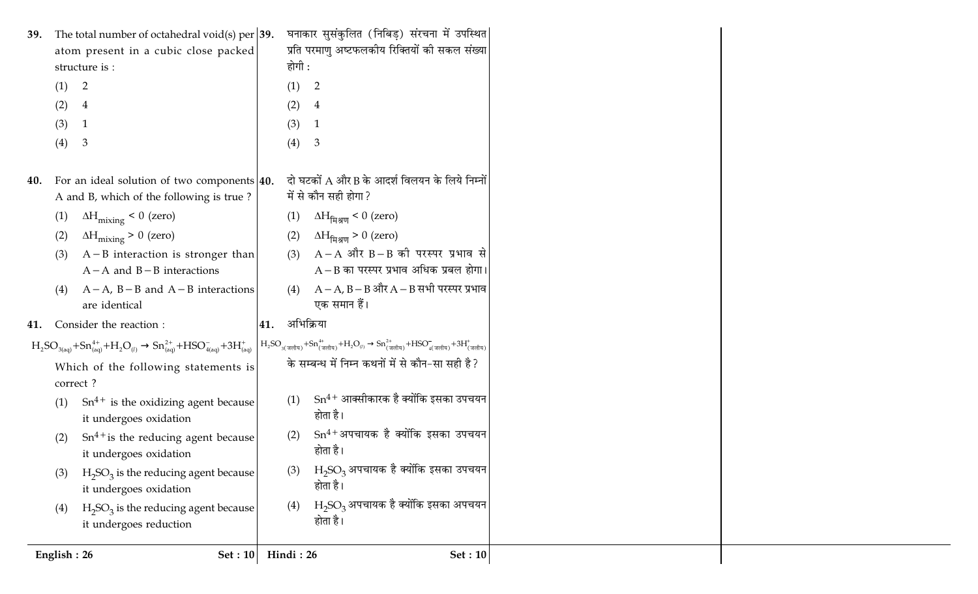| 39.         | The total number of octahedral void(s) per $ 39.$                                                      |           | घनाकार सुसंकुलित (निबिड़) संरचना में उपस्थित                                                                                                                                                                                                                                                    |
|-------------|--------------------------------------------------------------------------------------------------------|-----------|-------------------------------------------------------------------------------------------------------------------------------------------------------------------------------------------------------------------------------------------------------------------------------------------------|
|             | atom present in a cubic close packed                                                                   |           | प्रति परमाणु अष्टफलकीय रिक्तियों की सकल संख्या                                                                                                                                                                                                                                                  |
|             | structure is :                                                                                         | होगी :    |                                                                                                                                                                                                                                                                                                 |
| (1)         | $\overline{2}$                                                                                         | (1)       | 2                                                                                                                                                                                                                                                                                               |
| (2)         | $\overline{4}$                                                                                         | (2)       | $\overline{4}$                                                                                                                                                                                                                                                                                  |
| (3)         |                                                                                                        | (3)       | $\mathbf{1}$                                                                                                                                                                                                                                                                                    |
| (4)         | $\mathbf{3}$                                                                                           | (4)       | $\mathbf{3}$                                                                                                                                                                                                                                                                                    |
| 40.         | For an ideal solution of two components $ 40$ .                                                        |           | दो घटकों A और B के आदर्श विलयन के लिये निम्नों                                                                                                                                                                                                                                                  |
|             | A and B, which of the following is true?                                                               |           | में से कौन सही होगा ?                                                                                                                                                                                                                                                                           |
| (1)         | $\Delta H_{mixing}$ < 0 (zero)                                                                         | (1)       | $\Delta H_{\text{Haym}}$ < 0 (zero)                                                                                                                                                                                                                                                             |
| (2)         | $\Delta H_{\text{mixing}} > 0$ (zero)                                                                  | (2)       | $\Delta H_{\text{Haym}}$ > 0 (zero)                                                                                                                                                                                                                                                             |
| (3)         | $A - B$ interaction is stronger than                                                                   | (3)       | $A - A$ और $B - B$ की परस्पर प्रभाव से                                                                                                                                                                                                                                                          |
|             | $A - A$ and $B - B$ interactions                                                                       |           | $A - B$ का परस्पर प्रभाव अधिक प्रबल होगा।                                                                                                                                                                                                                                                       |
| (4)         | $A - A$ , $B - B$ and $A - B$ interactions                                                             | (4)       | $A - A$ , B – B और $A - B$ सभी परस्पर प्रभाव                                                                                                                                                                                                                                                    |
|             | are identical                                                                                          |           | एक समान हैं।                                                                                                                                                                                                                                                                                    |
| 41.         | Consider the reaction :                                                                                | 41.       | अभिक्रिया                                                                                                                                                                                                                                                                                       |
|             | $H_2SO_{3(aq)} + Sn_{(aq)}^{4+} + H_2O_{(l)} \rightarrow Sn_{(aq)}^{2+} + HSO_{4(aq)}^- + 3H_{(aq)}^+$ |           | $H_2SO_{3(\overline{3}q\overline{q}q\overline{q}q)} + Sn_{(\overline{3}q\overline{q}q\overline{q}q)}^{4+} + H_2O_{(l)} \rightarrow Sn_{(\overline{3}q\overline{q}q\overline{q}q)}^{2+} + HSO_{4(\overline{3}q\overline{q}q\overline{q}q)} + 3H_{(\overline{3}q\overline{q}q\overline{q}q)}^{+}$ |
|             | Which of the following statements is                                                                   |           | के सम्बन्ध में निम्न कथनों में से कौन-सा सही है?                                                                                                                                                                                                                                                |
|             | correct?                                                                                               |           |                                                                                                                                                                                                                                                                                                 |
| (1)         | $Sn^{4+}$ is the oxidizing agent because<br>it undergoes oxidation                                     | (1)       | $Sn^{4+}$ आक्सीकारक है क्योंकि इसका उपचयन<br>होता है।                                                                                                                                                                                                                                           |
| (2)         | $Sn^{4+}$ is the reducing agent because<br>it undergoes oxidation                                      | (2)       | $Sn^{4+}$ अपचायक है क्योंकि इसका उपचयन<br>होता है।                                                                                                                                                                                                                                              |
| (3)         | $H_2SO_3$ is the reducing agent because<br>it undergoes oxidation                                      | (3)       | $H_2SO_3$ अपचायक है क्योंकि इसका उपचयन<br>होता है।                                                                                                                                                                                                                                              |
| (4)         | $H_2SO_3$ is the reducing agent because<br>it undergoes reduction                                      | (4)       | $H2SO3$ अपचायक है क्योंकि इसका अपचयन<br>होता है।                                                                                                                                                                                                                                                |
| English: 26 | Set: 10                                                                                                | Hindi: 26 | Set: 10                                                                                                                                                                                                                                                                                         |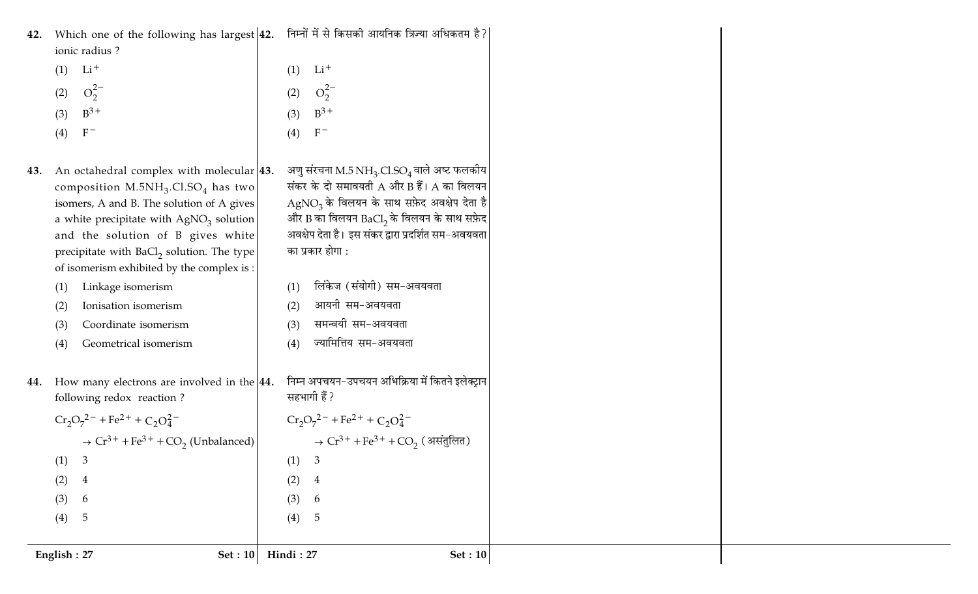|     | English: 27<br><b>Set: 10</b>                                                                                                                                                                                                                                     | Hindi: 27<br><b>Set: 10</b>                                                                                                                                                                                                        |
|-----|-------------------------------------------------------------------------------------------------------------------------------------------------------------------------------------------------------------------------------------------------------------------|------------------------------------------------------------------------------------------------------------------------------------------------------------------------------------------------------------------------------------|
|     |                                                                                                                                                                                                                                                                   |                                                                                                                                                                                                                                    |
|     | (4)<br>5                                                                                                                                                                                                                                                          | (4)<br>5                                                                                                                                                                                                                           |
|     | (3)<br>6                                                                                                                                                                                                                                                          | (3)<br>6                                                                                                                                                                                                                           |
|     | (2)<br>$\overline{4}$                                                                                                                                                                                                                                             | (2)<br>$\overline{4}$                                                                                                                                                                                                              |
|     | $\mathfrak{Z}$<br>(1)                                                                                                                                                                                                                                             | (1)<br>3                                                                                                                                                                                                                           |
|     | $\rightarrow$ Cr <sup>3+</sup> + Fe <sup>3+</sup> + CO <sub>2</sub> (Unbalanced)                                                                                                                                                                                  | $\rightarrow$ Cr <sup>3+</sup> + Fe <sup>3+</sup> + CO <sub>2</sub> (असंतुलित)                                                                                                                                                     |
|     | $Cr_2O_7^{2-} + Fe^{2+} + C_2O_4^{2-}$                                                                                                                                                                                                                            | $Cr_2O_7^{2-} + Fe^{2+} + C_2O_4^{2-}$                                                                                                                                                                                             |
| 44. | How many electrons are involved in the $ 44$ .<br>following redox reaction?                                                                                                                                                                                       | निम्न अपचयन-उपचयन अभिक्रिया में कितने इलेक्ट्रान<br>सहभागी हैं ?                                                                                                                                                                   |
|     | Geometrical isomerism<br>(4)                                                                                                                                                                                                                                      | ज्यामित्तिय सम-अवयवता<br>(4)                                                                                                                                                                                                       |
|     | Coordinate isomerism<br>(3)                                                                                                                                                                                                                                       | समन्वयी सम-अवयवता<br>(3)                                                                                                                                                                                                           |
|     | Ionisation isomerism<br>(2)                                                                                                                                                                                                                                       | आयनी सम-अवयवता<br>(2)                                                                                                                                                                                                              |
|     | Linkage isomerism<br>(1)                                                                                                                                                                                                                                          | लिंकेज (संयोगी) सम-अवयवता<br>(1)                                                                                                                                                                                                   |
|     | composition $M.5NH_3.Cl.SO_4$ has two<br>isomers, A and B. The solution of A gives<br>a white precipitate with $AgNO3$ solution<br>and the solution of B gives white<br>precipitate with $BaCl2$ solution. The type<br>of isomerism exhibited by the complex is : | संकर के दो समावयती $A$ और $B$ हैं। $A$ का विलयन<br>AgNO <sub>3</sub> के विलयन के साथ सफ़ेद अवक्षेप देता है<br>और B का विलयन BaCl, के विलयन के साथ सफ़ेद<br>अवक्षेप देता है। इस संकर द्वारा प्रदर्शित सम-अवयवता<br>का प्रकार होगा : |
| 43. | $F^-$<br>(4)<br>An octahedral complex with molecular 43.                                                                                                                                                                                                          | $F^-$<br>(4)<br>अणु संरचना M.5 NH <sub>3</sub> .Cl.SO <sub>4</sub> वाले अष्ट फलकीय                                                                                                                                                 |
|     | $B^3$ +<br>(3)                                                                                                                                                                                                                                                    | $B^3$ +<br>(3)                                                                                                                                                                                                                     |
|     | $O_2^{2-}$<br>(2)                                                                                                                                                                                                                                                 | $O_2^{2-}$<br>(2)                                                                                                                                                                                                                  |
|     | $Li+$<br>(1)                                                                                                                                                                                                                                                      | $Li+$<br>(1)                                                                                                                                                                                                                       |
| 42. | Which one of the following has largest $ 42$ .<br>ionic radius?                                                                                                                                                                                                   | निम्नों में से किसकी आयनिक त्रिज्या अधिकतम है?                                                                                                                                                                                     |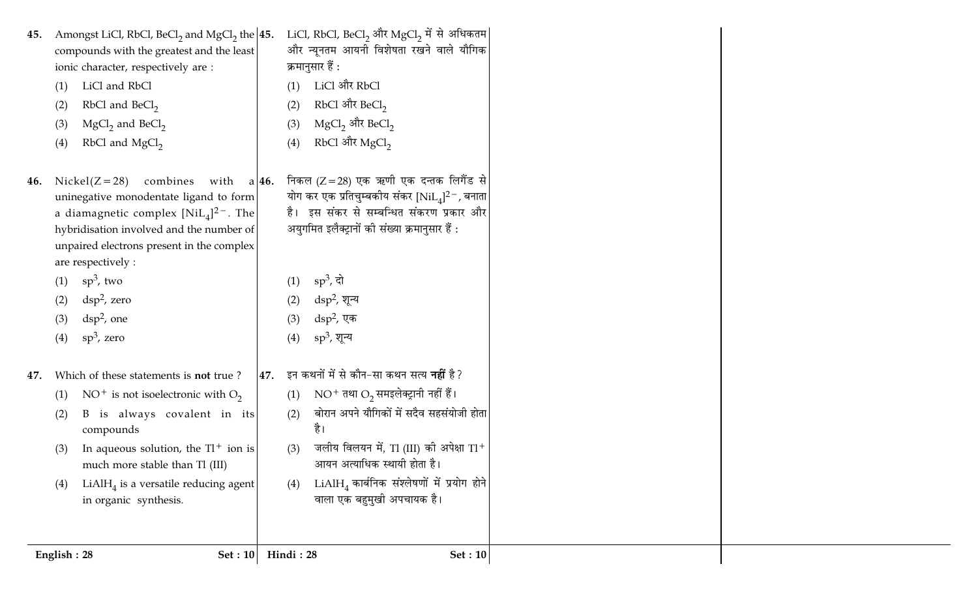| RbCl and $MgCl2$<br>(4)<br>(4)<br>निकल (Z = 28) एक ऋणी एक दन्तक लिगैंड से<br>combines<br>$Nickel(Z=28)$<br>with $a/46$ .<br>योग कर एक प्रतिचुम्बकीय संकर $[NiL_4]^2$ , बनाता<br>uninegative monodentate ligand to form<br>है। इस संकर से सम्बन्धित संकरण प्रकार और<br>a diamagnetic complex $[NiL_4]^{2-}$ . The<br>अयुगमित इलैक्ट्रानों की संख्या क्रमानुसार हैं :<br>hybridisation involved and the number of<br>unpaired electrons present in the complex<br>are respectively :<br>$sp^3$ , दो<br>$sp^3$ , two<br>(1)<br>(1)<br>$\text{dsp}^2$ , zero<br>$\rm{dsp^2}$ , शून्य<br>(2)<br>(2)<br>$\rm{dsp^2}$ , एक<br>$\rm{dsp}^2$ , one<br>(3)<br>(3)<br>$sp^3$ , शून्य<br>$sp^3$ , zero<br>(4)<br>(4)<br>इन कथनों में से कौन-सा कथन सत्य <b>नहीं</b> है?<br>Which of these statements is not true?<br>47.<br>$NO^{+}$ तथा $O_{2}$ समइलेक्ट्रानी नहीं हैं।<br>NO <sup>+</sup> is not isoelectronic with $O_2$<br>(1)<br>(1)<br>बोरान अपने यौगिकों में सदैव सहसंयोजी होता<br>B is always covalent in its<br>(2)<br>(2)<br>है।<br>compounds<br>जलीय विलयन में, Tl (III) की अपेक्षा Tl <sup>+</sup><br>In aqueous solution, the $TI^+$ ion is<br>(3)<br>(3)<br>आयन अत्याधिक स्थायी होता है।<br>much more stable than Tl (III)<br>$LiAlH4$ कार्बनिक संश्लेषणों में प्रयोग होने<br>$LiAlH4$ is a versatile reducing agent<br>(4)<br>(4)<br>वाला एक बहुमुखी अपचायक है।<br>in organic synthesis. | 45.<br>(1)<br>(2)<br>(3) | Amongst LiCl, RbCl, BeCl <sub>2</sub> and MgCl <sub>2</sub> the $ 45$ .<br>compounds with the greatest and the least<br>ionic character, respectively are :<br>LiCl and RbCl<br>RbCl and BeCl <sub>2</sub><br>$MgCl2$ and BeCl <sub>2</sub> | (1)<br>(2)<br>(3) | LiCl, RbCl, BeCl, और MgCl, में से अधिकतम<br>और न्यूनतम आयनी विशेषता रखने वाले यौगिक<br>क्रमानुसार हैं :<br>LiCl और RbCl<br>RbCl और BeCl <sub>2</sub><br>MgCl <sub>2</sub> और BeCl <sub>2</sub> |
|---------------------------------------------------------------------------------------------------------------------------------------------------------------------------------------------------------------------------------------------------------------------------------------------------------------------------------------------------------------------------------------------------------------------------------------------------------------------------------------------------------------------------------------------------------------------------------------------------------------------------------------------------------------------------------------------------------------------------------------------------------------------------------------------------------------------------------------------------------------------------------------------------------------------------------------------------------------------------------------------------------------------------------------------------------------------------------------------------------------------------------------------------------------------------------------------------------------------------------------------------------------------------------------------------------------------------------------------------------------------------------------------|--------------------------|---------------------------------------------------------------------------------------------------------------------------------------------------------------------------------------------------------------------------------------------|-------------------|------------------------------------------------------------------------------------------------------------------------------------------------------------------------------------------------|
|                                                                                                                                                                                                                                                                                                                                                                                                                                                                                                                                                                                                                                                                                                                                                                                                                                                                                                                                                                                                                                                                                                                                                                                                                                                                                                                                                                                             | 46.                      |                                                                                                                                                                                                                                             |                   | RbCl और MgCl <sub>2</sub>                                                                                                                                                                      |
|                                                                                                                                                                                                                                                                                                                                                                                                                                                                                                                                                                                                                                                                                                                                                                                                                                                                                                                                                                                                                                                                                                                                                                                                                                                                                                                                                                                             |                          |                                                                                                                                                                                                                                             |                   |                                                                                                                                                                                                |
|                                                                                                                                                                                                                                                                                                                                                                                                                                                                                                                                                                                                                                                                                                                                                                                                                                                                                                                                                                                                                                                                                                                                                                                                                                                                                                                                                                                             | 47.                      |                                                                                                                                                                                                                                             |                   |                                                                                                                                                                                                |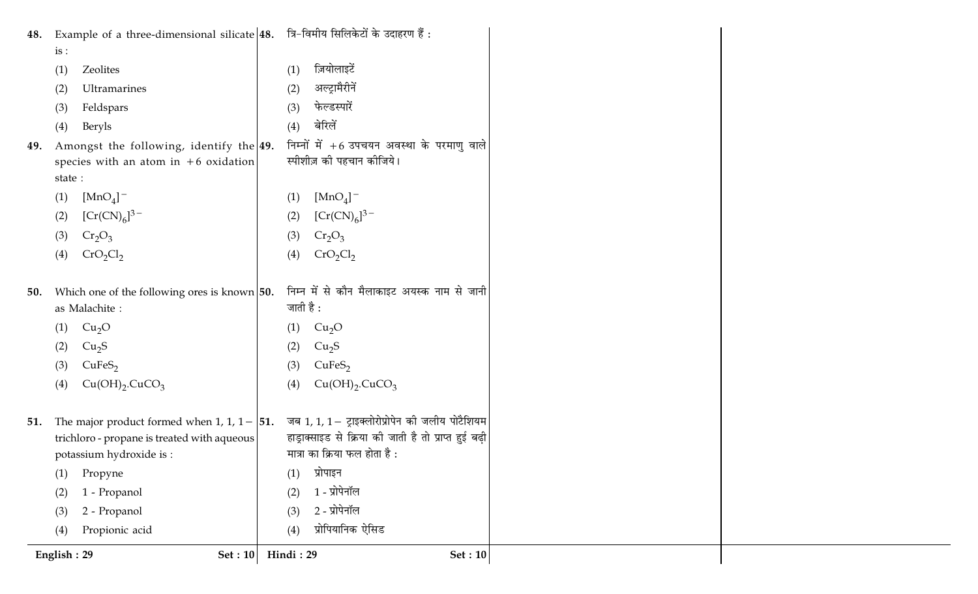| Example of a three-dimensional silicate $ 48.$ त्रि-विमीय सिलिकेटों के उदाहरण हैं : |                                                       |
|-------------------------------------------------------------------------------------|-------------------------------------------------------|
| is:                                                                                 |                                                       |
| Zeolites                                                                            | ज़ियोलाइटें                                           |
| (1)                                                                                 | (1)                                                   |
| Ultramarines                                                                        | अल्ट्रामैरीनें                                        |
| (2)                                                                                 | (2)                                                   |
| Feldspars                                                                           | फेल्डस्पारें                                          |
| (3)                                                                                 | (3)                                                   |
| Beryls                                                                              | बेरिलें                                               |
| (4)                                                                                 | (4)                                                   |
| Amongst the following, identify the 49.                                             | निम्नों में +6 उपचयन अवस्था के परमाणु वाले            |
| species with an atom in $+6$ oxidation                                              | स्पीशीज़ की पहचान कीजिये।                             |
| state:                                                                              |                                                       |
| $[MnO4]$ <sup>-</sup>                                                               | $[MnO4]$ <sup>-</sup>                                 |
| (1)                                                                                 | (1)                                                   |
| $[Cr(CN)6]^{3-}$                                                                    | $[Cr(CN)6]^{3-}$                                      |
| (2)                                                                                 | (2)                                                   |
| $Cr_2O_3$                                                                           | $Cr_2O_3$                                             |
| (3)                                                                                 | (3)                                                   |
| CrO <sub>2</sub> Cl <sub>2</sub>                                                    | CrO <sub>2</sub> Cl <sub>2</sub>                      |
| (4)                                                                                 | (4)                                                   |
|                                                                                     |                                                       |
| Which one of the following ores is known $ 50$ .                                    | निम्न में से कौन मैलाकाइट अयस्क नाम से जानी           |
| as Malachite:                                                                       | जाती है :                                             |
| Cu <sub>2</sub> O                                                                   | Cu <sub>2</sub> O                                     |
| (1)                                                                                 | (1)                                                   |
| Cu <sub>2</sub> S                                                                   | Cu <sub>2</sub> S                                     |
| (2)                                                                                 | (2)                                                   |
| CuFeS <sub>2</sub>                                                                  | CuFeS <sub>2</sub>                                    |
| (3)                                                                                 | (3)                                                   |
| Cu(OH) <sub>2</sub> .CuCO <sub>3</sub>                                              | $Cu(OH)_{2}$ . CuCO <sub>3</sub>                      |
| (4)                                                                                 | (4)                                                   |
|                                                                                     |                                                       |
| The major product formed when 1, 1, $1 - 51$ .                                      | जब 1, 1, 1 - ट्राइक्लोरोप्रोपेन की जलीय पोटैशियम      |
| trichloro - propane is treated with aqueous                                         | हाड्राक्साइड से क्रिया की जाती है तो प्राप्त हुई बढ़ी |
| potassium hydroxide is :                                                            | मात्रा का क्रिया फल होता है :                         |
| Propyne                                                                             | प्रोपाइन                                              |
| (1)                                                                                 | (1)                                                   |
| 1 - Propanol                                                                        | 1 - प्रोपेनॉल                                         |
| (2)                                                                                 | (2)                                                   |
| 2 - Propanol                                                                        | 2 - प्रोपेनॉल                                         |
| (3)                                                                                 | (3)                                                   |
| Propionic acid                                                                      | प्रोपियानिक ऐसिड                                      |
| (4)                                                                                 | (4)                                                   |
| English: 29                                                                         | Hindi: 29                                             |
| Set: 10                                                                             | Set: 10                                               |
|                                                                                     |                                                       |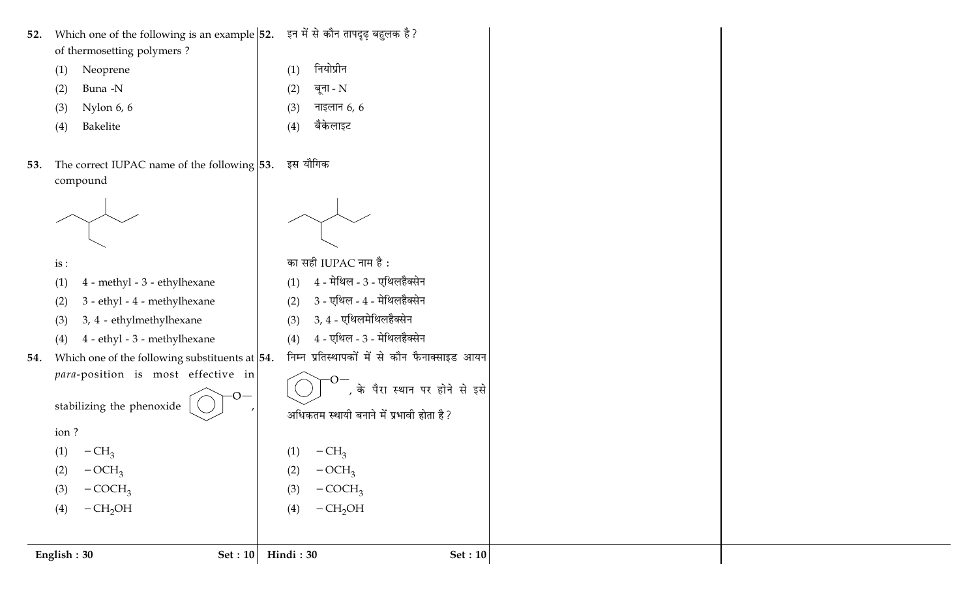| Which one of the following is an example  52. इन में से कौन तापदृढ़ बहुलक है?<br>52.<br>of thermosetting polymers? |                                               |  |
|--------------------------------------------------------------------------------------------------------------------|-----------------------------------------------|--|
| Neoprene<br>(1)                                                                                                    | नियोप्रीन<br>(1)                              |  |
| Buna -N<br>(2)                                                                                                     | बूना - N<br>(2)                               |  |
| Nylon 6, 6<br>(3)                                                                                                  | नाइलान $6, 6$<br>(3)                          |  |
| Bakelite<br>(4)                                                                                                    | बैकेलाइट<br>$\left(4\right)$                  |  |
| The correct IUPAC name of the following $ 53$ .<br>53.<br>compound                                                 | इस यौगिक                                      |  |
|                                                                                                                    |                                               |  |
| is:                                                                                                                | का सही IUPAC नाम है:                          |  |
| 4 - methyl - 3 - ethylhexane<br>(1)                                                                                | 4 - मेथिल - 3 - एथिलहैक्सेन<br>(1)            |  |
| 3 - ethyl - 4 - methylhexane<br>(2)                                                                                | 3 - एथिल - 4 - मेथिलहैक्सेन<br>(2)            |  |
| 3, 4 - ethylmethylhexane<br>(3)                                                                                    | 3, 4 - एथिलमेथिलहैक्सेन<br>(3)                |  |
| 4 - ethyl - 3 - methylhexane<br>(4)                                                                                | 4 - एथिल - 3 - मेथिलहैक्सेन<br>(4)            |  |
| Which one of the following substituents at $ 54$ .<br>54.                                                          | निम्न प्रतिस्थापकों में से कौन फैनाक्साइड आयन |  |
| para-position is most effective in                                                                                 |                                               |  |
| $-$ O $-$                                                                                                          | , के पैरा स्थान पर होने से इसे                |  |
| stabilizing the phenoxide                                                                                          | अधिकतम स्थायी बनाने में प्रभावी होता है?      |  |
| ion?                                                                                                               |                                               |  |
| $-CH3$<br>(1)                                                                                                      | $-CH3$<br>(1)                                 |  |
| $-OCH3$<br>(2)                                                                                                     | $-OCH3$<br>(2)                                |  |
| $-COCH3$<br>(3)                                                                                                    | $-COCH3$<br>(3)                               |  |
| $-CH2OH$<br>(4)                                                                                                    | $-CH2OH$<br>(4)                               |  |
|                                                                                                                    |                                               |  |
| English: 30<br>Set: 10                                                                                             | Hindi: 30<br>Set: 10                          |  |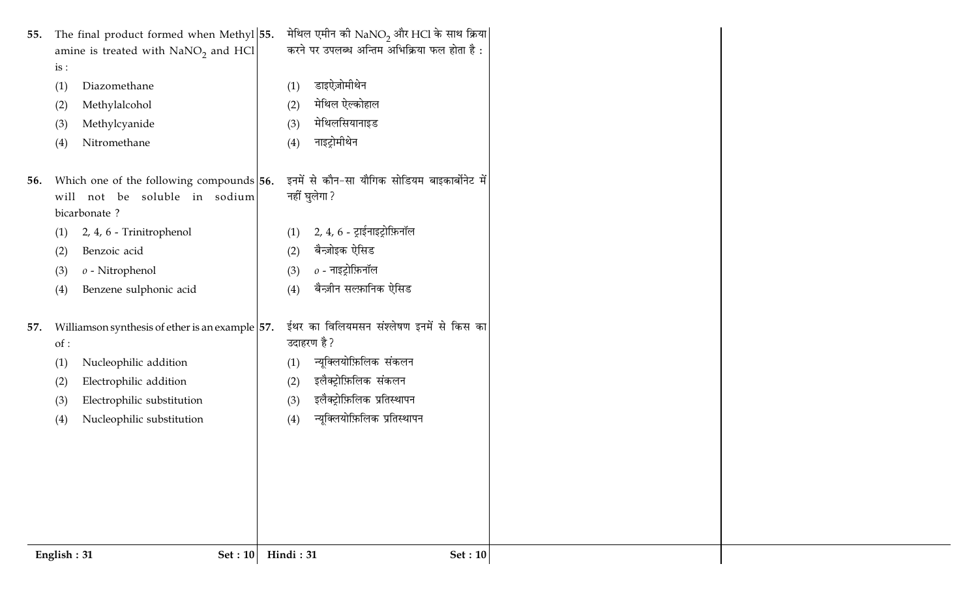| 55. | The final product formed when Methyl 55.<br>amine is treated with $NaNO2$ and HCl<br>is:<br>Diazomethane<br>(1)<br>Methylalcohol<br>(2)<br>Methylcyanide<br>(3)<br>Nitromethane<br>(4)                           | मेथिल एमीन की $\mathrm{NaNO}_2$ और HCl के साथ क्रिया<br>करने पर उपलब्ध अन्तिम अभिक्रिया फल होता है:<br>डाइऐज़ोमीथेन<br>(1)<br>मेथिल ऐल्कोहाल<br>(2)<br>मेथिलसियानाइड<br>(3)<br>नाइट्रोमीथेन<br>(4)    |
|-----|------------------------------------------------------------------------------------------------------------------------------------------------------------------------------------------------------------------|-------------------------------------------------------------------------------------------------------------------------------------------------------------------------------------------------------|
| 56. | Which one of the following compounds 56.<br>will not be soluble in sodium<br>bicarbonate?<br>2, 4, 6 - Trinitrophenol<br>(1)<br>Benzoic acid<br>(2)<br>$o$ - Nitrophenol<br>(3)<br>Benzene sulphonic acid<br>(4) | इनमें से कौन-सा यौगिक सोडियम बाइकार्बोनेट में<br>नहीं घुलेगा ?<br>$2, 4, 6$ - ट्राईनाइट्रोफ़िनॉल<br>(1)<br>बैन्ज़ोइक ऐसिड<br>(2)<br>$o$ - नाइट्रोफ़िनॉल<br>(3)<br>बैन्ज़ीन सल्फ़ानिक ऐसिड<br>(4)      |
| 57. | Williamson synthesis of ether is an example $ 57.$<br>of:<br>Nucleophilic addition<br>(1)<br>Electrophilic addition<br>(2)<br>Electrophilic substitution<br>(3)<br>Nucleophilic substitution<br>(4)              | ईथर का विलियमसन संश्लेषण इनमें से किस का<br>उदाहरण है ?<br>न्यूक्लियोफ़िलिक संकलन<br>(1)<br>इलैक्ट्रोफ़िलिक संकलन<br>(2)<br>इलैक्ट्रोफ़िलिक प्रतिस्थापन<br>(3)<br>न्यूक्लियोफ़िलिक प्रतिस्थापन<br>(4) |
|     | English: 31<br>Set: 10                                                                                                                                                                                           | Hindi: 31<br><b>Set</b> : 10                                                                                                                                                                          |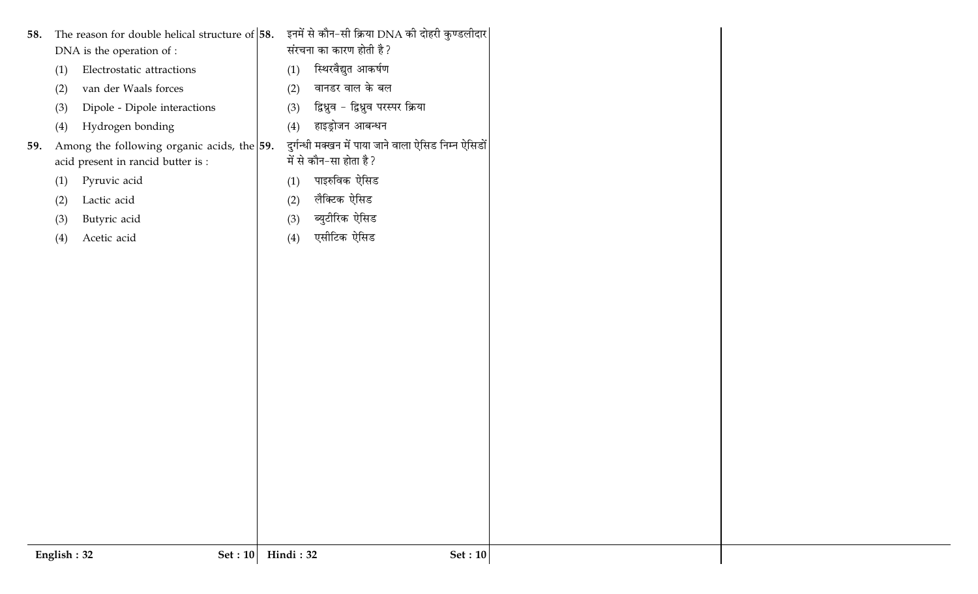|     | English: 32 | Set: 10                                            | Hindi: 32  |                                                      | <b>Set: 10</b> |
|-----|-------------|----------------------------------------------------|------------|------------------------------------------------------|----------------|
|     |             |                                                    |            |                                                      |                |
|     |             |                                                    |            |                                                      |                |
|     |             |                                                    |            |                                                      |                |
|     |             |                                                    |            |                                                      |                |
|     |             |                                                    |            |                                                      |                |
|     |             |                                                    |            |                                                      |                |
|     |             |                                                    |            |                                                      |                |
|     |             |                                                    |            |                                                      |                |
|     |             |                                                    |            |                                                      |                |
|     |             |                                                    |            |                                                      |                |
|     |             |                                                    |            |                                                      |                |
|     |             |                                                    |            |                                                      |                |
|     |             |                                                    |            |                                                      |                |
|     |             |                                                    |            |                                                      |                |
|     |             |                                                    |            |                                                      |                |
|     | (4)         | Acetic acid                                        | (4)        | एसीटिक ऐसिड                                          |                |
|     | (3)         | Butyric acid                                       | (3)        | ब्युटीरिक ऐसिड                                       |                |
|     | (2)         | Lactic acid                                        | (2)        | लैक्टिक ऐसिड                                         |                |
|     | (1)         | Pyruvic acid                                       | (1)        | पाइरुविक ऐसिड                                        |                |
|     |             | acid present in rancid butter is :                 |            | में से कौन-सा होता है ?                              |                |
| 59. | (4)         | Among the following organic acids, the $\vert$ 59. |            | दुर्गन्धी मक्खन में पाया जाने वाला ऐसिड निम्न ऐसिडों |                |
|     | (3)         | Dipole - Dipole interactions<br>Hydrogen bonding   | (3)<br>(4) | हाइड्रोजन आबन्धन                                     |                |
|     | (2)         | van der Waals forces                               | (2)        | द्विध्रुव - द्विध्रुव परस्पर क्रिया                  |                |
|     | (1)         | Electrostatic attractions                          | (1)        | स्थिरवैद्युत आकर्षण<br>वानडर वाल के बल               |                |
|     |             | DNA is the operation of :                          |            | संरचना का कारण होती है ?                             |                |
| 58. |             | The reason for double helical structure of $58$ .  |            | इनमें से कौन-सी क्रिया DNA की दोहरी कुण्डलीदार       |                |
|     |             |                                                    |            |                                                      |                |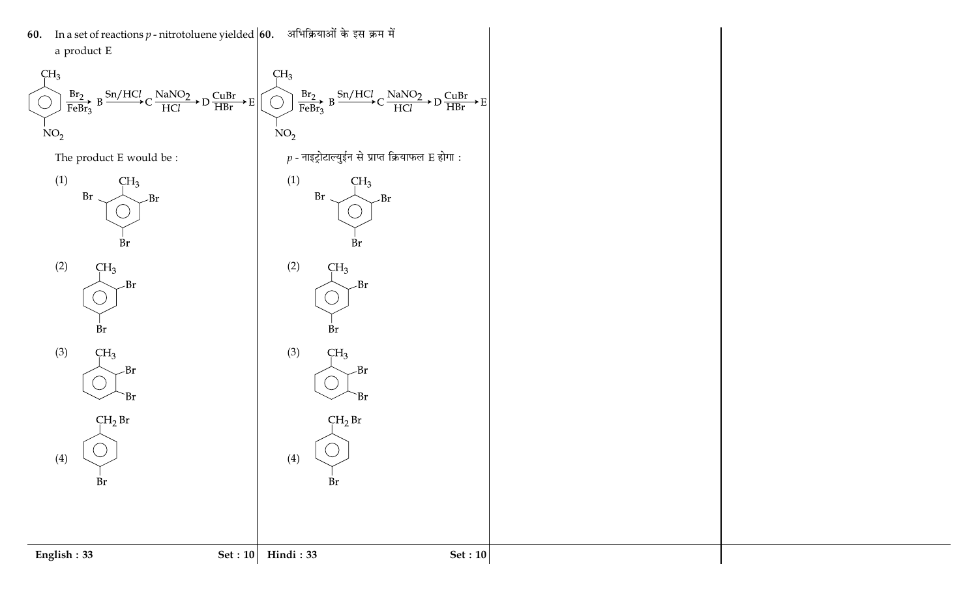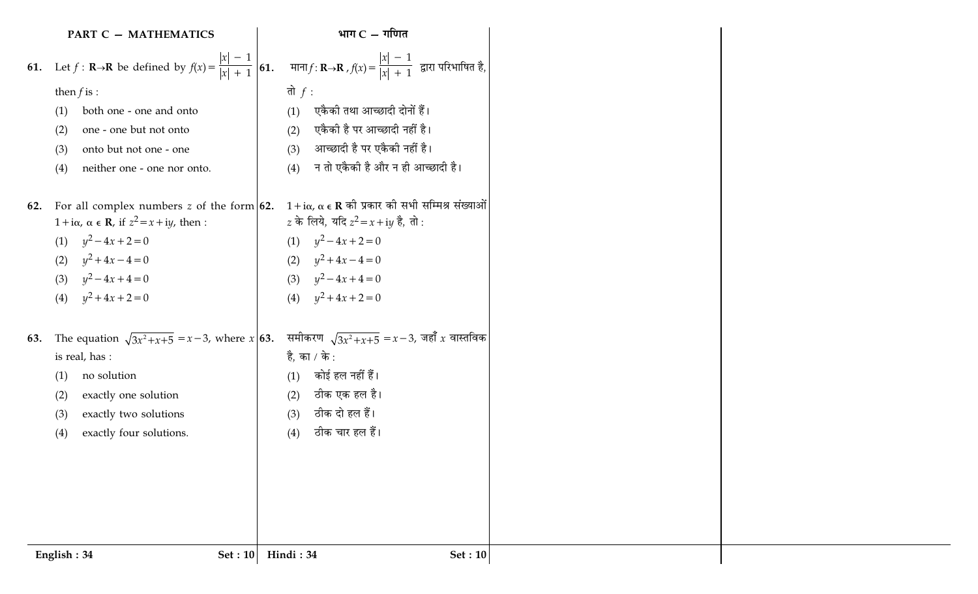|     | <b>PART C - MATHEMATICS</b>                                                                              | भाग $C - \eta$ णित                                                                                                      |
|-----|----------------------------------------------------------------------------------------------------------|-------------------------------------------------------------------------------------------------------------------------|
|     | <b>61.</b> Let $f : \mathbf{R} \to \mathbf{R}$ be defined by $f(x) = \frac{ x  - 1}{ x  + 1}$ <b>61.</b> | माना $f: \mathbf{R}\rightarrow\mathbf{R}$ , $f(x) = \frac{ x  - 1}{ x  + 1}$ द्वारा परिभाषित है,                        |
|     | then $f$ is :                                                                                            | तो $f$ :                                                                                                                |
|     | both one - one and onto<br>(1)                                                                           | एकैकी तथा आच्छादी दोनों हैं।<br>(1)                                                                                     |
|     | one - one but not onto<br>(2)                                                                            | एकैकी है पर आच्छादी नहीं है।<br>(2)                                                                                     |
|     | onto but not one - one<br>(3)                                                                            | आच्छादी है पर एकैकी नहीं है।<br>(3)                                                                                     |
|     | neither one - one nor onto.<br>(4)                                                                       | न तो एकैकी है और न ही आच्छादी है।<br>(4)                                                                                |
| 62. | For all complex numbers z of the form $62$ .                                                             | $1 + i\alpha$ , $\alpha \in \mathbb{R}$ की प्रकार की सभी सम्मिश्र संख्याओं                                              |
|     | $1 + i\alpha$ , $\alpha \in \mathbb{R}$ , if $z^2 = x + iy$ , then :                                     | <i>z</i> के लिये, यदि $z^2 = x + iy$ है, तो :                                                                           |
|     | (1) $y^2-4x+2=0$                                                                                         | (1) $y^2-4x+2=0$                                                                                                        |
|     | $y^2 + 4x - 4 = 0$<br>(2)                                                                                | (2) $y^2 + 4x - 4 = 0$                                                                                                  |
|     | (3) $y^2-4x+4=0$                                                                                         | (3) $y^2-4x+4=0$                                                                                                        |
|     | (4) $y^2 + 4x + 2 = 0$                                                                                   | (4) $y^2 + 4x + 2 = 0$                                                                                                  |
| 63. |                                                                                                          | The equation $\sqrt{3x^2 + x + 5} = x - 3$ , where $x \mid 63$ . समीकरण $\sqrt{3x^2 + x + 5} = x - 3$ , जहाँ x वास्तविक |
|     | is real, has :                                                                                           | है, का / के :                                                                                                           |
|     | no solution<br>(1)                                                                                       | कोई हल नहीं हैं।<br>(1)                                                                                                 |
|     | exactly one solution<br>(2)                                                                              | ठीक एक हल है।<br>(2)                                                                                                    |
|     | exactly two solutions<br>(3)                                                                             | ठीक दो हल हैं।<br>(3)                                                                                                   |
|     | exactly four solutions.<br>(4)                                                                           | ठीक चार हल हैं।<br>(4)                                                                                                  |
|     |                                                                                                          |                                                                                                                         |
|     |                                                                                                          |                                                                                                                         |
|     |                                                                                                          |                                                                                                                         |
|     |                                                                                                          |                                                                                                                         |
|     |                                                                                                          |                                                                                                                         |
|     | Set : $10$<br>English: 34                                                                                | Hindi: 34<br><b>Set: 10</b>                                                                                             |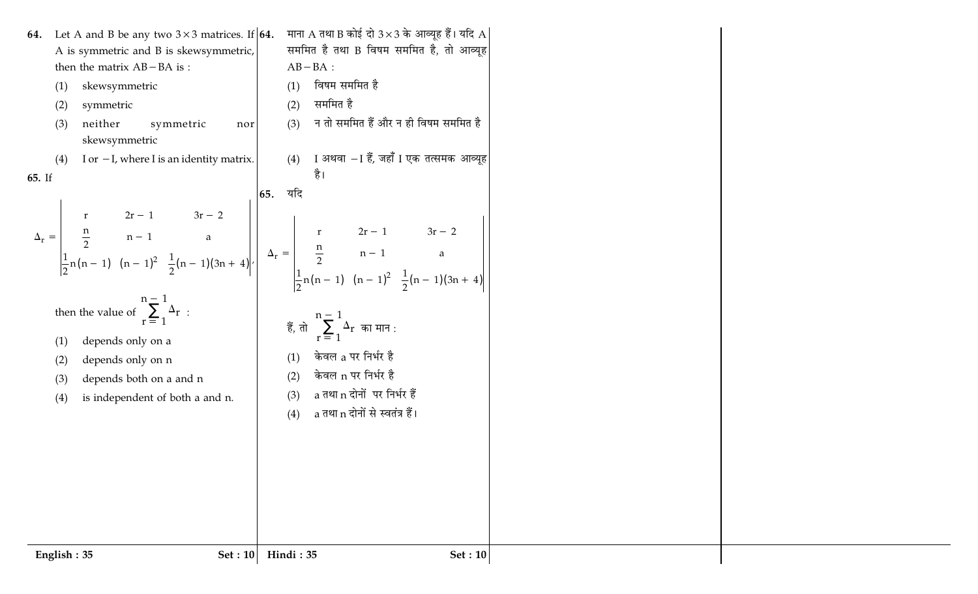| Let A and B be any two $3 \times 3$ matrices. If <b>64.</b><br>64.<br>A is symmetric and B is skewsymmetric,<br>then the matrix $AB - BA$ is :<br>skewsymmetric<br>(1)<br>symmetric<br>(2)<br>neither<br>symmetric<br>(3)<br>nor<br>skewsymmetric<br>I or $-I$ , where I is an identity matrix.<br>(4) | माना A तथा B कोई दो $3\times3$ के आव्यूह हैं। यदि A<br>सममित है तथा B विषम सममित है, तो आव्यूह<br>$AB-BA$ :<br>विषम सममित है<br>(1)<br>सममित है<br>(2)<br>न तो सममित हैं और न ही विषम सममित है<br>(3)<br>I अथवा −I हैं, जहाँ I एक तत्समक आव्यूह<br>(4)                                                                                                                                                                                                                                          |
|--------------------------------------------------------------------------------------------------------------------------------------------------------------------------------------------------------------------------------------------------------------------------------------------------------|-------------------------------------------------------------------------------------------------------------------------------------------------------------------------------------------------------------------------------------------------------------------------------------------------------------------------------------------------------------------------------------------------------------------------------------------------------------------------------------------------|
| 65. If                                                                                                                                                                                                                                                                                                 | है।                                                                                                                                                                                                                                                                                                                                                                                                                                                                                             |
| then the value of $\sum_{r=1}^{n-1} \Delta_r$ :<br>depends only on a<br>(1)<br>depends only on n<br>(2)<br>depends both on a and n<br>(3)<br>is independent of both a and n.<br>(4)                                                                                                                    | $\Delta_r = \begin{vmatrix} r & 2r-1 & 3r-2 \\ \frac{n}{2} & n-1 & a \\ \frac{1}{2}n(n-1) & (n-1)^2 & \frac{1}{2}(n-1)(3n+4) \end{vmatrix}$ , $\Delta_r = \begin{vmatrix} 65. & 4\pi/3 & 2n-1 & 3n-2 \\ \frac{n}{2} & n-1 & a \\ \frac{1}{2}n(n-1) & (n-1)^2 & \frac{1}{2}(n-1)(3n+4) \end{vmatrix}$<br>हैं, तो $\sum_{r=1}^{n-1} \Delta_r$ का मान :<br>केवल a पर निर्भर है<br>(1)<br>केवल n पर निर्भर है<br>(2)<br>a तथा n दोनों पर निर्भर हैं<br>(3)<br>a तथा n दोनों से स्वतंत्र हैं।<br>(4) |
| English: 35<br>Set: 10                                                                                                                                                                                                                                                                                 | Hindi: 35<br>Set : $10$                                                                                                                                                                                                                                                                                                                                                                                                                                                                         |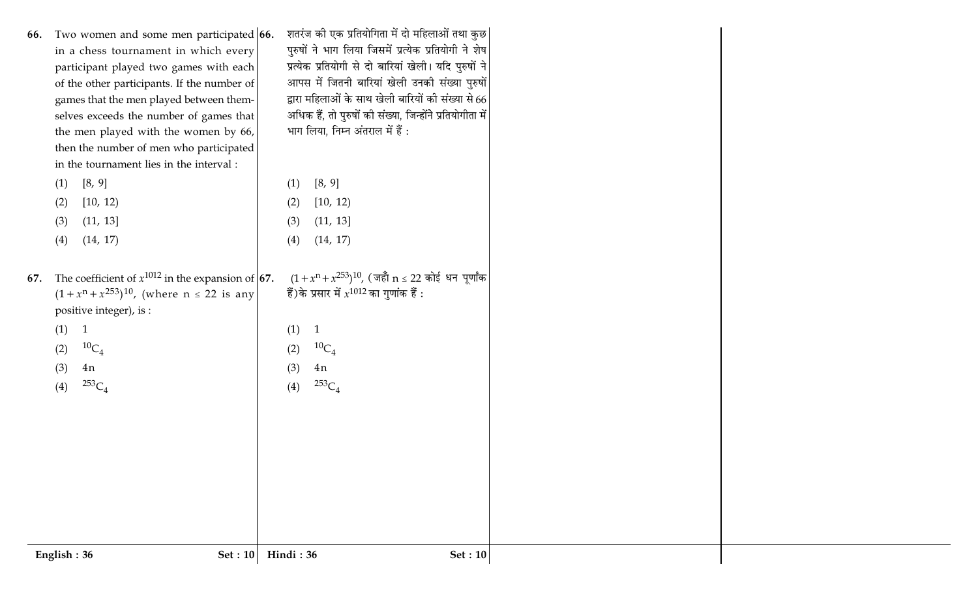| English: 36<br>Set: 10                              | Hindi: 36<br>Set: 10                                                                                                                                                                                                                                                                                                                                                                                                                                           |
|-----------------------------------------------------|----------------------------------------------------------------------------------------------------------------------------------------------------------------------------------------------------------------------------------------------------------------------------------------------------------------------------------------------------------------------------------------------------------------------------------------------------------------|
|                                                     |                                                                                                                                                                                                                                                                                                                                                                                                                                                                |
|                                                     |                                                                                                                                                                                                                                                                                                                                                                                                                                                                |
|                                                     |                                                                                                                                                                                                                                                                                                                                                                                                                                                                |
|                                                     |                                                                                                                                                                                                                                                                                                                                                                                                                                                                |
| (4)                                                 | $^{253}C_4$<br>(4)                                                                                                                                                                                                                                                                                                                                                                                                                                             |
| 4n<br>(3)                                           | (3)<br>4n                                                                                                                                                                                                                                                                                                                                                                                                                                                      |
|                                                     | (1)<br>${}^{10}C_4$<br>(2)                                                                                                                                                                                                                                                                                                                                                                                                                                     |
|                                                     |                                                                                                                                                                                                                                                                                                                                                                                                                                                                |
| $(1 + x^{n} + x^{253})^{10}$ , (where n ≤ 22 is any | $(1+x^n+x^{253})^{10}$ , (जहाँ n ≤ 22 कोई धन पूर्णांक<br>हैं)के प्रसार में $x^{1012}$ का गुणांक हैं :                                                                                                                                                                                                                                                                                                                                                          |
|                                                     |                                                                                                                                                                                                                                                                                                                                                                                                                                                                |
| (14, 17)<br>(4)                                     | (14, 17)<br>(4)                                                                                                                                                                                                                                                                                                                                                                                                                                                |
|                                                     | [10, 12)<br>(2)<br>(11, 13]<br>(3)                                                                                                                                                                                                                                                                                                                                                                                                                             |
|                                                     | [8, 9]<br>(1)                                                                                                                                                                                                                                                                                                                                                                                                                                                  |
| in the tournament lies in the interval :            |                                                                                                                                                                                                                                                                                                                                                                                                                                                                |
|                                                     |                                                                                                                                                                                                                                                                                                                                                                                                                                                                |
|                                                     | अधिक हैं, तो पुरुषों की संख्या, जिन्होंने प्रतियोगीता में<br>भाग लिया, निम्न अंतराल में हैं :                                                                                                                                                                                                                                                                                                                                                                  |
| games that the men played between them-             | द्वारा महिलाओं के साथ खेली बारियों की संख्या से 66                                                                                                                                                                                                                                                                                                                                                                                                             |
|                                                     | आपस में जितनी बारियां खेली उनकी संख्या पुरुषों                                                                                                                                                                                                                                                                                                                                                                                                                 |
|                                                     | पुरुषों ने भाग लिया जिसमें प्रत्येक प्रतियोगी ने शेष<br>प्रत्येक प्रतियोगी से दो बारियां खेली। यदि पुरुषों ने                                                                                                                                                                                                                                                                                                                                                  |
| Two women and some men participated 66.             | शतरंज की एक प्रतियोगिता में दो महिलाओं तथा कुछ                                                                                                                                                                                                                                                                                                                                                                                                                 |
|                                                     | in a chess tournament in which every<br>participant played two games with each<br>of the other participants. If the number of<br>selves exceeds the number of games that<br>the men played with the women by 66,<br>then the number of men who participated<br>[8, 9]<br>(1)<br>[10, 12)<br>(2)<br>(11, 13]<br>(3)<br>The coefficient of $x^{1012}$ in the expansion of <b>67.</b><br>positive integer), is :<br>(1) 1<br>${}^{10}C_4$<br>(2)<br>${}^{253}C_4$ |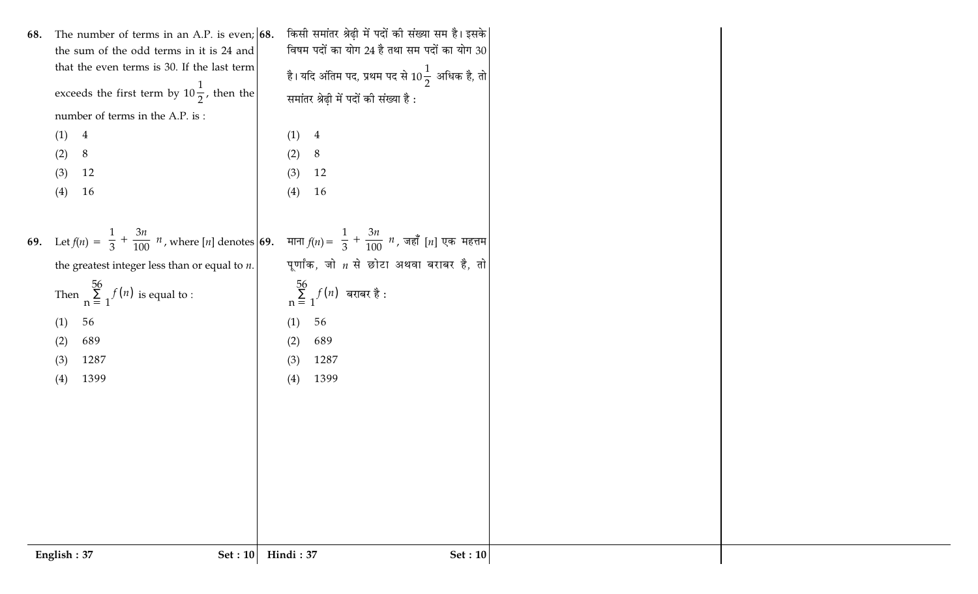|     | English: 37<br><b>Set: 10</b>                        | Hindi: 37<br><b>Set: 10</b>                                                                                                                                       |
|-----|------------------------------------------------------|-------------------------------------------------------------------------------------------------------------------------------------------------------------------|
|     |                                                      |                                                                                                                                                                   |
|     |                                                      |                                                                                                                                                                   |
|     |                                                      |                                                                                                                                                                   |
|     |                                                      |                                                                                                                                                                   |
|     |                                                      |                                                                                                                                                                   |
|     |                                                      |                                                                                                                                                                   |
|     |                                                      |                                                                                                                                                                   |
|     | 1399<br>(4)                                          | 1399<br>(4)                                                                                                                                                       |
|     | 689<br>(2)<br>1287<br>(3)                            | 689<br>(2)<br>1287<br>(3)                                                                                                                                         |
|     | 56<br>(1)                                            | 56<br>(1)                                                                                                                                                         |
|     | Then $\sum_{n=1}^{56} f(n)$ is equal to :            | $\sum_{n=1}^{56} f(n)$ बराबर है :                                                                                                                                 |
|     |                                                      |                                                                                                                                                                   |
|     | the greatest integer less than or equal to $n$ .     | पूर्णांक, जो $n$ से छोटा अथवा बराबर है, तो                                                                                                                        |
|     |                                                      | 69. Let $f(n) = \left[\frac{1}{3} + \frac{3n}{100}\right]n$ , where [n] denotes 69. माना $f(n) = \left[\frac{1}{3} + \frac{3n}{100}\right]n$ , जहाँ [n] एक महत्तम |
|     |                                                      |                                                                                                                                                                   |
|     | (3)<br>16<br>(4)                                     | (4)<br>16                                                                                                                                                         |
|     | 8<br>(2)<br>12                                       | (2)<br>8<br>12<br>(3)                                                                                                                                             |
|     | (1) 4                                                | (1)<br>$\overline{4}$                                                                                                                                             |
|     | number of terms in the A.P. is:                      |                                                                                                                                                                   |
|     | exceeds the first term by $10\frac{1}{2}$ , then the | समांतर श्रेढ़ी में पदों की संख्या है:                                                                                                                             |
|     | that the even terms is 30. If the last term          | है। यदि अंतिम पद, प्रथम पद से $10\frac{1}{2}\,$ अधिक है, तो $\Big $                                                                                               |
|     | the sum of the odd terms in it is 24 and             | विषम पदों का योग 24 है तथा सम पदों का योग 30                                                                                                                      |
| 68. | The number of terms in an A.P. is even; $ 68$ .      | किसी समांतर श्रेढ़ी में पदों की संख्या सम है। इसके                                                                                                                |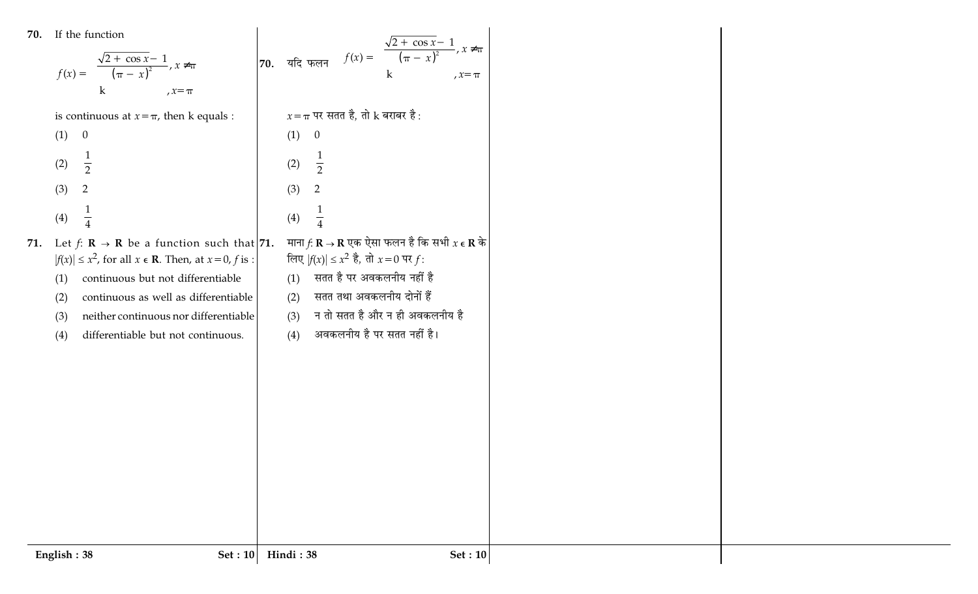| If the function<br>70. |
|------------------------|
|------------------------|

| 70. | If the function<br>$f(x) = \begin{cases} \frac{\sqrt{2 + \cos x} - 1}{(\pi - x)^2}, x \neq \pi \\ k, x = \pi \end{cases}$                                                                                                                                                                                                            | 70. यदि फलन $f(x) = \begin{cases} \frac{\sqrt{2 + \cos x} - 1}{(\pi - x)^2}, & x \neq \pi \\ k, & x = \pi \end{cases}$                                                                                                                                                             |  |
|-----|--------------------------------------------------------------------------------------------------------------------------------------------------------------------------------------------------------------------------------------------------------------------------------------------------------------------------------------|------------------------------------------------------------------------------------------------------------------------------------------------------------------------------------------------------------------------------------------------------------------------------------|--|
|     | is continuous at $x = \pi$ , then k equals :                                                                                                                                                                                                                                                                                         | $x = \pi$ पर सतत है, तो k बराबर है:                                                                                                                                                                                                                                                |  |
|     | $\boldsymbol{0}$<br>(1)                                                                                                                                                                                                                                                                                                              | $\theta$<br>(1)                                                                                                                                                                                                                                                                    |  |
|     | $\frac{1}{2}$<br>(2)                                                                                                                                                                                                                                                                                                                 | $\frac{1}{2}$<br>(2)                                                                                                                                                                                                                                                               |  |
|     | $\overline{2}$<br>(3)                                                                                                                                                                                                                                                                                                                | $\overline{2}$<br>(3)                                                                                                                                                                                                                                                              |  |
|     | $\frac{1}{4}$<br>(4)                                                                                                                                                                                                                                                                                                                 | $\frac{1}{4}$<br>(4)                                                                                                                                                                                                                                                               |  |
| 71. | Let $f: \mathbb{R} \to \mathbb{R}$ be a function such that 71.<br>$ f(x)  \leq x^2$ , for all $x \in \mathbb{R}$ . Then, at $x = 0$ , f is :<br>continuous but not differentiable<br>(1)<br>continuous as well as differentiable<br>(2)<br>neither continuous nor differentiable<br>(3)<br>differentiable but not continuous.<br>(4) | माना $f: \mathbf{R} \to \mathbf{R}$ एक ऐसा फलन है कि सभी $x \in \mathbf{R}$ के<br>लिए $ f(x)  \leq x^2$ है, तो $x = 0$ पर f:<br>सतत है पर अवकलनीय नहीं है<br>(1)<br>सतत तथा अवकलनीय दोनों हैं<br>(2)<br>न तो सतत है और न ही अवकलनीय है<br>(3)<br>अवकलनीय है पर सतत नहीं है।<br>(4) |  |
|     |                                                                                                                                                                                                                                                                                                                                      |                                                                                                                                                                                                                                                                                    |  |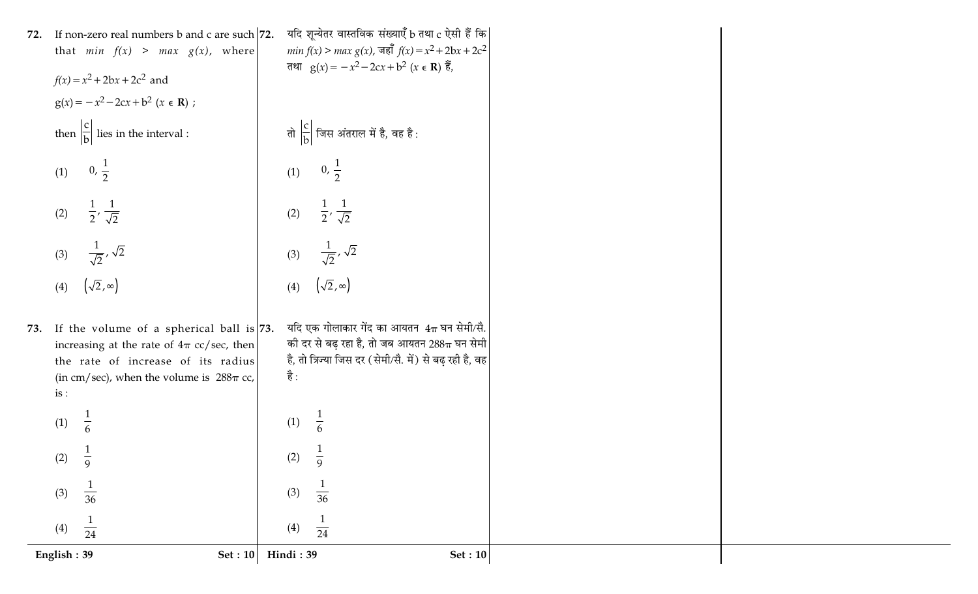|     | English: 39<br>Set: 10                                                                            | Hindi: 39<br><b>Set: 10</b>                                                                                                                                                    |  |
|-----|---------------------------------------------------------------------------------------------------|--------------------------------------------------------------------------------------------------------------------------------------------------------------------------------|--|
|     | (4)<br>$\overline{24}$                                                                            | (4)<br>$\overline{24}$                                                                                                                                                         |  |
|     | (3)<br>$\overline{36}$                                                                            | (3)<br>$\overline{36}$                                                                                                                                                         |  |
|     | (2) $\frac{1}{\alpha}$<br>9                                                                       | (2)<br>9                                                                                                                                                                       |  |
|     | $\frac{1}{6}$<br>(1)                                                                              | (1)                                                                                                                                                                            |  |
|     | the rate of increase of its radius<br>(in cm/sec), when the volume is $288\pi$ cc,<br>is:         | है :                                                                                                                                                                           |  |
|     | 73. If the volume of a spherical ball is $ 73$ .<br>increasing at the rate of $4\pi$ cc/sec, then | यदि एक गोलाकार गेंद का आयतन $4\pi$ घन सेमी/सै.<br>की दर से बढ़ रहा है, तो जब आयतन 288 $\scriptstyle\rm \pi$ घन सेमी<br>है, तो त्रिज्या जिस दर (सेमी/सै. में) से बढ़ रही है, वह |  |
|     | $(\sqrt{2}, \infty)$<br>(4)                                                                       | $(\sqrt{2}, \infty)$<br>(4)                                                                                                                                                    |  |
|     | (3) $\left[\frac{1}{\sqrt{2}}, \sqrt{2}\right]$                                                   | $\left[\frac{1}{\sqrt{2}},\sqrt{2}\right]$<br>(3)                                                                                                                              |  |
|     | (2) $\left[\frac{1}{2}, \frac{1}{\sqrt{2}}\right)$                                                | (2) $\left[\frac{1}{2}, \frac{1}{\sqrt{2}}\right)$                                                                                                                             |  |
|     |                                                                                                   |                                                                                                                                                                                |  |
|     | (1) $\left(0, \frac{1}{2}\right)$                                                                 | (1) $\left(0, \frac{1}{2}\right)$                                                                                                                                              |  |
|     | then $\frac{ c }{ b }$ lies in the interval :                                                     | तो $\frac{ c }{ b }$ जिस अंतराल में है, वह है :                                                                                                                                |  |
|     | $f(x) = x^2 + 2bx + 2c^2$ and<br>$g(x) = -x^2 - 2cx + b^2$ (x $\in \mathbb{R}$ ) ;                |                                                                                                                                                                                |  |
|     | that $min f(x) > max g(x)$ , where                                                                | <i>min</i> $f(x) > max g(x)$ , जहाँ $f(x) = x^2 + 2bx + 2c^2$<br>तथा $g(x) = -x^2 - 2cx + b^2$ ( $x \in \mathbb{R}$ ) हैं,                                                     |  |
| 72. | If non-zero real numbers b and c are such $ 72$ .                                                 | यदि शून्येतर वास्तविक संख्याएँ b तथा c ऐसी हैं कि                                                                                                                              |  |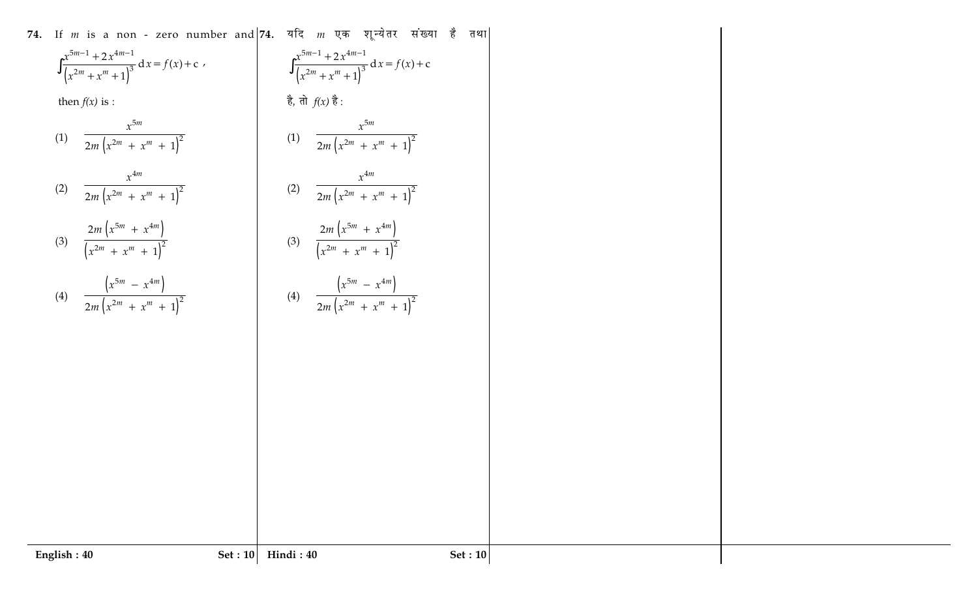**- 
 - 
 !** (  - \* " - ( ) 51 41 <sup>3</sup> <sup>2</sup> <sup>2</sup> <sup>d</sup> ( ) c 1 *m m m m x x <sup>x</sup> fx x x* ∫ - -- - '  ( ) 5 <sup>2</sup> <sup>2</sup> <sup>2</sup> <sup>1</sup> *m m m x mx x* - - ( ) 4 <sup>2</sup> <sup>2</sup> <sup>2</sup> <sup>1</sup> *m m m x mx x* - - ( ) ( ) 5 4 <sup>2</sup> <sup>2</sup> 2 1 *m m m m mx x x x* -- -  ( ) ( ) 5 4 <sup>2</sup> <sup>2</sup> <sup>2</sup> <sup>1</sup> *m m m m x x mx x* **!** !  / & , ( ) 51 41 <sup>3</sup> <sup>2</sup> <sup>2</sup> <sup>d</sup> ( ) c 1 *m m m m x x <sup>x</sup> fx x x* ∫ - -- -6  '  ( ) 5 <sup>2</sup> <sup>2</sup> <sup>2</sup> <sup>1</sup> *m m m x mx x* - - ( ) 4 <sup>2</sup> <sup>2</sup> <sup>2</sup> <sup>1</sup> *m m m x mx x* - - ( ) ( ) 5 4 <sup>2</sup> <sup>2</sup> 2 1 *m m m m mx x x x* -- -  ( ) ( ) 5 4 <sup>2</sup> <sup>2</sup> <sup>2</sup> <sup>1</sup> *m m m m x x mx x*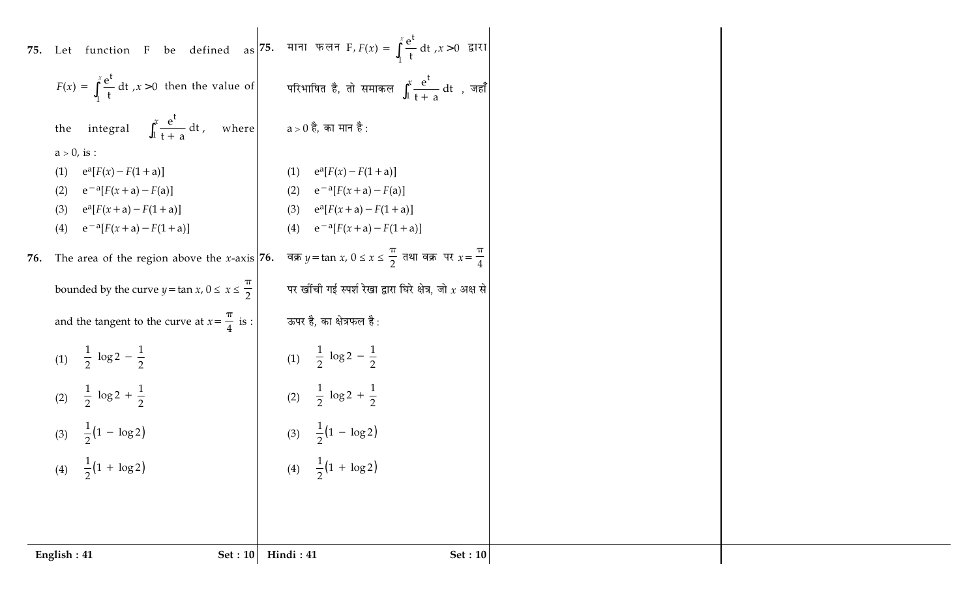| 75. Let function F be defined as 75. HIM $\pi \in F$ , $F(x) = \int_{1}^{x} \frac{e^{t}}{t} dt$ , $x > 0$ given<br>$F(x) = \int_{1}^{x} \frac{e^{t}}{t} dt$ , $x > 0$ then the value of<br>परिभाषित है, तो समाकल $\int_1^x\frac{\mathrm{e}^{\mathrm{t}}}{\mathrm{t}+\mathrm{e}^{-\mathrm{t}}}~\mathrm{d}\mathrm{t}$ , जहाँ<br>the integral $\int_{1}^{x} \frac{e^{t}}{t+a} dt$ , where $a > 0$ है, का मान है:<br>$a > 0$ , is :<br>$e^{a}[F(x) - F(1 + a)]$<br>$e^{a}[F(x) - F(1 + a)]$<br>(1)<br>(1)<br>$e^{-a}[F(x+a) - F(a)]$<br>(2) $e^{-a}[F(x+a) - F(a)]$<br>(2)<br>(3) $e^{a}[F(x+a)-F(1+a)]$<br>$e^{a}[F(x+a)-F(1+a)]$<br>(3)<br>$e^{-a}[F(x+a)-F(1+a)]$<br>$e^{-a}[F(x+a)-F(1+a)]$<br>(4)<br>(4)<br>The area of the region above the x-axis 76. $\frac{\pi}{9}$ $y = \tan x$ , $0 \le x \le \frac{\pi}{2}$ $\pi$ $\pi$ $\pi$ $x = \frac{\pi}{4}$<br>76.<br>bounded by the curve $y = \tan x$ , $0 \le x \le \frac{\pi}{2}$<br>पर खींची गई स्पर्श रेखा द्वारा घिरे क्षेत्र, जो $x$ अक्ष से<br>and the tangent to the curve at $x = \frac{\pi}{4}$ is :<br>ऊपर है, का क्षेत्रफल है:<br>(1) $\frac{1}{2} \left( \log 2 - \frac{1}{2} \right)$<br>(1) $\frac{1}{2} \left( \log 2 - \frac{1}{2} \right)$<br>(2) $\frac{1}{2} \left( \log 2 + \frac{1}{2} \right)$<br>(2) $\frac{1}{2} \left( \log 2 + \frac{1}{2} \right)$<br>(3) $\frac{1}{2}(1 - \log 2)$<br>(3) $\frac{1}{2}(1 - \log 2)$<br>$\frac{1}{2}(1 + \log 2)$<br>(4) $\frac{1}{2}(1 + \log 2)$<br>(4) | English: 41 | Set : $10$ | Hindi: 41<br><b>Set</b> : 10 |  |
|-----------------------------------------------------------------------------------------------------------------------------------------------------------------------------------------------------------------------------------------------------------------------------------------------------------------------------------------------------------------------------------------------------------------------------------------------------------------------------------------------------------------------------------------------------------------------------------------------------------------------------------------------------------------------------------------------------------------------------------------------------------------------------------------------------------------------------------------------------------------------------------------------------------------------------------------------------------------------------------------------------------------------------------------------------------------------------------------------------------------------------------------------------------------------------------------------------------------------------------------------------------------------------------------------------------------------------------------------------------------------------------------------------------------------------------------------------------------------|-------------|------------|------------------------------|--|
|                                                                                                                                                                                                                                                                                                                                                                                                                                                                                                                                                                                                                                                                                                                                                                                                                                                                                                                                                                                                                                                                                                                                                                                                                                                                                                                                                                                                                                                                       |             |            |                              |  |
|                                                                                                                                                                                                                                                                                                                                                                                                                                                                                                                                                                                                                                                                                                                                                                                                                                                                                                                                                                                                                                                                                                                                                                                                                                                                                                                                                                                                                                                                       |             |            |                              |  |
|                                                                                                                                                                                                                                                                                                                                                                                                                                                                                                                                                                                                                                                                                                                                                                                                                                                                                                                                                                                                                                                                                                                                                                                                                                                                                                                                                                                                                                                                       |             |            |                              |  |
|                                                                                                                                                                                                                                                                                                                                                                                                                                                                                                                                                                                                                                                                                                                                                                                                                                                                                                                                                                                                                                                                                                                                                                                                                                                                                                                                                                                                                                                                       |             |            |                              |  |
|                                                                                                                                                                                                                                                                                                                                                                                                                                                                                                                                                                                                                                                                                                                                                                                                                                                                                                                                                                                                                                                                                                                                                                                                                                                                                                                                                                                                                                                                       |             |            |                              |  |
|                                                                                                                                                                                                                                                                                                                                                                                                                                                                                                                                                                                                                                                                                                                                                                                                                                                                                                                                                                                                                                                                                                                                                                                                                                                                                                                                                                                                                                                                       |             |            |                              |  |
|                                                                                                                                                                                                                                                                                                                                                                                                                                                                                                                                                                                                                                                                                                                                                                                                                                                                                                                                                                                                                                                                                                                                                                                                                                                                                                                                                                                                                                                                       |             |            |                              |  |
|                                                                                                                                                                                                                                                                                                                                                                                                                                                                                                                                                                                                                                                                                                                                                                                                                                                                                                                                                                                                                                                                                                                                                                                                                                                                                                                                                                                                                                                                       |             |            |                              |  |
|                                                                                                                                                                                                                                                                                                                                                                                                                                                                                                                                                                                                                                                                                                                                                                                                                                                                                                                                                                                                                                                                                                                                                                                                                                                                                                                                                                                                                                                                       |             |            |                              |  |
|                                                                                                                                                                                                                                                                                                                                                                                                                                                                                                                                                                                                                                                                                                                                                                                                                                                                                                                                                                                                                                                                                                                                                                                                                                                                                                                                                                                                                                                                       |             |            |                              |  |
|                                                                                                                                                                                                                                                                                                                                                                                                                                                                                                                                                                                                                                                                                                                                                                                                                                                                                                                                                                                                                                                                                                                                                                                                                                                                                                                                                                                                                                                                       |             |            |                              |  |
|                                                                                                                                                                                                                                                                                                                                                                                                                                                                                                                                                                                                                                                                                                                                                                                                                                                                                                                                                                                                                                                                                                                                                                                                                                                                                                                                                                                                                                                                       |             |            |                              |  |
|                                                                                                                                                                                                                                                                                                                                                                                                                                                                                                                                                                                                                                                                                                                                                                                                                                                                                                                                                                                                                                                                                                                                                                                                                                                                                                                                                                                                                                                                       |             |            |                              |  |
|                                                                                                                                                                                                                                                                                                                                                                                                                                                                                                                                                                                                                                                                                                                                                                                                                                                                                                                                                                                                                                                                                                                                                                                                                                                                                                                                                                                                                                                                       |             |            |                              |  |
|                                                                                                                                                                                                                                                                                                                                                                                                                                                                                                                                                                                                                                                                                                                                                                                                                                                                                                                                                                                                                                                                                                                                                                                                                                                                                                                                                                                                                                                                       |             |            |                              |  |
|                                                                                                                                                                                                                                                                                                                                                                                                                                                                                                                                                                                                                                                                                                                                                                                                                                                                                                                                                                                                                                                                                                                                                                                                                                                                                                                                                                                                                                                                       |             |            |                              |  |
|                                                                                                                                                                                                                                                                                                                                                                                                                                                                                                                                                                                                                                                                                                                                                                                                                                                                                                                                                                                                                                                                                                                                                                                                                                                                                                                                                                                                                                                                       |             |            |                              |  |
|                                                                                                                                                                                                                                                                                                                                                                                                                                                                                                                                                                                                                                                                                                                                                                                                                                                                                                                                                                                                                                                                                                                                                                                                                                                                                                                                                                                                                                                                       |             |            |                              |  |
|                                                                                                                                                                                                                                                                                                                                                                                                                                                                                                                                                                                                                                                                                                                                                                                                                                                                                                                                                                                                                                                                                                                                                                                                                                                                                                                                                                                                                                                                       |             |            |                              |  |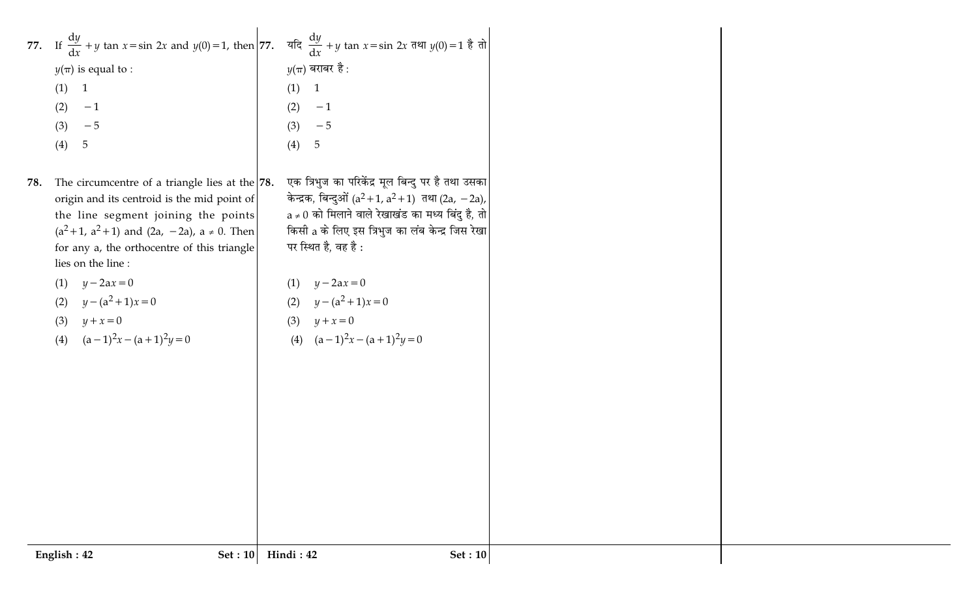| $y(\pi)$ is equal to :<br>(1)<br>$\overline{1}$<br>(2)<br>$-1$<br>(3)<br>$-5$<br>$\overline{5}$<br>(4)<br>78. | 77. If $\frac{dy}{dx} + y$ tan $x = \sin 2x$ and $y(0) = 1$ , then $77$ . $\frac{dy}{dx} + y$ tan $x = \sin 2x$ $\frac{dy}{dx}(0) = 1$ $\frac{3}{6}$ $\frac{1}{10}$<br>The circumcentre of a triangle lies at the $78$ .                                                      | (1)<br>(2)<br>(3)<br>(4) | $y(\pi)$ बराबर है :<br>$\mathbf{1}$<br>$-1$<br>$-5$<br>$\sqrt{5}$<br>एक त्रिभुज का परिकेंद्र मूल बिन्दु पर है तथा उसका                                                                                                                                                                 |
|---------------------------------------------------------------------------------------------------------------|-------------------------------------------------------------------------------------------------------------------------------------------------------------------------------------------------------------------------------------------------------------------------------|--------------------------|----------------------------------------------------------------------------------------------------------------------------------------------------------------------------------------------------------------------------------------------------------------------------------------|
| lies on the line :<br>(1)<br>(2)<br>(3)<br>(4)                                                                | origin and its centroid is the mid point of<br>the line segment joining the points<br>$(a^{2}+1, a^{2}+1)$ and $(2a, -2a)$ , $a \ne 0$ . Then<br>for any a, the orthocentre of this triangle<br>$y-2ax=0$<br>$y - (a^2 + 1)x = 0$<br>$y + x = 0$<br>$(a-1)^2x - (a+1)^2y = 0$ | (1)<br>(2)<br>(3)        | केन्द्रक, बिन्दुओं ( $a^2+1$ , $a^2+1$ ) तथा (2a, -2a),<br>$a \neq 0$ को मिलाने वाले रेखाखंड का मध्य बिंदु है, तो<br>किसी a के लिए इस त्रिभुज का लंब केन्द्र जिस रेखा<br>पर स्थित है, वह है :<br>$y - 2ax = 0$<br>$y - (a^2 + 1)x = 0$<br>$y + x = 0$<br>(4) $(a-1)^2x - (a+1)^2y = 0$ |
|                                                                                                               |                                                                                                                                                                                                                                                                               |                          |                                                                                                                                                                                                                                                                                        |
| English: 42                                                                                                   | Set: 10                                                                                                                                                                                                                                                                       | Hindi: 42                | Set: 10                                                                                                                                                                                                                                                                                |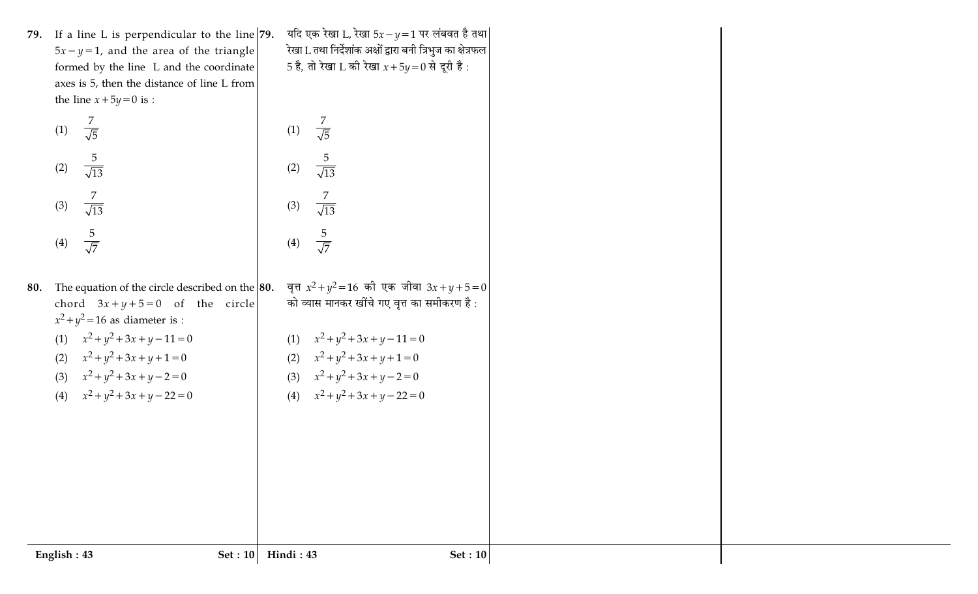|     | 79. If a line L is perpendicular to the line $ 79$ .                      | यदि एक रेखा L, रेखा $5x - y = 1$ पर लंबवत है तथा             |  |
|-----|---------------------------------------------------------------------------|--------------------------------------------------------------|--|
|     | $5x - y = 1$ , and the area of the triangle                               | रेखा L तथा निर्देशांक अक्षों द्वारा बनी त्रिभुज का क्षेत्रफल |  |
|     | formed by the line L and the coordinate                                   | 5 है, तो रेखा L की रेखा $x + 5y = 0$ से दूरी है:             |  |
|     | axes is 5, then the distance of line L from                               |                                                              |  |
|     | the line $x+5y=0$ is :                                                    |                                                              |  |
|     | $rac{7}{\sqrt{5}}$<br>(1)                                                 | $rac{7}{\sqrt{5}}$<br>(1)                                    |  |
|     | $rac{5}{\sqrt{13}}$<br>(2)                                                | $rac{5}{\sqrt{13}}$<br>(2)                                   |  |
|     | $rac{7}{\sqrt{13}}$<br>(3)                                                | 7<br>(3)<br>$\overline{\sqrt{13}}$                           |  |
|     | $rac{5}{\sqrt{7}}$<br>(4)                                                 | $rac{5}{\sqrt{7}}$<br>(4)                                    |  |
| 80. | The equation of the circle described on the $ 80.$                        | वृत्त $x^2 + y^2 = 16$ की एक जीवा $3x + y + 5 = 0$           |  |
|     | chord $3x + y + 5 = 0$ of the circle<br>$x^2 + y^2 = 16$ as diameter is : | को व्यास मानकर खींचे गए वृत्त का समीकरण है :                 |  |
|     | $x^2 + y^2 + 3x + y - 11 = 0$<br>(1)                                      | $x^2 + y^2 + 3x + y - 11 = 0$<br>(1)                         |  |
|     | (2) $x^2 + y^2 + 3x + y + 1 = 0$                                          | $x^2 + y^2 + 3x + y + 1 = 0$<br>(2)                          |  |
|     | (3) $x^2 + y^2 + 3x + y - 2 = 0$                                          | (3) $x^2 + y^2 + 3x + y - 2 = 0$                             |  |
|     | (4) $x^2 + y^2 + 3x + y - 22 = 0$                                         | (4) $x^2 + y^2 + 3x + y - 22 = 0$                            |  |
|     |                                                                           |                                                              |  |
|     |                                                                           |                                                              |  |
|     |                                                                           |                                                              |  |
|     |                                                                           |                                                              |  |
|     |                                                                           |                                                              |  |
|     |                                                                           |                                                              |  |
|     |                                                                           |                                                              |  |
|     | English: 43<br>Set : $10$                                                 | Hindi: 43<br><b>Set: 10</b>                                  |  |
|     |                                                                           |                                                              |  |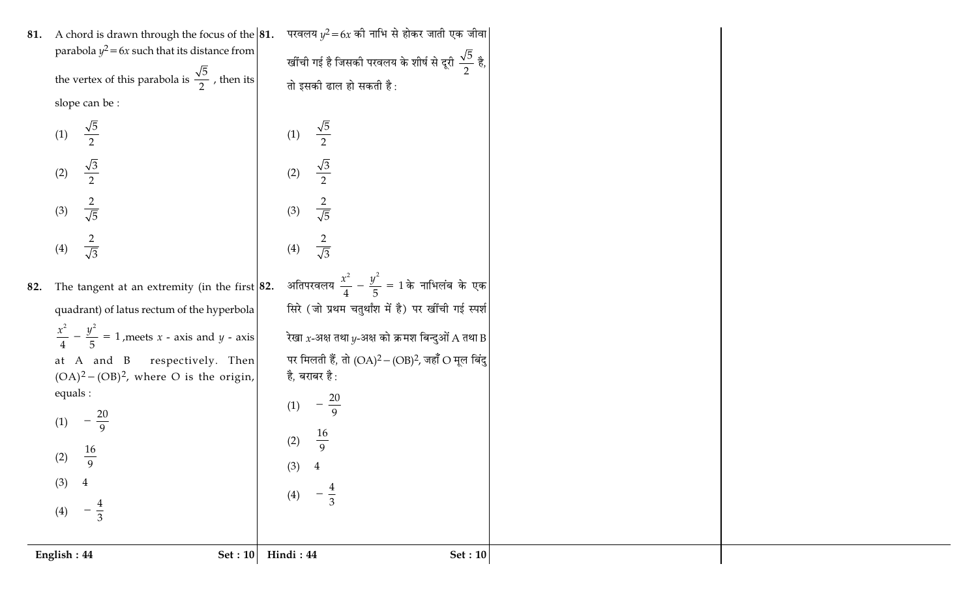| 81. | A chord is drawn through the focus of the $ 81$ .                 | परवलय $y^2 = 6x$ की नाभि से होकर जाती एक जीवा                     |
|-----|-------------------------------------------------------------------|-------------------------------------------------------------------|
|     | parabola $y^2 = 6x$ such that its distance from                   | खींची गई है जिसकी परवलय के शीर्ष से दूरी $\frac{\sqrt{5}}{2}$ है, |
|     | the vertex of this parabola is $\frac{\sqrt{5}}{2}$ , then its    | तो इसकी ढाल हो सकती है:                                           |
|     | slope can be:                                                     |                                                                   |
|     | $\frac{\sqrt{5}}{2}$<br>(1)                                       | $\frac{\sqrt{5}}{2}$<br>(1)                                       |
|     | $\frac{\sqrt{3}}{2}$<br>(2)                                       | $\frac{\sqrt{3}}{2}$<br>(2)                                       |
|     | $rac{2}{\sqrt{5}}$<br>(3)                                         | $rac{2}{\sqrt{5}}$<br>(3)                                         |
|     | $rac{2}{\sqrt{3}}$<br>(4)                                         | $\frac{2}{\sqrt{3}}$<br>(4)                                       |
| 82. | The tangent at an extremity (in the first $ 82$ .                 | अतिपरवलय $\frac{x^2}{4} - \frac{y^2}{5} = 1$ के नाभिलंब के एक     |
|     | quadrant) of latus rectum of the hyperbola                        | सिरे (जो प्रथम चतुर्थांश में है) पर खींची गई स्पर्श               |
|     | $\frac{x^2}{4} - \frac{y^2}{5} = 1$ , meets x - axis and y - axis | रेखा $x$ -अक्ष तथा $y$ -अक्ष को क्रमश बिन्दुओं A तथा B            |
|     | at A and B respectively. Then                                     | पर मिलती हैं, तो $(OA)^2 - (OB)^2$ , जहाँ $O$ मूल बिंदु           |
|     | $(OA)^2 - (OB)^2$ , where O is the origin,<br>equals :            | है, बराबर है :                                                    |
|     | (1)                                                               | (1)                                                               |
|     |                                                                   | $\frac{16}{9}$<br>(2)                                             |
|     | (2) $\frac{16}{9}$                                                | (3)<br>$\overline{4}$                                             |
|     | (3)<br>$\overline{4}$                                             |                                                                   |
|     | $rac{4}{3}$<br>(4)                                                | $rac{4}{3}$<br>$\left(4\right)$                                   |
|     |                                                                   |                                                                   |
|     | English: 44<br>Set: 10                                            | Hindi: 44<br>Set: 10                                              |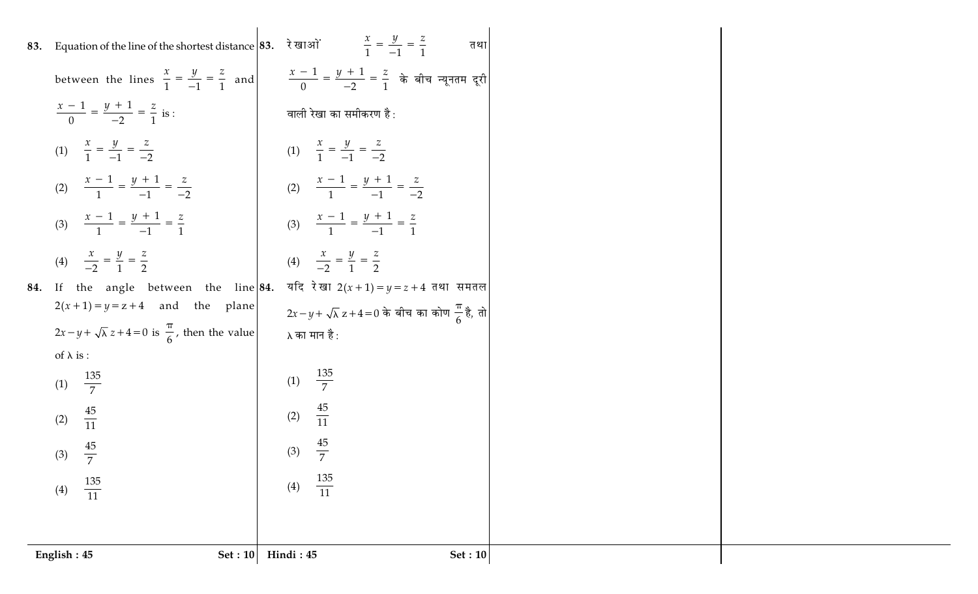| 83. Equation of the line of the shortest distance 83. रेखाओं $\frac{x}{1} = \frac{y}{-1} = \frac{z}{1}$ | तथा                                                                                                                                 |  |
|---------------------------------------------------------------------------------------------------------|-------------------------------------------------------------------------------------------------------------------------------------|--|
|                                                                                                         | between the lines $\frac{x}{1} = \frac{y}{-1} = \frac{z}{1}$ and $\frac{x-1}{0} = \frac{y+1}{-2} = \frac{z}{1}$ के बीच न्यूनतम दूरी |  |
| $\frac{x-1}{0} = \frac{y+1}{-2} = \frac{z}{1}$ is :                                                     | वाली रेखा का समीकरण है:                                                                                                             |  |
| (1) $\frac{x}{1} = \frac{y}{-1} = \frac{z}{-2}$                                                         | (1) $\frac{x}{1} = \frac{y}{-1} = \frac{z}{-2}$                                                                                     |  |
| (2) $\frac{x-1}{1} = \frac{y+1}{-1} = \frac{z}{-2}$                                                     | (2) $\frac{x-1}{1} = \frac{y+1}{-1} = \frac{z}{-2}$                                                                                 |  |
| (3) $\frac{x-1}{1} = \frac{y+1}{-1} = \frac{z}{1}$                                                      | (3) $\frac{x-1}{1} = \frac{y+1}{-1} = \frac{z}{1}$                                                                                  |  |
| (4) $\frac{x}{-2} = \frac{y}{1} = \frac{z}{2}$                                                          | (4) $\frac{x}{-2} = \frac{y}{1} = \frac{z}{2}$                                                                                      |  |
| 84. If the angle between the line $ 84$ .                                                               | यदि रेखा 2 $(x+1) = y = z + 4$ तथा समतल                                                                                             |  |
| $2(x+1)=y=z+4$ and the plane                                                                            | $2x-y+\sqrt{\lambda} z+4=0$ के बीच का कोण $\frac{\pi}{6}$ है, तो                                                                    |  |
| $2x-y+\sqrt{\lambda} z+4=0$ is $\frac{\pi}{6}$ , then the value                                         | λ का मान है :                                                                                                                       |  |
| of $\lambda$ is :                                                                                       |                                                                                                                                     |  |
| (1) $\frac{135}{7}$                                                                                     | (1) $\frac{135}{7}$                                                                                                                 |  |
| $\frac{45}{11}$<br>(2)                                                                                  | (2) $\frac{45}{11}$                                                                                                                 |  |
| (3) $\frac{45}{7}$                                                                                      | (3) $\frac{45}{7}$                                                                                                                  |  |
| $\frac{135}{11}$<br>(4)                                                                                 | $\frac{135}{11}$<br>(4)                                                                                                             |  |
|                                                                                                         |                                                                                                                                     |  |
| Set : $10$<br>English: 45                                                                               | Hindi: 45<br><b>Set: 10</b>                                                                                                         |  |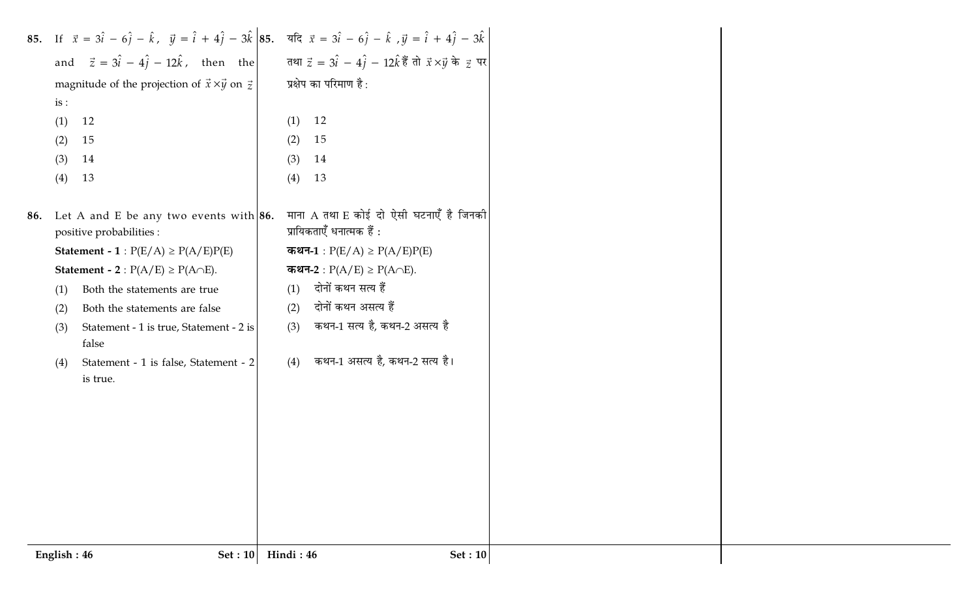|             | 85. If $\vec{x} = 3\hat{i} - 6\hat{j} - \hat{k}$ , $\vec{y} = \hat{i} + 4\hat{j} - 3\hat{k}$ 85. $\vec{x} = 3\hat{i} - 6\hat{j} - \hat{k}$ , $\vec{y} = \hat{i} + 4\hat{j} - 3\hat{k}$<br>and $\vec{z} = 3\hat{i} - 4\hat{j} - 12\hat{k}$ , then the $\vec{x} = 3\hat{i} - 4\hat{j} - 12\hat{k}$ $\vec{\xi}$ $\vec{\eta} = \vec{x} \times \vec{y}$ |           |                                         |                |
|-------------|----------------------------------------------------------------------------------------------------------------------------------------------------------------------------------------------------------------------------------------------------------------------------------------------------------------------------------------------------|-----------|-----------------------------------------|----------------|
|             |                                                                                                                                                                                                                                                                                                                                                    |           |                                         |                |
|             | magnitude of the projection of $\vec{x} \times \vec{y}$ on $\vec{z}$                                                                                                                                                                                                                                                                               |           | प्रक्षेप का परिमाण है:                  |                |
| is:         |                                                                                                                                                                                                                                                                                                                                                    |           |                                         |                |
| (1)         | 12                                                                                                                                                                                                                                                                                                                                                 | (1)       | 12                                      |                |
| (2)         | 15                                                                                                                                                                                                                                                                                                                                                 | (2)       | 15                                      |                |
| (3)         | 14                                                                                                                                                                                                                                                                                                                                                 | (3)       | 14                                      |                |
| (4)         | 13                                                                                                                                                                                                                                                                                                                                                 | (4)       | 13                                      |                |
|             |                                                                                                                                                                                                                                                                                                                                                    |           |                                         |                |
|             | 86. Let A and E be any two events with $ 86$ .                                                                                                                                                                                                                                                                                                     |           | माना A तथा E कोई दो ऐसी घटनाएँ है जिनकी |                |
|             | positive probabilities :                                                                                                                                                                                                                                                                                                                           |           | प्रायिकताएँ धनात्मक हैं :               |                |
|             | <b>Statement - 1</b> : $P(E/A) \ge P(A/E)P(E)$                                                                                                                                                                                                                                                                                                     |           | कथन-1 : $P(E/A) \ge P(A/E)P(E)$         |                |
|             | <b>Statement - 2</b> : $P(A/E) \ge P(A \cap E)$ .                                                                                                                                                                                                                                                                                                  |           | कथन-2 : $P(A/E) \ge P(A \cap E)$ .      |                |
| (1)         | Both the statements are true                                                                                                                                                                                                                                                                                                                       | (1)       | दोनों कथन सत्य हैं                      |                |
| (2)         | Both the statements are false                                                                                                                                                                                                                                                                                                                      | (2)       | दोनों कथन असत्य हैं                     |                |
| (3)         | Statement - 1 is true, Statement - 2 is                                                                                                                                                                                                                                                                                                            | (3)       | कथन-1 सत्य है, कथन-2 असत्य है           |                |
|             | false                                                                                                                                                                                                                                                                                                                                              |           |                                         |                |
| (4)         | Statement - 1 is false, Statement - 2                                                                                                                                                                                                                                                                                                              | (4)       | कथन-1 असत्य है, कथन-2 सत्य है।          |                |
|             | is true.                                                                                                                                                                                                                                                                                                                                           |           |                                         |                |
|             |                                                                                                                                                                                                                                                                                                                                                    |           |                                         |                |
|             |                                                                                                                                                                                                                                                                                                                                                    |           |                                         |                |
|             |                                                                                                                                                                                                                                                                                                                                                    |           |                                         |                |
|             |                                                                                                                                                                                                                                                                                                                                                    |           |                                         |                |
|             |                                                                                                                                                                                                                                                                                                                                                    |           |                                         |                |
|             |                                                                                                                                                                                                                                                                                                                                                    |           |                                         |                |
|             |                                                                                                                                                                                                                                                                                                                                                    |           |                                         |                |
|             |                                                                                                                                                                                                                                                                                                                                                    |           |                                         |                |
| English: 46 | <b>Set: 10</b>                                                                                                                                                                                                                                                                                                                                     | Hindi: 46 |                                         | <b>Set: 10</b> |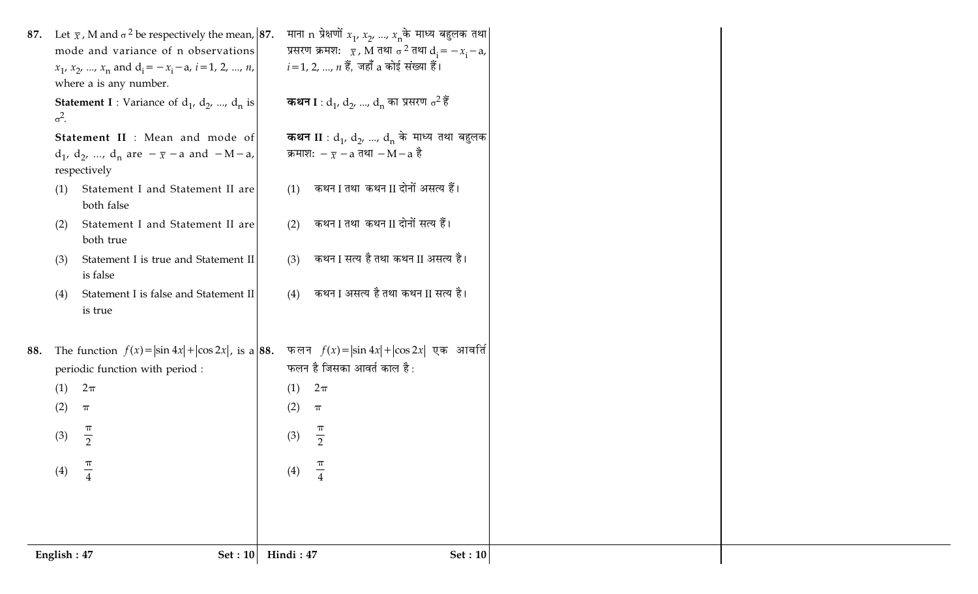| $\sigma^2$ . |            | 87. Let $\bar{x}$ , M and $\sigma^2$ be respectively the mean, 87.<br>mode and variance of n observations<br>$x_1$ , $x_2$ , , $x_n$ and $d_i = -x_i - a$ , $i = 1, 2, , n$ ,<br>where a is any number.<br><b>Statement I</b> : Variance of $d_1$ , $d_2$ , , $d_n$ is |            | माना n प्रेक्षणों $x_1, x_2, , x_n$ के माध्य बहुलक तथा<br>प्रसरण क्रमश: $\bar{x}$ , M तथा $\sigma^2$ तथा $d_i = -x_i - a$ ,<br>$i = 1, 2, , n$ हैं, जहाँ a कोई संख्या हैं।<br><b>कथन I</b> : d <sub>1</sub> , d <sub>2</sub> , , d <sub>n</sub> का प्रसरण $\sigma^2$ हैं |
|--------------|------------|------------------------------------------------------------------------------------------------------------------------------------------------------------------------------------------------------------------------------------------------------------------------|------------|--------------------------------------------------------------------------------------------------------------------------------------------------------------------------------------------------------------------------------------------------------------------------|
| (1)          |            | Statement II : Mean and mode of<br>$d_1$ , $d_2$ , , $d_n$ are $-\bar{x}$ - a and $-M-a$ ,<br>respectively<br>Statement I and Statement II are                                                                                                                         | (1)        | <b>कथन II</b> : $d_1$ , $d_2$ , , $d_n$ के माध्य तथा बहुलक<br>क्रमाश: $-\bar{x}$ – a तथा – M – a है<br>कथन I तथा कथन II दोनों असत्य हैं।                                                                                                                                 |
|              | (2)<br>(3) | both false<br>Statement I and Statement II are<br>both true<br>Statement I is true and Statement II                                                                                                                                                                    | (2)<br>(3) | कथन I तथा कथन II दोनों सत्य हैं।<br>कथन I सत्य है तथा कथन II असत्य है।                                                                                                                                                                                                   |
| (4)          |            | is false<br>Statement I is false and Statement II<br>is true                                                                                                                                                                                                           | (4)        | कथन I असत्य है तथा कथन II सत्य है।                                                                                                                                                                                                                                       |
| 88.          | (1)<br>(2) | The function $f(x) =  \sin 4x  +  \cos 2x $ , is a 88.<br>periodic function with period :<br>$2\pi$<br>$\boldsymbol{\pi}$                                                                                                                                              | (1)<br>(2) | फलन $f(x) =  \sin 4x  +  \cos 2x $ एक आवर्ति<br>फलन है जिसका आवर्त काल है :<br>$2\pi$<br>$\pi$                                                                                                                                                                           |
|              | (3)<br>(4) | $\pi$<br>$\overline{2}$<br>$\frac{\pi}{4}$                                                                                                                                                                                                                             | (3)<br>(4) | $\pi$<br>$\overline{2}$<br>$\pi$<br>$\overline{4}$                                                                                                                                                                                                                       |
| English: 47  |            | Set: 10                                                                                                                                                                                                                                                                | Hindi: 47  | Set: 10                                                                                                                                                                                                                                                                  |